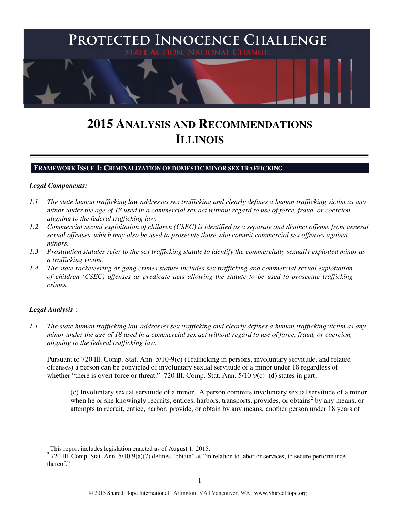

# **2015 ANALYSIS AND RECOMMENDATIONS ILLINOIS**

#### **FRAMEWORK ISSUE 1: CRIMINALIZATION OF DOMESTIC MINOR SEX TRAFFICKING**

#### *Legal Components:*

- *1.1 The state human trafficking law addresses sex trafficking and clearly defines a human trafficking victim as any minor under the age of 18 used in a commercial sex act without regard to use of force, fraud, or coercion, aligning to the federal trafficking law.*
- *1.2 Commercial sexual exploitation of children (CSEC) is identified as a separate and distinct offense from general sexual offenses, which may also be used to prosecute those who commit commercial sex offenses against minors.*
- *1.3 Prostitution statutes refer to the sex trafficking statute to identify the commercially sexually exploited minor as a trafficking victim.*

\_\_\_\_\_\_\_\_\_\_\_\_\_\_\_\_\_\_\_\_\_\_\_\_\_\_\_\_\_\_\_\_\_\_\_\_\_\_\_\_\_\_\_\_\_\_\_\_\_\_\_\_\_\_\_\_\_\_\_\_\_\_\_\_\_\_\_\_\_\_\_\_\_\_\_\_\_\_\_\_\_\_\_\_\_\_\_\_\_\_\_\_\_\_

*1.4 The state racketeering or gang crimes statute includes sex trafficking and commercial sexual exploitation of children (CSEC) offenses as predicate acts allowing the statute to be used to prosecute trafficking crimes.* 

# $\bm{\mathit{Legal\, Analysis}^{\text{!}}:}$

 $\overline{a}$ 

*1.1 The state human trafficking law addresses sex trafficking and clearly defines a human trafficking victim as any minor under the age of 18 used in a commercial sex act without regard to use of force, fraud, or coercion, aligning to the federal trafficking law.* 

Pursuant to 720 Ill. Comp. Stat. Ann. 5/10-9(c) (Trafficking in persons, involuntary servitude, and related offenses) a person can be convicted of involuntary sexual servitude of a minor under 18 regardless of whether "there is overt force or threat." 720 Ill. Comp. Stat. Ann. 5/10-9(c)–(d) states in part,

(c) Involuntary sexual servitude of a minor. A person commits involuntary sexual servitude of a minor when he or she knowingly recruits, entices, harbors, transports, provides, or obtains<sup>2</sup> by any means, or attempts to recruit, entice, harbor, provide, or obtain by any means, another person under 18 years of

<sup>&</sup>lt;sup>1</sup>This report includes legislation enacted as of August 1, 2015.

 $2$  720 Ill. Comp. Stat. Ann. 5/10-9(a)(7) defines "obtain" as "in relation to labor or services, to secure performance thereof."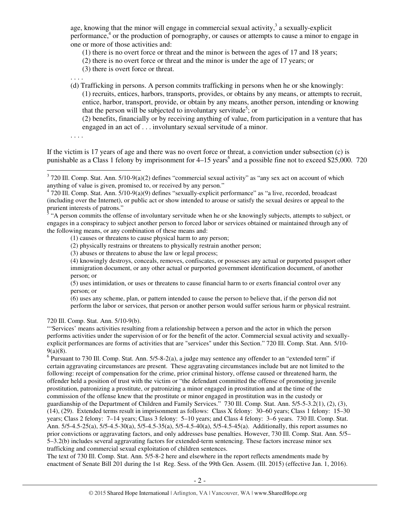age, knowing that the minor will engage in commercial sexual activity, $3$  a sexually-explicit performance,<sup>4</sup> or the production of pornography, or causes or attempts to cause a minor to engage in one or more of those activities and:

(1) there is no overt force or threat and the minor is between the ages of 17 and 18 years;

- (2) there is no overt force or threat and the minor is under the age of 17 years; or
- (3) there is overt force or threat.

. . . .

(d) Trafficking in persons. A person commits trafficking in persons when he or she knowingly: (1) recruits, entices, harbors, transports, provides, or obtains by any means, or attempts to recruit, entice, harbor, transport, provide, or obtain by any means, another person, intending or knowing that the person will be subjected to involuntary servitude<sup>5</sup>; or

(2) benefits, financially or by receiving anything of value, from participation in a venture that has engaged in an act of . . . involuntary sexual servitude of a minor.

. . . .

If the victim is 17 years of age and there was no overt force or threat, a conviction under subsection (c) is punishable as a Class 1 felony by imprisonment for 4–15 years<sup>6</sup> and a possible fine not to exceed \$25,000. 720

prurient interests of patrons."<br><sup>5</sup> "A person commits the offense of involuntary servitude when he or she knowingly subjects, attempts to subject, or engages in a conspiracy to subject another person to forced labor or services obtained or maintained through any of the following means, or any combination of these means and:

(1) causes or threatens to cause physical harm to any person;

(2) physically restrains or threatens to physically restrain another person;

(3) abuses or threatens to abuse the law or legal process;

(4) knowingly destroys, conceals, removes, confiscates, or possesses any actual or purported passport other immigration document, or any other actual or purported government identification document, of another person; or

(5) uses intimidation, or uses or threatens to cause financial harm to or exerts financial control over any person; or

(6) uses any scheme, plan, or pattern intended to cause the person to believe that, if the person did not perform the labor or services, that person or another person would suffer serious harm or physical restraint.

720 Ill. Comp. Stat. Ann. 5/10-9(b).

"'Services' means activities resulting from a relationship between a person and the actor in which the person performs activities under the supervision of or for the benefit of the actor. Commercial sexual activity and sexuallyexplicit performances are forms of activities that are "services" under this Section." 720 Ill. Comp. Stat. Ann. 5/10- 9(a)(8).

 $6$  Pursuant to 730 Ill. Comp. Stat. Ann. 5/5-8-2(a), a judge may sentence any offender to an "extended term" if certain aggravating circumstances are present. These aggravating circumstances include but are not limited to the following: receipt of compensation for the crime, prior criminal history, offense caused or threatened harm, the offender held a position of trust with the victim or "the defendant committed the offense of promoting juvenile prostitution, patronizing a prostitute, or patronizing a minor engaged in prostitution and at the time of the commission of the offense knew that the prostitute or minor engaged in prostitution was in the custody or guardianship of the Department of Children and Family Services." 730 Ill. Comp. Stat. Ann. 5/5-5-3.2(1), (2), (3), (14), (29). Extended terms result in imprisonment as follows: Class X felony: 30–60 years; Class 1 felony: 15–30 years; Class 2 felony: 7–14 years; Class 3 felony: 5–10 years; and Class 4 felony: 3–6 years. 730 Ill. Comp. Stat. Ann. 5/5-4.5-25(a), 5/5-4.5-30(a), 5/5-4.5-35(a), 5/5-4.5-40(a), 5/5-4.5-45(a). Additionally, this report assumes no prior convictions or aggravating factors, and only addresses base penalties. However, 730 Ill. Comp. Stat. Ann. 5/5– 5–3.2(b) includes several aggravating factors for extended-term sentencing. These factors increase minor sex trafficking and commercial sexual exploitation of children sentences.

The text of 730 Ill. Comp. Stat. Ann. 5/5-8-2 here and elsewhere in the report reflects amendments made by enactment of Senate Bill 201 during the 1st Reg. Sess. of the 99th Gen. Assem. (Ill. 2015) (effective Jan. 1, 2016).

<sup>&</sup>lt;sup>3</sup> 720 Ill. Comp. Stat. Ann. 5/10-9(a)(2) defines "commercial sexual activity" as "any sex act on account of which anything of value is given, promised to, or received by any person."

 $4720$  Ill. Comp. Stat. Ann.  $5/10-9(a)(9)$  defines "sexually-explicit performance" as "a live, recorded, broadcast (including over the Internet), or public act or show intended to arouse or satisfy the sexual desires or appeal to the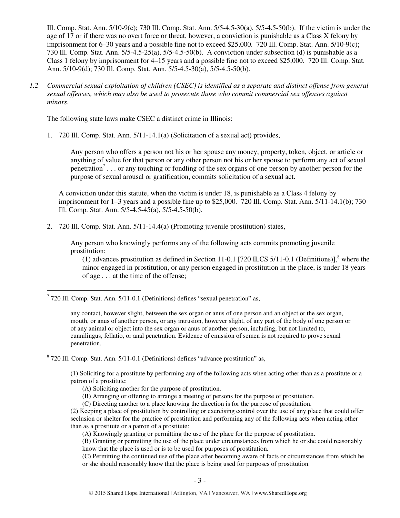Ill. Comp. Stat. Ann. 5/10-9(c); 730 Ill. Comp. Stat. Ann. 5/5-4.5-30(a), 5/5-4.5-50(b). If the victim is under the age of 17 or if there was no overt force or threat, however, a conviction is punishable as a Class X felony by imprisonment for 6–30 years and a possible fine not to exceed \$25,000. 720 Ill. Comp. Stat. Ann. 5/10-9(c); 730 Ill. Comp. Stat. Ann. 5/5-4.5-25(a), 5/5-4.5-50(b). A conviction under subsection (d) is punishable as a Class 1 felony by imprisonment for 4–15 years and a possible fine not to exceed \$25,000. 720 Ill. Comp. Stat. Ann. 5/10-9(d); 730 Ill. Comp. Stat. Ann. 5/5-4.5-30(a), 5/5-4.5-50(b).

*1.2 Commercial sexual exploitation of children (CSEC) is identified as a separate and distinct offense from general sexual offenses, which may also be used to prosecute those who commit commercial sex offenses against minors.* 

The following state laws make CSEC a distinct crime in Illinois:

1. 720 Ill. Comp. Stat. Ann. 5/11-14.1(a) (Solicitation of a sexual act) provides,

Any person who offers a person not his or her spouse any money, property, token, object, or article or anything of value for that person or any other person not his or her spouse to perform any act of sexual penetration<sup>7</sup>... or any touching or fondling of the sex organs of one person by another person for the purpose of sexual arousal or gratification, commits solicitation of a sexual act.

A conviction under this statute, when the victim is under 18, is punishable as a Class 4 felony by imprisonment for 1–3 years and a possible fine up to \$25,000. 720 Ill. Comp. Stat. Ann. 5/11-14.1(b); 730 Ill. Comp. Stat. Ann. 5/5-4.5-45(a), 5/5-4.5-50(b).

2. 720 Ill. Comp. Stat. Ann. 5/11-14.4(a) (Promoting juvenile prostitution) states,

Any person who knowingly performs any of the following acts commits promoting juvenile prostitution:

(1) advances prostitution as defined in Section 11-0.1 [720 ILCS 5/11-0.1 (Definitions)], $8$  where the minor engaged in prostitution, or any person engaged in prostitution in the place, is under 18 years of age . . . at the time of the offense;

<sup>8</sup> 720 Ill. Comp. Stat. Ann. 5/11-0.1 (Definitions) defines "advance prostitution" as,

(1) Soliciting for a prostitute by performing any of the following acts when acting other than as a prostitute or a patron of a prostitute:

- (A) Soliciting another for the purpose of prostitution.
- (B) Arranging or offering to arrange a meeting of persons for the purpose of prostitution.

(C) Directing another to a place knowing the direction is for the purpose of prostitution.

(2) Keeping a place of prostitution by controlling or exercising control over the use of any place that could offer seclusion or shelter for the practice of prostitution and performing any of the following acts when acting other than as a prostitute or a patron of a prostitute:

(A) Knowingly granting or permitting the use of the place for the purpose of prostitution.

(B) Granting or permitting the use of the place under circumstances from which he or she could reasonably know that the place is used or is to be used for purposes of prostitution.

(C) Permitting the continued use of the place after becoming aware of facts or circumstances from which he or she should reasonably know that the place is being used for purposes of prostitution.

 $\overline{a}$  $7$  720 Ill. Comp. Stat. Ann. 5/11-0.1 (Definitions) defines "sexual penetration" as,

any contact, however slight, between the sex organ or anus of one person and an object or the sex organ, mouth, or anus of another person, or any intrusion, however slight, of any part of the body of one person or of any animal or object into the sex organ or anus of another person, including, but not limited to, cunnilingus, fellatio, or anal penetration. Evidence of emission of semen is not required to prove sexual penetration.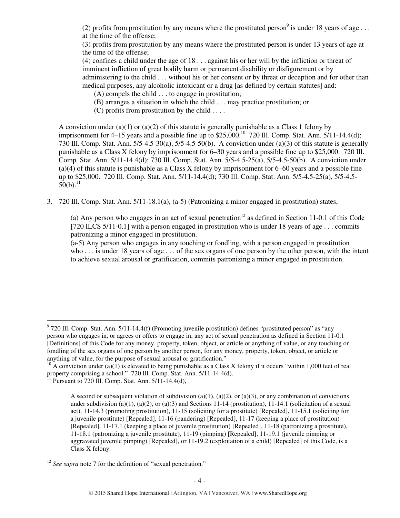(2) profits from prostitution by any means where the prostituted person<sup>9</sup> is under 18 years of age ... at the time of the offense;

(3) profits from prostitution by any means where the prostituted person is under 13 years of age at the time of the offense;

(4) confines a child under the age of 18 . . . against his or her will by the infliction or threat of imminent infliction of great bodily harm or permanent disability or disfigurement or by administering to the child . . . without his or her consent or by threat or deception and for other than medical purposes, any alcoholic intoxicant or a drug [as defined by certain statutes] and:

(A) compels the child . . . to engage in prostitution;

- (B) arranges a situation in which the child . . . may practice prostitution; or
- (C) profits from prostitution by the child  $\dots$

A conviction under (a)(1) or (a)(2) of this statute is generally punishable as a Class 1 felony by imprisonment for  $4-15$  years and a possible fine up to \$25,000.<sup>10</sup> 720 Ill. Comp. Stat. Ann. 5/11-14.4(d); 730 Ill. Comp. Stat. Ann. 5/5-4.5-30(a), 5/5-4.5-50(b). A conviction under (a)(3) of this statute is generally punishable as a Class X felony by imprisonment for 6–30 years and a possible fine up to \$25,000. 720 Ill. Comp. Stat. Ann. 5/11-14.4(d); 730 Ill. Comp. Stat. Ann. 5/5-4.5-25(a), 5/5-4.5-50(b). A conviction under (a)(4) of this statute is punishable as a Class X felony by imprisonment for 6–60 years and a possible fine up to \$25,000. 720 Ill. Comp. Stat. Ann. 5/11-14.4(d); 730 Ill. Comp. Stat. Ann. 5/5-4.5-25(a), 5/5-4.5-  $50(b).$ <sup>11</sup>

3. 720 Ill. Comp. Stat. Ann. 5/11-18.1(a), (a-5) (Patronizing a minor engaged in prostitution) states,

(a) Any person who engages in an act of sexual penetration<sup>12</sup> as defined in Section 11-0.1 of this Code [720 ILCS 5/11-0.1] with a person engaged in prostitution who is under 18 years of age . . . commits patronizing a minor engaged in prostitution.

(a-5) Any person who engages in any touching or fondling, with a person engaged in prostitution who . . . is under 18 years of age . . . of the sex organs of one person by the other person, with the intent to achieve sexual arousal or gratification, commits patronizing a minor engaged in prostitution.

 9 720 Ill. Comp. Stat. Ann. 5/11-14.4(f) (Promoting juvenile prostitution) defines "prostituted person" as "any person who engages in, or agrees or offers to engage in, any act of sexual penetration as defined in Section 11-0.1 [Definitions] of this Code for any money, property, token, object, or article or anything of value, or any touching or fondling of the sex organs of one person by another person, for any money, property, token, object, or article or anything of value, for the purpose of sexual arousal or gratification."

<sup>&</sup>lt;sup>10</sup> A conviction under (a)(1) is elevated to being punishable as a Class X felony if it occurs "within 1,000 feet of real property comprising a school." 720 Ill. Comp. Stat. Ann. 5/11-14.4(d).

 $11$  Pursuant to 720 Ill. Comp. Stat. Ann.  $5/11$ -14.4(d),

A second or subsequent violation of subdivision (a)(1), (a)(2), or (a)(3), or any combination of convictions under subdivision (a)(1), (a)(2), or (a)(3) and Sections 11-14 (prostitution), 11-14.1 (solicitation of a sexual act), 11-14.3 (promoting prostitution), 11-15 (soliciting for a prostitute) [Repealed], 11-15.1 (soliciting for a juvenile prostitute) [Repealed], 11-16 (pandering) [Repealed], 11-17 (keeping a place of prostitution) [Repealed], 11-17.1 (keeping a place of juvenile prostitution) [Repealed], 11-18 (patronizing a prostitute), 11-18.1 (patronizing a juvenile prostitute), 11-19 (pimping) [Repealed], 11-19.1 (juvenile pimping or aggravated juvenile pimping) [Repealed], or 11-19.2 (exploitation of a child) [Repealed] of this Code, is a Class X felony.

<sup>&</sup>lt;sup>12</sup> *See supra* note 7 for the definition of "sexual penetration."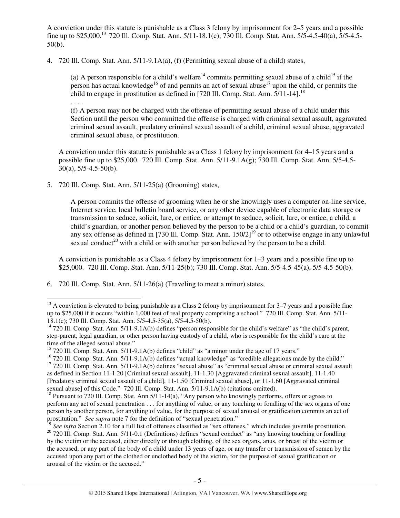A conviction under this statute is punishable as a Class 3 felony by imprisonment for 2–5 years and a possible fine up to \$25,000.<sup>13</sup> 720 Ill. Comp. Stat. Ann. 5/11-18.1(c); 730 Ill. Comp. Stat. Ann. 5/5-4.5-40(a), 5/5-4.5-50(b).

4. 720 Ill. Comp. Stat. Ann. 5/11-9.1A(a), (f) (Permitting sexual abuse of a child) states,

(a) A person responsible for a child's welfare<sup>14</sup> commits permitting sexual abuse of a child<sup>15</sup> if the person has actual knowledge<sup>16</sup> of and permits an act of sexual abuse<sup>17</sup> upon the child, or permits the child to engage in prostitution as defined in [720 Ill. Comp. Stat. Ann.  $\frac{5}{11-14}$ ]<sup>18</sup>

. . . .

 $\overline{a}$ 

(f) A person may not be charged with the offense of permitting sexual abuse of a child under this Section until the person who committed the offense is charged with criminal sexual assault, aggravated criminal sexual assault, predatory criminal sexual assault of a child, criminal sexual abuse, aggravated criminal sexual abuse, or prostitution.

A conviction under this statute is punishable as a Class 1 felony by imprisonment for 4–15 years and a possible fine up to \$25,000. 720 Ill. Comp. Stat. Ann. 5/11-9.1A(g); 730 Ill. Comp. Stat. Ann. 5/5-4.5- 30(a), 5/5-4.5-50(b).

5. 720 Ill. Comp. Stat. Ann. 5/11-25(a) (Grooming) states,

A person commits the offense of grooming when he or she knowingly uses a computer on-line service, Internet service, local bulletin board service, or any other device capable of electronic data storage or transmission to seduce, solicit, lure, or entice, or attempt to seduce, solicit, lure, or entice, a child, a child's guardian, or another person believed by the person to be a child or a child's guardian, to commit any sex offense as defined in [730 Ill. Comp. Stat. Ann.  $150/2$ ]<sup>19</sup> or to otherwise engage in any unlawful sexual conduct<sup>20</sup> with a child or with another person believed by the person to be a child.

A conviction is punishable as a Class 4 felony by imprisonment for 1–3 years and a possible fine up to \$25,000. 720 Ill. Comp. Stat. Ann. 5/11-25(b); 730 Ill. Comp. Stat. Ann. 5/5-4.5-45(a), 5/5-4.5-50(b).

6. 720 Ill. Comp. Stat. Ann. 5/11-26(a) (Traveling to meet a minor) states,

<sup>&</sup>lt;sup>13</sup> A conviction is elevated to being punishable as a Class 2 felony by imprisonment for  $3-7$  years and a possible fine up to \$25,000 if it occurs "within 1,000 feet of real property comprising a school." 720 Ill. Comp. Stat. Ann. 5/11- 18.1(c); 730 Ill. Comp. Stat. Ann. 5/5-4.5-35(a), 5/5-4.5-50(b).

<sup>&</sup>lt;sup>14</sup> 720 Ill. Comp. Stat. Ann. 5/11-9.1A(b) defines "person responsible for the child's welfare" as "the child's parent, step-parent, legal guardian, or other person having custody of a child, who is responsible for the child's care at the time of the alleged sexual abuse."

<sup>&</sup>lt;sup>15</sup> 720 Ill. Comp. Stat. Ann. 5/11-9.1A(b) defines "child" as "a minor under the age of 17 years."

<sup>&</sup>lt;sup>16</sup> 720 Ill. Comp. Stat. Ann. 5/11-9.1A(b) defines "actual knowledge" as "credible allegations made by the child."

<sup>&</sup>lt;sup>17</sup> 720 Ill. Comp. Stat. Ann. 5/11-9.1A(b) defines "sexual abuse" as "criminal sexual abuse or criminal sexual assault as defined in Section 11-1.20 [Criminal sexual assault], 11-1.30 [Aggravated criminal sexual assault], 11-1.40 [Predatory criminal sexual assault of a child], 11-1.50 [Criminal sexual abuse], or 11-1.60 [Aggravated criminal sexual abuse] of this Code." 720 Ill. Comp. Stat. Ann. 5/11-9.1A(b) (citations omitted).

<sup>&</sup>lt;sup>18</sup> Pursuant to 720 Ill. Comp. Stat. Ann  $5/\overline{11-14(a)}$ , "Any person who knowingly performs, offers or agrees to perform any act of sexual penetration . . . for anything of value, or any touching or fondling of the sex organs of one person by another person, for anything of value, for the purpose of sexual arousal or gratification commits an act of prostitution." *See supra* note 7 for the definition of "sexual penetration."

<sup>&</sup>lt;sup>19</sup> See infra Section 2.10 for a full list of offenses classified as "sex offenses," which includes juvenile prostitution. <sup>20</sup> 720 Ill. Comp. Stat. Ann. 5/11-0.1 (Definitions) defines "sexual conduct" as "any knowing touching or fondling by the victim or the accused, either directly or through clothing, of the sex organs, anus, or breast of the victim or the accused, or any part of the body of a child under 13 years of age, or any transfer or transmission of semen by the accused upon any part of the clothed or unclothed body of the victim, for the purpose of sexual gratification or arousal of the victim or the accused."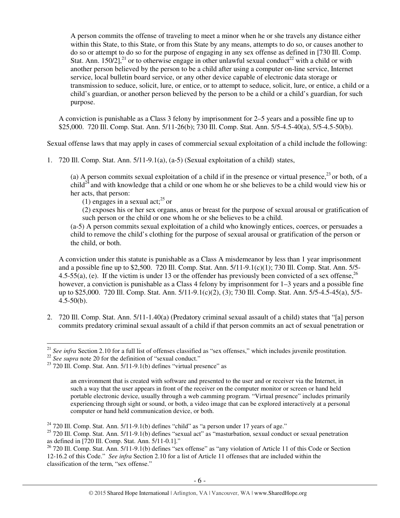A person commits the offense of traveling to meet a minor when he or she travels any distance either within this State, to this State, or from this State by any means, attempts to do so, or causes another to do so or attempt to do so for the purpose of engaging in any sex offense as defined in [730 Ill. Comp. Stat. Ann. 150/2],<sup>21</sup> or to otherwise engage in other unlawful sexual conduct<sup>22</sup> with a child or with another person believed by the person to be a child after using a computer on-line service, Internet service, local bulletin board service, or any other device capable of electronic data storage or transmission to seduce, solicit, lure, or entice, or to attempt to seduce, solicit, lure, or entice, a child or a child's guardian, or another person believed by the person to be a child or a child's guardian, for such purpose.

A conviction is punishable as a Class 3 felony by imprisonment for 2–5 years and a possible fine up to \$25,000. 720 Ill. Comp. Stat. Ann. 5/11-26(b); 730 Ill. Comp. Stat. Ann. 5/5-4.5-40(a), 5/5-4.5-50(b).

Sexual offense laws that may apply in cases of commercial sexual exploitation of a child include the following:

1. 720 Ill. Comp. Stat. Ann. 5/11-9.1(a), (a-5) (Sexual exploitation of a child) states,

(a) A person commits sexual exploitation of a child if in the presence or virtual presence,  $^{23}$  or both, of a  $child^{24}$  and with knowledge that a child or one whom he or she believes to be a child would view his or her acts, that person:

(1) engages in a sexual act; $^{25}$  or

(2) exposes his or her sex organs, anus or breast for the purpose of sexual arousal or gratification of such person or the child or one whom he or she believes to be a child.

(a-5) A person commits sexual exploitation of a child who knowingly entices, coerces, or persuades a child to remove the child's clothing for the purpose of sexual arousal or gratification of the person or the child, or both.

A conviction under this statute is punishable as a Class A misdemeanor by less than 1 year imprisonment and a possible fine up to \$2,500. 720 Ill. Comp. Stat. Ann. 5/11-9.1(c)(1); 730 Ill. Comp. Stat. Ann. 5/5- 4.5-55(a), (e). If the victim is under 13 or the offender has previously been convicted of a sex offense,  $^{26}$ however, a conviction is punishable as a Class 4 felony by imprisonment for 1–3 years and a possible fine up to \$25,000. 720 Ill. Comp. Stat. Ann. 5/11-9.1(c)(2), (3); 730 Ill. Comp. Stat. Ann. 5/5-4.5-45(a), 5/5-  $4.5 - 50(b)$ .

2. 720 Ill. Comp. Stat. Ann. 5/11-1.40(a) (Predatory criminal sexual assault of a child) states that "[a] person commits predatory criminal sexual assault of a child if that person commits an act of sexual penetration or

 $\overline{a}$ <sup>21</sup> *See infra* Section 2.10 for a full list of offenses classified as "sex offenses," which includes juvenile prostitution.

<sup>&</sup>lt;sup>22</sup> See supra note 20 for the definition of "sexual conduct."

 $23$  720 Ill. Comp. Stat. Ann. 5/11-9.1(b) defines "virtual presence" as

an environment that is created with software and presented to the user and or receiver via the Internet, in such a way that the user appears in front of the receiver on the computer monitor or screen or hand held portable electronic device, usually through a web camming program. "Virtual presence" includes primarily experiencing through sight or sound, or both, a video image that can be explored interactively at a personal computer or hand held communication device, or both.

 $24$  720 Ill. Comp. Stat. Ann. 5/11-9.1(b) defines "child" as "a person under 17 years of age."

<sup>&</sup>lt;sup>25</sup> 720 Ill. Comp. Stat. Ann. 5/11-9.1(b) defines "sexual act" as "masturbation, sexual conduct or sexual penetration as defined in [720 Ill. Comp. Stat. Ann. 5/11-0.1]."

<sup>&</sup>lt;sup>26</sup> 720 Ill. Comp. Stat. Ann. 5/11-9.1(b) defines "sex offense" as "any violation of Article 11 of this Code or Section 12-16.2 of this Code." *See infra* Section 2.10 for a list of Article 11 offenses that are included within the classification of the term, "sex offense."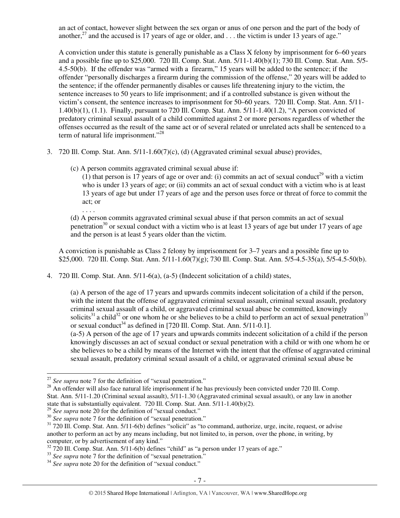an act of contact, however slight between the sex organ or anus of one person and the part of the body of another,<sup>27</sup> and the accused is 17 years of age or older, and  $\dots$  the victim is under 13 years of age."

A conviction under this statute is generally punishable as a Class X felony by imprisonment for 6–60 years and a possible fine up to \$25,000. 720 Ill. Comp. Stat. Ann. 5/11-1.40(b)(1); 730 Ill. Comp. Stat. Ann. 5/5- 4.5-50(b). If the offender was "armed with a firearm," 15 years will be added to the sentence; if the offender "personally discharges a firearm during the commission of the offense," 20 years will be added to the sentence; if the offender permanently disables or causes life threatening injury to the victim, the sentence increases to 50 years to life imprisonment; and if a controlled substance is given without the victim's consent, the sentence increases to imprisonment for 50–60 years. 720 Ill. Comp. Stat. Ann. 5/11- 1.40(b)(1), (1.1). Finally, pursuant to 720 Ill. Comp. Stat. Ann. 5/11-1.40(1.2), "A person convicted of predatory criminal sexual assault of a child committed against 2 or more persons regardless of whether the offenses occurred as the result of the same act or of several related or unrelated acts shall be sentenced to a term of natural life imprisonment."<sup>28</sup>

- 3. 720 Ill. Comp. Stat. Ann. 5/11-1.60(7)(c), (d) (Aggravated criminal sexual abuse) provides,
	- (c) A person commits aggravated criminal sexual abuse if:

 $(1)$  that person is 17 years of age or over and: (i) commits an act of sexual conduct<sup>29</sup> with a victim who is under 13 years of age; or (ii) commits an act of sexual conduct with a victim who is at least 13 years of age but under 17 years of age and the person uses force or threat of force to commit the act; or

. . . . (d) A person commits aggravated criminal sexual abuse if that person commits an act of sexual penetration<sup>30</sup> or sexual conduct with a victim who is at least 13 years of age but under 17 years of age and the person is at least 5 years older than the victim.

A conviction is punishable as Class 2 felony by imprisonment for 3–7 years and a possible fine up to \$25,000. 720 III. Comp. Stat. Ann. 5/11-1.60(7)(g); 730 III. Comp. Stat. Ann. 5/5-4.5-35(a), 5/5-4.5-50(b).

4. 720 Ill. Comp. Stat. Ann. 5/11-6(a), (a-5) (Indecent solicitation of a child) states,

(a) A person of the age of 17 years and upwards commits indecent solicitation of a child if the person, with the intent that the offense of aggravated criminal sexual assault, criminal sexual assault, predatory criminal sexual assault of a child, or aggravated criminal sexual abuse be committed, knowingly solicits<sup>31</sup> a child<sup>32</sup> or one whom he or she believes to be a child to perform an act of sexual penetration<sup>33</sup> or sexual conduct<sup>34</sup> as defined in [720 Ill. Comp. Stat. Ann.  $5/11$ - $0.1$ ].

(a-5) A person of the age of 17 years and upwards commits indecent solicitation of a child if the person knowingly discusses an act of sexual conduct or sexual penetration with a child or with one whom he or she believes to be a child by means of the Internet with the intent that the offense of aggravated criminal sexual assault, predatory criminal sexual assault of a child, or aggravated criminal sexual abuse be

 $\overline{a}$ <sup>27</sup> See supra note 7 for the definition of "sexual penetration."

 $28$  An offender will also face natural life imprisonment if he has previously been convicted under 720 Ill. Comp. Stat. Ann. 5/11-1.20 (Criminal sexual assault), 5/11-1.30 (Aggravated criminal sexual assault), or any law in another state that is substantially equivalent. 720 Ill. Comp. Stat. Ann. 5/11-1.40(b)(2).

<sup>&</sup>lt;sup>29</sup> See supra note 20 for the definition of "sexual conduct."

<sup>&</sup>lt;sup>30</sup> *See supra* note 7 for the definition of "sexual penetration."

 $31$  720 Ill. Comp. Stat. Ann. 5/11-6(b) defines "solicit" as "to command, authorize, urge, incite, request, or advise another to perform an act by any means including, but not limited to, in person, over the phone, in writing, by computer, or by advertisement of any kind."

 $32$  720 Ill. Comp. Stat. Ann. 5/11-6(b) defines "child" as "a person under 17 years of age."

<sup>&</sup>lt;sup>33</sup> See supra note 7 for the definition of "sexual penetration."

<sup>&</sup>lt;sup>34</sup> See supra note 20 for the definition of "sexual conduct."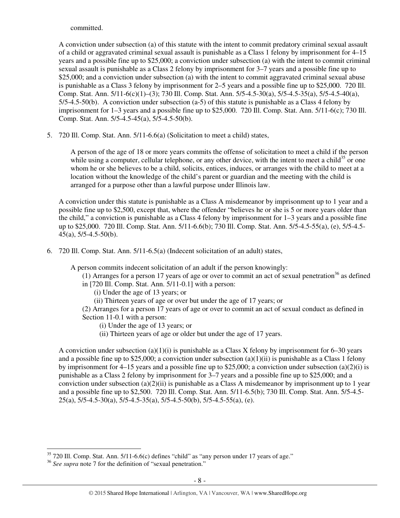committed.

A conviction under subsection (a) of this statute with the intent to commit predatory criminal sexual assault of a child or aggravated criminal sexual assault is punishable as a Class 1 felony by imprisonment for 4–15 years and a possible fine up to \$25,000; a conviction under subsection (a) with the intent to commit criminal sexual assault is punishable as a Class 2 felony by imprisonment for 3–7 years and a possible fine up to \$25,000; and a conviction under subsection (a) with the intent to commit aggravated criminal sexual abuse is punishable as a Class 3 felony by imprisonment for 2–5 years and a possible fine up to \$25,000. 720 Ill. Comp. Stat. Ann. 5/11-6(c)(1)–(3); 730 Ill. Comp. Stat. Ann. 5/5-4.5-30(a), 5/5-4.5-35(a), 5/5-4.5-40(a), 5/5-4.5-50(b). A conviction under subsection (a-5) of this statute is punishable as a Class 4 felony by imprisonment for 1–3 years and a possible fine up to \$25,000. 720 Ill. Comp. Stat. Ann. 5/11-6(c); 730 Ill. Comp. Stat. Ann. 5/5-4.5-45(a), 5/5-4.5-50(b).

5. 720 Ill. Comp. Stat. Ann. 5/11-6.6(a) (Solicitation to meet a child) states,

A person of the age of 18 or more years commits the offense of solicitation to meet a child if the person while using a computer, cellular telephone, or any other device, with the intent to meet a child<sup>35</sup> or one whom he or she believes to be a child, solicits, entices, induces, or arranges with the child to meet at a location without the knowledge of the child's parent or guardian and the meeting with the child is arranged for a purpose other than a lawful purpose under Illinois law.

A conviction under this statute is punishable as a Class A misdemeanor by imprisonment up to 1 year and a possible fine up to \$2,500, except that, where the offender "believes he or she is 5 or more years older than the child," a conviction is punishable as a Class 4 felony by imprisonment for 1–3 years and a possible fine up to \$25,000. 720 Ill. Comp. Stat. Ann. 5/11-6.6(b); 730 Ill. Comp. Stat. Ann. 5/5-4.5-55(a), (e), 5/5-4.5-  $45(a)$ ,  $5/5-4.5-50(b)$ .

6. 720 Ill. Comp. Stat. Ann. 5/11-6.5(a) (Indecent solicitation of an adult) states,

A person commits indecent solicitation of an adult if the person knowingly:

(1) Arranges for a person 17 years of age or over to commit an act of sexual penetration<sup>36</sup> as defined in [720 Ill. Comp. Stat. Ann. 5/11-0.1] with a person:

(i) Under the age of 13 years; or

(ii) Thirteen years of age or over but under the age of 17 years; or

(2) Arranges for a person 17 years of age or over to commit an act of sexual conduct as defined in Section 11-0.1 with a person:

- (i) Under the age of 13 years; or
- (ii) Thirteen years of age or older but under the age of 17 years.

A conviction under subsection (a)(1)(i) is punishable as a Class X felony by imprisonment for 6–30 years and a possible fine up to \$25,000; a conviction under subsection  $(a)(1)(ii)$  is punishable as a Class 1 felony by imprisonment for 4–15 years and a possible fine up to \$25,000; a conviction under subsection (a)(2)(i) is punishable as a Class 2 felony by imprisonment for 3–7 years and a possible fine up to \$25,000; and a conviction under subsection  $(a)(2)(ii)$  is punishable as a Class A misdemeanor by imprisonment up to 1 year and a possible fine up to \$2,500. 720 Ill. Comp. Stat. Ann. 5/11-6.5(b); 730 Ill. Comp. Stat. Ann. 5/5-4.5-  $25(a)$ ,  $5/5-4.5-30(a)$ ,  $5/5-4.5-35(a)$ ,  $5/5-4.5-50(b)$ ,  $5/5-4.5-55(a)$ , (e).

 $\overline{a}$  $35$  720 Ill. Comp. Stat. Ann.  $5/11$ -6.6(c) defines "child" as "any person under 17 years of age."

<sup>36</sup> *See supra* note 7 for the definition of "sexual penetration."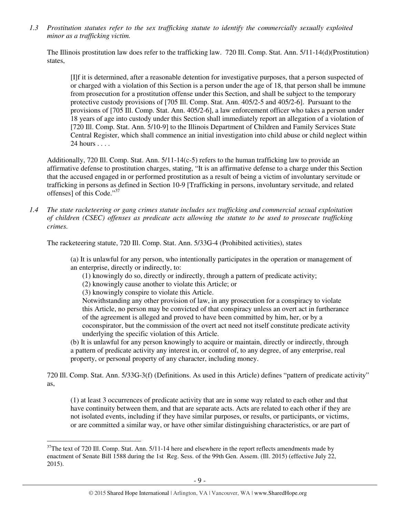*1.3 Prostitution statutes refer to the sex trafficking statute to identify the commercially sexually exploited minor as a trafficking victim.* 

The Illinois prostitution law does refer to the trafficking law. 720 Ill. Comp. Stat. Ann. 5/11-14(d)(Prostitution) states,

[I]f it is determined, after a reasonable detention for investigative purposes, that a person suspected of or charged with a violation of this Section is a person under the age of 18, that person shall be immune from prosecution for a prostitution offense under this Section, and shall be subject to the temporary protective custody provisions of [705 Ill. Comp. Stat. Ann. 405/2-5 and 405/2-6]. Pursuant to the provisions of [705 Ill. Comp. Stat. Ann. 405/2-6], a law enforcement officer who takes a person under 18 years of age into custody under this Section shall immediately report an allegation of a violation of [720 Ill. Comp. Stat. Ann. 5/10-9] to the Illinois Department of Children and Family Services State Central Register, which shall commence an initial investigation into child abuse or child neglect within 24 hours . . . .

Additionally, 720 Ill. Comp. Stat. Ann. 5/11-14(c-5) refers to the human trafficking law to provide an affirmative defense to prostitution charges, stating, "It is an affirmative defense to a charge under this Section that the accused engaged in or performed prostitution as a result of being a victim of involuntary servitude or trafficking in persons as defined in Section 10-9 [Trafficking in persons, involuntary servitude, and related offenses] of this Code."<sup>37</sup>

*1.4 The state racketeering or gang crimes statute includes sex trafficking and commercial sexual exploitation of children (CSEC) offenses as predicate acts allowing the statute to be used to prosecute trafficking crimes.* 

The racketeering statute, 720 Ill. Comp. Stat. Ann. 5/33G-4 (Prohibited activities), states

(a) It is unlawful for any person, who intentionally participates in the operation or management of an enterprise, directly or indirectly, to:

(1) knowingly do so, directly or indirectly, through a pattern of predicate activity;

(2) knowingly cause another to violate this Article; or

(3) knowingly conspire to violate this Article.

 $\overline{a}$ 

Notwithstanding any other provision of law, in any prosecution for a conspiracy to violate this Article, no person may be convicted of that conspiracy unless an overt act in furtherance of the agreement is alleged and proved to have been committed by him, her, or by a coconspirator, but the commission of the overt act need not itself constitute predicate activity underlying the specific violation of this Article.

(b) It is unlawful for any person knowingly to acquire or maintain, directly or indirectly, through a pattern of predicate activity any interest in, or control of, to any degree, of any enterprise, real property, or personal property of any character, including money.

720 Ill. Comp. Stat. Ann. 5/33G-3(f) (Definitions. As used in this Article) defines "pattern of predicate activity" as,

(1) at least 3 occurrences of predicate activity that are in some way related to each other and that have continuity between them, and that are separate acts. Acts are related to each other if they are not isolated events, including if they have similar purposes, or results, or participants, or victims, or are committed a similar way, or have other similar distinguishing characteristics, or are part of

 $37$ The text of 720 Ill. Comp. Stat. Ann.  $5/11$ -14 here and elsewhere in the report reflects amendments made by enactment of Senate Bill 1588 during the 1st Reg. Sess. of the 99th Gen. Assem. (Ill. 2015) (effective July 22, 2015).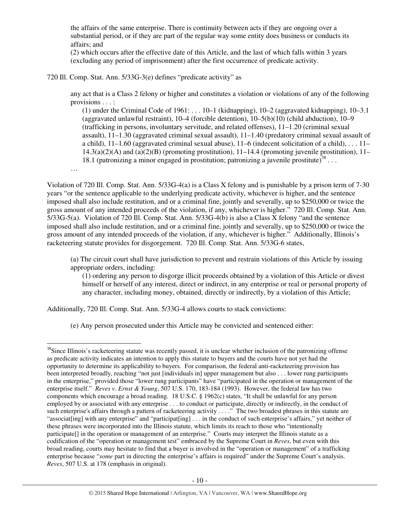the affairs of the same enterprise. There is continuity between acts if they are ongoing over a substantial period, or if they are part of the regular way some entity does business or conducts its affairs; and

(2) which occurs after the effective date of this Article, and the last of which falls within 3 years (excluding any period of imprisonment) after the first occurrence of predicate activity.

720 Ill. Comp. Stat. Ann. 5/33G-3(e) defines "predicate activity" as

any act that is a Class 2 felony or higher and constitutes a violation or violations of any of the following provisions . . . :

(1) under the Criminal Code of  $1961: \ldots 10-1$  (kidnapping),  $10-2$  (aggravated kidnapping),  $10-3.1$ (aggravated unlawful restraint), 10–4 (forcible detention), 10–5(b)(10) (child abduction), 10–9 (trafficking in persons, involuntary servitude, and related offenses), 11–1.20 (criminal sexual assault), 11–1.30 (aggravated criminal sexual assault), 11–1.40 (predatory criminal sexual assault of a child),  $11-1.60$  (aggravated criminal sexual abuse),  $11-6$  (indecent solicitation of a child), ...  $11 14.3(a)(2)(A)$  and  $(a)(2)(B)$  (promoting prostitution),  $11-14.4$  (promoting juvenile prostitution),  $11-$ 18.1 (patronizing a minor engaged in prostitution; patronizing a juvenile prostitute)<sup>38</sup>...

…

 $\overline{a}$ 

Violation of 720 Ill. Comp. Stat. Ann. 5/33G-4(a) is a Class X felony and is punishable by a prison term of 7-30 years "or the sentence applicable to the underlying predicate activity, whichever is higher, and the sentence imposed shall also include restitution, and or a criminal fine, jointly and severally, up to \$250,000 or twice the gross amount of any intended proceeds of the violation, if any, whichever is higher." 720 Ill. Comp. Stat. Ann. 5/33G-5(a). Violation of 720 Ill. Comp. Stat. Ann. 5/33G-4(b) is also a Class X felony "and the sentence imposed shall also include restitution, and or a criminal fine, jointly and severally, up to \$250,000 or twice the gross amount of any intended proceeds of the violation, if any, whichever is higher." Additionally, Illinois's racketeering statute provides for disgorgement. 720 Ill. Comp. Stat. Ann. 5/33G-6 states,

(a) The circuit court shall have jurisdiction to prevent and restrain violations of this Article by issuing appropriate orders, including:

(1) ordering any person to disgorge illicit proceeds obtained by a violation of this Article or divest himself or herself of any interest, direct or indirect, in any enterprise or real or personal property of any character, including money, obtained, directly or indirectly, by a violation of this Article;

Additionally, 720 Ill. Comp. Stat. Ann. 5/33G-4 allows courts to stack convictions:

(e) Any person prosecuted under this Article may be convicted and sentenced either:

<sup>&</sup>lt;sup>38</sup>Since Illinois's racketeering statute was recently passed, it is unclear whether inclusion of the patronizing offense as predicate activity indicates an intention to apply this statute to buyers and the courts have not yet had the opportunity to determine its applicability to buyers. For comparison, the federal anti-racketeering provision has been interpreted broadly, reaching "not just [individuals in] upper management but also . . . lower rung participants in the enterprise," provided those "lower rung participants" have "participated in the operation or management of the enterprise itself." *Reves v. Ernst & Young*, 507 U.S. 170, 183-184 (1993). However, the federal law has two components which encourage a broad reading. 18 U.S.C. § 1962(c) states, "It shall be unlawful for any person employed by or associated with any enterprise . . . to conduct or participate, directly or indirectly, in the conduct of such enterprise's affairs through a pattern of racketeering activity . . . ." The two broadest phrases in this statute are "associat[ing] with any enterprise" and "participat[ing] ... in the conduct of such enterprise's affairs," yet neither of these phrases were incorporated into the Illinois statute, which limits its reach to those who "intentionally participate[] in the operation or management of an enterprise." Courts may interpret the Illinois statute as a codification of the "operation or management test" embraced by the Supreme Court in *Reves*, but even with this broad reading, courts may hesitate to find that a buyer is involved in the "operation or management" of a trafficking enterprise because "*some* part in directing the enterprise's affairs is required" under the Supreme Court's analysis. *Reves*, 507 U.S. at 178 (emphasis in original).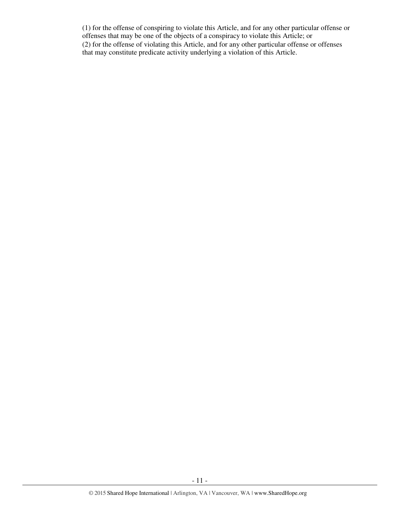(1) for the offense of conspiring to violate this Article, and for any other particular offense or offenses that may be one of the objects of a conspiracy to violate this Article; or (2) for the offense of violating this Article, and for any other particular offense or offenses that may constitute predicate activity underlying a violation of this Article.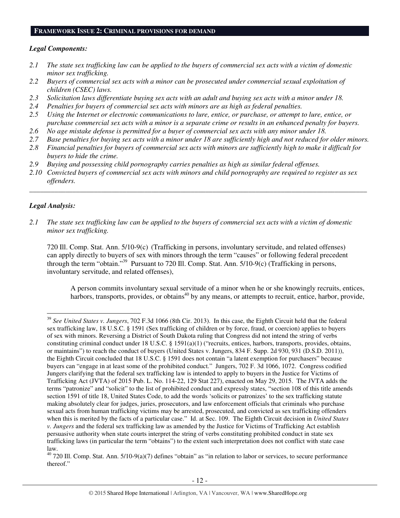#### **FRAMEWORK ISSUE 2: CRIMINAL PROVISIONS FOR DEMAND**

## *Legal Components:*

- *2.1 The state sex trafficking law can be applied to the buyers of commercial sex acts with a victim of domestic minor sex trafficking.*
- *2.2 Buyers of commercial sex acts with a minor can be prosecuted under commercial sexual exploitation of children (CSEC) laws.*
- *2.3 Solicitation laws differentiate buying sex acts with an adult and buying sex acts with a minor under 18.*
- *2.4 Penalties for buyers of commercial sex acts with minors are as high as federal penalties.*
- *2.5 Using the Internet or electronic communications to lure, entice, or purchase, or attempt to lure, entice, or purchase commercial sex acts with a minor is a separate crime or results in an enhanced penalty for buyers.*
- *2.6 No age mistake defense is permitted for a buyer of commercial sex acts with any minor under 18.*
- *2.7 Base penalties for buying sex acts with a minor under 18 are sufficiently high and not reduced for older minors.*
- *2.8 Financial penalties for buyers of commercial sex acts with minors are sufficiently high to make it difficult for buyers to hide the crime.*
- *2.9 Buying and possessing child pornography carries penalties as high as similar federal offenses.*
- *2.10 Convicted buyers of commercial sex acts with minors and child pornography are required to register as sex offenders.*

\_\_\_\_\_\_\_\_\_\_\_\_\_\_\_\_\_\_\_\_\_\_\_\_\_\_\_\_\_\_\_\_\_\_\_\_\_\_\_\_\_\_\_\_\_\_\_\_\_\_\_\_\_\_\_\_\_\_\_\_\_\_\_\_\_\_\_\_\_\_\_\_\_\_\_\_\_\_\_\_\_\_\_\_\_\_\_\_\_\_\_\_\_\_

# *Legal Analysis:*

 $\overline{a}$ 

*2.1 The state sex trafficking law can be applied to the buyers of commercial sex acts with a victim of domestic minor sex trafficking.* 

720 Ill. Comp. Stat. Ann. 5/10-9(c) (Trafficking in persons, involuntary servitude, and related offenses) can apply directly to buyers of sex with minors through the term "causes" or following federal precedent through the term "obtain."<sup>39</sup> Pursuant to 720 Ill. Comp. Stat. Ann. 5/10-9(c) (Trafficking in persons, involuntary servitude, and related offenses),

A person commits involuntary sexual servitude of a minor when he or she knowingly recruits, entices, harbors, transports, provides, or obtains<sup>40</sup> by any means, or attempts to recruit, entice, harbor, provide,

<sup>39</sup> *See United States v. Jungers*, 702 F.3d 1066 (8th Cir. 2013). In this case, the Eighth Circuit held that the federal sex trafficking law, 18 U.S.C. § 1591 (Sex trafficking of children or by force, fraud, or coercion) applies to buyers of sex with minors. Reversing a District of South Dakota ruling that Congress did not intend the string of verbs constituting criminal conduct under 18 U.S.C. § 1591(a)(1) ("recruits, entices, harbors, transports, provides, obtains, or maintains") to reach the conduct of buyers (United States v. Jungers, 834 F. Supp. 2d 930, 931 (D.S.D. 2011)), the Eighth Circuit concluded that 18 U.S.C. § 1591 does not contain "a latent exemption for purchasers" because buyers can "engage in at least some of the prohibited conduct." Jungers, 702 F. 3d 1066, 1072. Congress codified Jungers clarifying that the federal sex trafficking law is intended to apply to buyers in the Justice for Victims of Trafficking Act (JVTA) of 2015 Pub. L. No. 114-22, 129 Stat 227), enacted on May 29, 2015. The JVTA adds the terms "patronize" and "solicit" to the list of prohibited conduct and expressly states, "section 108 of this title amends section 1591 of title 18, United States Code, to add the words 'solicits or patronizes' to the sex trafficking statute making absolutely clear for judges, juries, prosecutors, and law enforcement officials that criminals who purchase sexual acts from human trafficking victims may be arrested, prosecuted, and convicted as sex trafficking offenders when this is merited by the facts of a particular case." Id. at Sec. 109. The Eighth Circuit decision in *United States v. Jungers* and the federal sex trafficking law as amended by the Justice for Victims of Trafficking Act establish persuasive authority when state courts interpret the string of verbs constituting prohibited conduct in state sex trafficking laws (in particular the term "obtains") to the extent such interpretation does not conflict with state case law.

 $40$  720 Ill. Comp. Stat. Ann.  $5/10-9(a)(7)$  defines "obtain" as "in relation to labor or services, to secure performance thereof."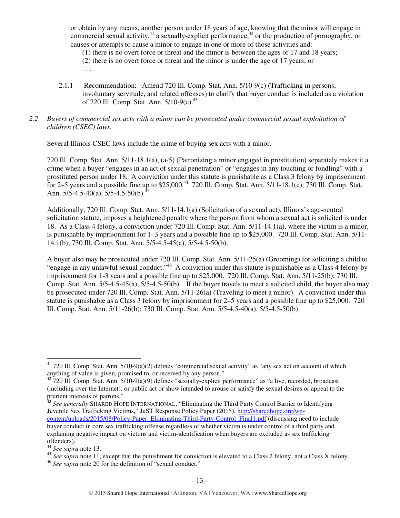or obtain by any means, another person under 18 years of age, knowing that the minor will engage in commercial sexual activity,<sup>41</sup> a sexually-explicit performance,<sup>42</sup> or the production of pornography, or causes or attempts to cause a minor to engage in one or more of those activities and:

(1) there is no overt force or threat and the minor is between the ages of 17 and 18 years;

- (2) there is no overt force or threat and the minor is under the age of 17 years; or
- . . . .
- 2.1.1 Recommendation: Amend 720 Ill. Comp. Stat. Ann. 5/10-9(c) (Trafficking in persons, involuntary servitude, and related offenses) to clarify that buyer conduct is included as a violation of 720 Ill. Comp. Stat. Ann. 5/10-9(c).<sup>43</sup>

# *2.2 Buyers of commercial sex acts with a minor can be prosecuted under commercial sexual exploitation of children (CSEC) laws.*

Several Illinois CSEC laws include the crime of buying sex acts with a minor.

720 Ill. Comp. Stat. Ann. 5/11-18.1(a), (a-5) (Patronizing a minor engaged in prostitution) separately makes it a crime when a buyer "engages in an act of sexual penetration" or "engages in any touching or fondling" with a prostituted person under 18. A conviction under this statute is punishable as a Class 3 felony by imprisonment for 2–5 years and a possible fine up to  $$25,000<sup>44</sup>$  720 Ill. Comp. Stat. Ann. 5/11-18.1(c): 730 Ill. Comp. Stat. Ann.  $5/5-4.5-40(a)$ ,  $5/5-4.5-50(b)$ .<sup>45</sup>

Additionally, 720 Ill. Comp. Stat. Ann. 5/11-14.1(a) (Solicitation of a sexual act), Illinois's age-neutral solicitation statute, imposes a heightened penalty where the person from whom a sexual act is solicited is under 18. As a Class 4 felony, a conviction under 720 Ill. Comp. Stat. Ann. 5/11-14.1(a), where the victim is a minor, is punishable by imprisonment for 1–3 years and a possible fine up to \$25,000. 720 Ill. Comp. Stat. Ann. 5/11- 14.1(b); 730 Ill. Comp. Stat. Ann. 5/5-4.5-45(a), 5/5-4.5-50(b).

A buyer also may be prosecuted under 720 Ill. Comp. Stat. Ann. 5/11-25(a) (Grooming) for soliciting a child to "engage in any unlawful sexual conduct."<sup>46</sup> A conviction under this statute is punishable as a Class 4 felony by imprisonment for 1-3 years and a possible fine up to \$25,000. 720 Ill. Comp. Stat. Ann. 5/11-25(b); 730 Ill. Comp. Stat. Ann. 5/5-4.5-45(a), 5/5-4.5-50(b). If the buyer travels to meet a solicited child, the buyer also may be prosecuted under 720 Ill. Comp. Stat. Ann. 5/11-26(a) (Traveling to meet a minor). A conviction under this statute is punishable as a Class 3 felony by imprisonment for 2–5 years and a possible fine up to \$25,000. 720 Ill. Comp. Stat. Ann. 5/11-26(b); 730 Ill. Comp. Stat. Ann. 5/5-4.5-40(a), 5/5-4.5-50(b).

<sup>43</sup> See generally SHARED HOPE INTERNATIONAL, "Eliminating the Third Party Control Barrier to Identifying Juvenile Sex Trafficking Victims," JuST Response Policy Paper (2015), http://sharedhope.org/wpcontent/uploads/2015/08/Policy-Paper\_Eliminating-Third-Party-Control\_Final1.pdf (discussing need to include buyer conduct in core sex trafficking offense regardless of whether victim is under control of a third party and explaining negative impact on victims and victim-identification when buyers are excluded as sex trafficking offenders).

 $\overline{a}$ 

 $41$  720 Ill. Comp. Stat. Ann.  $5/10-9(a)(2)$  defines "commercial sexual activity" as "any sex act on account of which anything of value is given, promised to, or received by any person."

 $42$  720 Ill. Comp. Stat. Ann.  $5/10-9(a)(9)$  defines "sexually-explicit performance" as "a live, recorded, broadcast (including over the Internet), or public act or show intended to arouse or satisfy the sexual desires or appeal to the prurient interests of patrons."

<sup>44</sup> *See supra* note 13.

<sup>&</sup>lt;sup>45</sup> See supra note 11, except that the punishment for conviction is elevated to a Class 2 felony, not a Class X felony.

<sup>46</sup> *See supra* note 20 for the definition of "sexual conduct."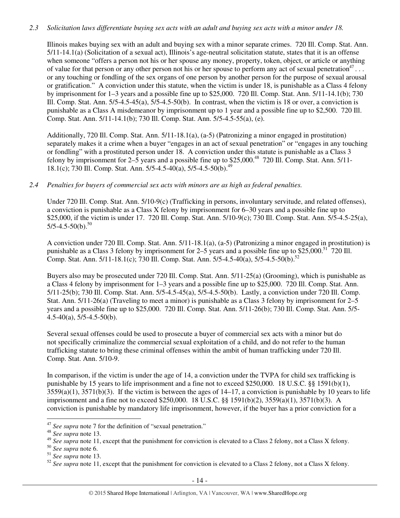## *2.3 Solicitation laws differentiate buying sex acts with an adult and buying sex acts with a minor under 18.*

Illinois makes buying sex with an adult and buying sex with a minor separate crimes. 720 Ill. Comp. Stat. Ann. 5/11-14.1(a) (Solicitation of a sexual act), Illinois's age-neutral solicitation statute, states that it is an offense when someone "offers a person not his or her spouse any money, property, token, object, or article or anything of value for that person or any other person not his or her spouse to perform any act of sexual penetration<sup>47</sup>... or any touching or fondling of the sex organs of one person by another person for the purpose of sexual arousal or gratification." A conviction under this statute, when the victim is under 18, is punishable as a Class 4 felony by imprisonment for 1–3 years and a possible fine up to \$25,000. 720 Ill. Comp. Stat. Ann. 5/11-14.1(b); 730 Ill. Comp. Stat. Ann. 5/5-4.5-45(a), 5/5-4.5-50(b). In contrast, when the victim is 18 or over, a conviction is punishable as a Class A misdemeanor by imprisonment up to 1 year and a possible fine up to \$2,500. 720 Ill. Comp. Stat. Ann. 5/11-14.1(b); 730 Ill. Comp. Stat. Ann. 5/5-4.5-55(a), (e).

Additionally, 720 Ill. Comp. Stat. Ann. 5/11-18.1(a), (a-5) (Patronizing a minor engaged in prostitution) separately makes it a crime when a buyer "engages in an act of sexual penetration" or "engages in any touching or fondling" with a prostituted person under 18. A conviction under this statute is punishable as a Class 3 felony by imprisonment for  $2-\overline{5}$  years and a possible fine up to \$25,000.<sup>48</sup> 720 Ill. Comp. Stat. Ann. 5/11-18.1(c); 730 Ill. Comp. Stat. Ann. 5/5-4.5-40(a), 5/5-4.5-50(b).<sup>49</sup>

# *2.4 Penalties for buyers of commercial sex acts with minors are as high as federal penalties.*

Under 720 Ill. Comp. Stat. Ann. 5/10-9(c) (Trafficking in persons, involuntary servitude, and related offenses), a conviction is punishable as a Class X felony by imprisonment for 6–30 years and a possible fine up to \$25,000, if the victim is under 17. 720 Ill. Comp. Stat. Ann. 5/10-9(c); 730 Ill. Comp. Stat. Ann. 5/5-4.5-25(a),  $5/5-4.5-50(b).$ <sup>50</sup>

A conviction under 720 Ill. Comp. Stat. Ann. 5/11-18.1(a), (a-5) (Patronizing a minor engaged in prostitution) is punishable as a Class 3 felony by imprisonment for  $2-5$  years and a possible fine up to \$25,000.<sup>51</sup> 720 Ill. Comp. Stat. Ann. 5/11-18.1(c); 730 Ill. Comp. Stat. Ann. 5/5-4.5-40(a), 5/5-4.5-50(b).<sup>52</sup>

Buyers also may be prosecuted under 720 Ill. Comp. Stat. Ann. 5/11-25(a) (Grooming), which is punishable as a Class 4 felony by imprisonment for 1–3 years and a possible fine up to \$25,000. 720 Ill. Comp. Stat. Ann. 5/11-25(b); 730 Ill. Comp. Stat. Ann. 5/5-4.5-45(a), 5/5-4.5-50(b). Lastly, a conviction under 720 Ill. Comp. Stat. Ann. 5/11-26(a) (Traveling to meet a minor) is punishable as a Class 3 felony by imprisonment for 2–5 years and a possible fine up to \$25,000. 720 Ill. Comp. Stat. Ann. 5/11-26(b); 730 Ill. Comp. Stat. Ann. 5/5- 4.5-40(a), 5/5-4.5-50(b).

Several sexual offenses could be used to prosecute a buyer of commercial sex acts with a minor but do not specifically criminalize the commercial sexual exploitation of a child, and do not refer to the human trafficking statute to bring these criminal offenses within the ambit of human trafficking under 720 Ill. Comp. Stat. Ann. 5/10-9.

In comparison, if the victim is under the age of 14, a conviction under the TVPA for child sex trafficking is punishable by 15 years to life imprisonment and a fine not to exceed \$250,000. 18 U.S.C. §§ 1591(b)(1),  $3559(a)(1)$ ,  $3571(b)(3)$ . If the victim is between the ages of  $14-17$ , a conviction is punishable by 10 years to life imprisonment and a fine not to exceed \$250,000. 18 U.S.C. §§ 1591(b)(2), 3559(a)(1), 3571(b)(3). A conviction is punishable by mandatory life imprisonment, however, if the buyer has a prior conviction for a

 $\overline{a}$ <sup>47</sup> *See supra* note 7 for the definition of "sexual penetration."

<sup>48</sup> *See supra* note 13.

<sup>&</sup>lt;sup>49</sup> See supra note 11, except that the punishment for conviction is elevated to a Class 2 felony, not a Class X felony.

<sup>50</sup> *See supra* note 6.

<sup>51</sup> *See supra* note 13.

<sup>&</sup>lt;sup>52</sup> See supra note 11, except that the punishment for conviction is elevated to a Class 2 felony, not a Class X felony.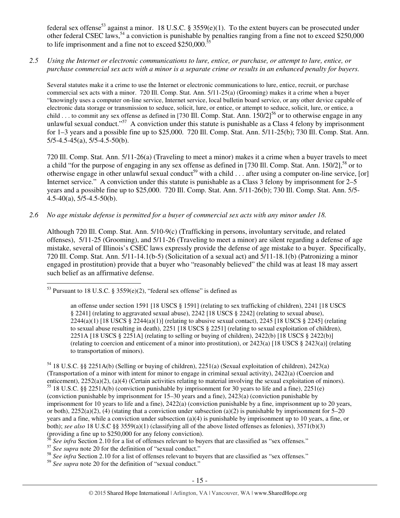federal sex offense<sup>53</sup> against a minor. 18 U.S.C. § 3559(e)(1). To the extent buyers can be prosecuted under other federal CSEC laws,  $54$  a conviction is punishable by penalties ranging from a fine not to exceed \$250,000 to life imprisonment and a fine not to exceed  $$250,000$ .<sup>5</sup>

*2.5 Using the Internet or electronic communications to lure, entice, or purchase, or attempt to lure, entice, or purchase commercial sex acts with a minor is a separate crime or results in an enhanced penalty for buyers.* 

Several statutes make it a crime to use the Internet or electronic communications to lure, entice, recruit, or purchase commercial sex acts with a minor. 720 Ill. Comp. Stat. Ann. 5/11-25(a) (Grooming) makes it a crime when a buyer "knowingly uses a computer on-line service, Internet service, local bulletin board service, or any other device capable of electronic data storage or transmission to seduce, solicit, lure, or entice, or attempt to seduce, solicit, lure, or entice, a child . . . to commit any sex offense as defined in [730 Ill. Comp. Stat. Ann.  $150/2$ ]<sup>56</sup> or to otherwise engage in any unlawful sexual conduct."<sup>57</sup> A conviction under this statute is punishable as a Class 4 felony by imprisonment for 1–3 years and a possible fine up to \$25,000. 720 Ill. Comp. Stat. Ann. 5/11-25(b); 730 Ill. Comp. Stat. Ann.  $5/5-4.5-45(a)$ ,  $5/5-4.5-50(b)$ .

720 Ill. Comp. Stat. Ann. 5/11-26(a) (Traveling to meet a minor) makes it a crime when a buyer travels to meet a child "for the purpose of engaging in any sex offense as defined in [730 Ill. Comp. Stat. Ann.  $150/2$ ],  $58$  or to otherwise engage in other unlawful sexual conduct<sup>59</sup> with a child  $\ldots$  after using a computer on-line service, [or] Internet service." A conviction under this statute is punishable as a Class 3 felony by imprisonment for 2–5 years and a possible fine up to \$25,000. 720 Ill. Comp. Stat. Ann. 5/11-26(b); 730 Ill. Comp. Stat. Ann. 5/5-  $4.5-40(a)$ ,  $5/5-4.5-50(b)$ .

*2.6 No age mistake defense is permitted for a buyer of commercial sex acts with any minor under 18.* 

Although 720 Ill. Comp. Stat. Ann. 5/10-9(c) (Trafficking in persons, involuntary servitude, and related offenses), 5/11-25 (Grooming), and 5/11-26 (Traveling to meet a minor) are silent regarding a defense of age mistake, several of Illinois's CSEC laws expressly provide the defense of age mistake to a buyer. Specifically, 720 Ill. Comp. Stat. Ann. 5/11-14.1(b-5) (Solicitation of a sexual act) and 5/11-18.1(b) (Patronizing a minor engaged in prostitution) provide that a buyer who "reasonably believed" the child was at least 18 may assert such belief as an affirmative defense.

 $\overline{a}$  $53$  Pursuant to 18 U.S.C. § 3559(e)(2), "federal sex offense" is defined as

an offense under section 1591 [18 USCS § 1591] (relating to sex trafficking of children), 2241 [18 USCS § 2241] (relating to aggravated sexual abuse), 2242 [18 USCS § 2242] (relating to sexual abuse),  $2244(a)(1)$  [18 USCS §  $2244(a)(1)$ ] (relating to abusive sexual contact),  $2245$  [18 USCS § 2245] (relating to sexual abuse resulting in death), 2251 [18 USCS § 2251] (relating to sexual exploitation of children), 2251A [18 USCS § 2251A] (relating to selling or buying of children), 2422(b) [18 USCS § 2422(b)] (relating to coercion and enticement of a minor into prostitution), or 2423(a) [18 USCS § 2423(a)] (relating to transportation of minors).

<sup>54</sup> 18 U.S.C. §§ 2251A(b) (Selling or buying of children), 2251(a) (Sexual exploitation of children), 2423(a) (Transportation of a minor with intent for minor to engage in criminal sexual activity), 2422(a) (Coercion and enticement), 2252(a)(2), (a)(4) (Certain activities relating to material involving the sexual exploitation of minors). <sup>55</sup> 18 U.S.C. §§ 2251A(b) (conviction punishable by imprisonment for 30 years to life and a fine), 2251(e) (conviction punishable by imprisonment for 15–30 years and a fine), 2423(a) (conviction punishable by imprisonment for 10 years to life and a fine), 2422(a) (conviction punishable by a fine, imprisonment up to 20 years, or both),  $2252(a)(2)$ , (4) (stating that a conviction under subsection (a)(2) is punishable by imprisonment for 5–20 years and a fine, while a conviction under subsection (a)(4) is punishable by imprisonment up to 10 years, a fine, or both); *see also* 18 U.S.C §§ 3559(a)(1) (classifying all of the above listed offenses as felonies), 3571(b)(3) (providing a fine up to \$250,000 for any felony conviction).

<sup>&</sup>lt;sup>56</sup> See infra Section 2.10 for a list of offenses relevant to buyers that are classified as "sex offenses."

<sup>&</sup>lt;sup>57</sup> See supra note 20 for the definition of "sexual conduct."

<sup>&</sup>lt;sup>58</sup> See infra Section 2.10 for a list of offenses relevant to buyers that are classified as "sex offenses."

<sup>59</sup> *See supra* note 20 for the definition of "sexual conduct."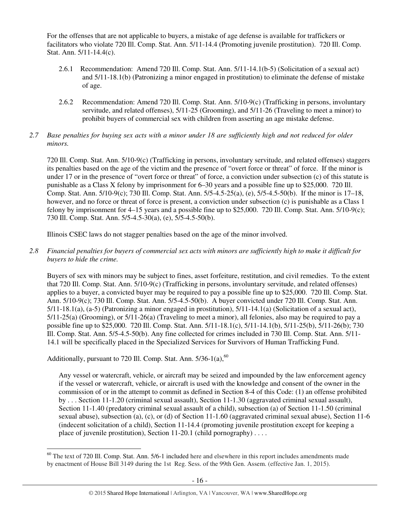For the offenses that are not applicable to buyers, a mistake of age defense is available for traffickers or facilitators who violate 720 Ill. Comp. Stat. Ann. 5/11-14.4 (Promoting juvenile prostitution). 720 Ill. Comp. Stat. Ann. 5/11-14.4(c).

- 2.6.1 Recommendation: Amend 720 Ill. Comp. Stat. Ann. 5/11-14.1(b-5) (Solicitation of a sexual act) and 5/11-18.1(b) (Patronizing a minor engaged in prostitution) to eliminate the defense of mistake of age.
- 2.6.2 Recommendation: Amend 720 Ill. Comp. Stat. Ann. 5/10-9(c) (Trafficking in persons, involuntary servitude, and related offenses), 5/11-25 (Grooming), and 5/11-26 (Traveling to meet a minor) to prohibit buyers of commercial sex with children from asserting an age mistake defense.
- *2.7 Base penalties for buying sex acts with a minor under 18 are sufficiently high and not reduced for older minors.*

720 Ill. Comp. Stat. Ann. 5/10-9(c) (Trafficking in persons, involuntary servitude, and related offenses) staggers its penalties based on the age of the victim and the presence of "overt force or threat" of force. If the minor is under 17 or in the presence of "overt force or threat" of force, a conviction under subsection (c) of this statute is punishable as a Class X felony by imprisonment for 6–30 years and a possible fine up to \$25,000. 720 Ill. Comp. Stat. Ann. 5/10-9(c); 730 Ill. Comp. Stat. Ann. 5/5-4.5-25(a), (e), 5/5-4.5-50(b). If the minor is 17–18, however, and no force or threat of force is present, a conviction under subsection (c) is punishable as a Class 1 felony by imprisonment for 4–15 years and a possible fine up to \$25,000. 720 Ill. Comp. Stat. Ann. 5/10-9(c); 730 Ill. Comp. Stat. Ann. 5/5-4.5-30(a), (e), 5/5-4.5-50(b).

Illinois CSEC laws do not stagger penalties based on the age of the minor involved.

*2.8 Financial penalties for buyers of commercial sex acts with minors are sufficiently high to make it difficult for buyers to hide the crime.* 

Buyers of sex with minors may be subject to fines, asset forfeiture, restitution, and civil remedies. To the extent that 720 Ill. Comp. Stat. Ann. 5/10-9(c) (Trafficking in persons, involuntary servitude, and related offenses) applies to a buyer, a convicted buyer may be required to pay a possible fine up to \$25,000. 720 Ill. Comp. Stat. Ann. 5/10-9(c); 730 Ill. Comp. Stat. Ann. 5/5-4.5-50(b). A buyer convicted under 720 Ill. Comp. Stat. Ann. 5/11-18.1(a), (a-5) (Patronizing a minor engaged in prostitution), 5/11-14.1(a) (Solicitation of a sexual act), 5/11-25(a) (Grooming), or 5/11-26(a) (Traveling to meet a minor), all felonies, also may be required to pay a possible fine up to \$25,000. 720 Ill. Comp. Stat. Ann. 5/11-18.1(c), 5/11-14.1(b), 5/11-25(b), 5/11-26(b); 730 Ill. Comp. Stat. Ann. 5/5-4.5-50(b). Any fine collected for crimes included in 730 Ill. Comp. Stat. Ann. 5/11- 14.1 will be specifically placed in the Specialized Services for Survivors of Human Trafficking Fund.

Additionally, pursuant to 720 Ill. Comp. Stat. Ann.  $5/36-1(a)$ ,  $60$ 

Any vessel or watercraft, vehicle, or aircraft may be seized and impounded by the law enforcement agency if the vessel or watercraft, vehicle, or aircraft is used with the knowledge and consent of the owner in the commission of or in the attempt to commit as defined in Section 8-4 of this Code: (1) an offense prohibited by . . . Section 11-1.20 (criminal sexual assault), Section 11-1.30 (aggravated criminal sexual assault), Section 11-1.40 (predatory criminal sexual assault of a child), subsection (a) of Section 11-1.50 (criminal sexual abuse), subsection (a), (c), or (d) of Section 11-1.60 (aggravated criminal sexual abuse), Section 11-6 (indecent solicitation of a child), Section 11-14.4 (promoting juvenile prostitution except for keeping a place of juvenile prostitution), Section 11-20.1 (child pornography) . . . .

 $\overline{a}$  $60$  The text of 720 Ill. Comp. Stat. Ann. 5/6-1 included here and elsewhere in this report includes amendments made by enactment of House Bill 3149 during the 1st Reg. Sess. of the 99th Gen. Assem. (effective Jan. 1, 2015).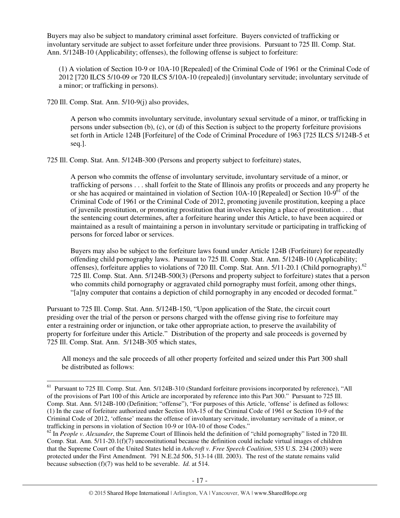Buyers may also be subject to mandatory criminal asset forfeiture. Buyers convicted of trafficking or involuntary servitude are subject to asset forfeiture under three provisions. Pursuant to 725 Ill. Comp. Stat. Ann. 5/124B-10 (Applicability; offenses), the following offense is subject to forfeiture:

(1) A violation of Section 10-9 or 10A-10 [Repealed] of the Criminal Code of 1961 or the Criminal Code of 2012 [720 ILCS 5/10-09 or 720 ILCS 5/10A-10 (repealed)] (involuntary servitude; involuntary servitude of a minor; or trafficking in persons).

720 Ill. Comp. Stat. Ann. 5/10-9(j) also provides,

 $\overline{a}$ 

A person who commits involuntary servitude, involuntary sexual servitude of a minor, or trafficking in persons under subsection (b), (c), or (d) of this Section is subject to the property forfeiture provisions set forth in Article 124B [Forfeiture] of the Code of Criminal Procedure of 1963 [725 ILCS 5/124B-5 et seq.].

725 Ill. Comp. Stat. Ann. 5/124B-300 (Persons and property subject to forfeiture) states,

A person who commits the offense of involuntary servitude, involuntary servitude of a minor, or trafficking of persons . . . shall forfeit to the State of Illinois any profits or proceeds and any property he or she has acquired or maintained in violation of Section 10A-10 [Repealed] or Section 10-9<sup>61</sup> of the Criminal Code of 1961 or the Criminal Code of 2012, promoting juvenile prostitution, keeping a place of juvenile prostitution, or promoting prostitution that involves keeping a place of prostitution . . . that the sentencing court determines, after a forfeiture hearing under this Article, to have been acquired or maintained as a result of maintaining a person in involuntary servitude or participating in trafficking of persons for forced labor or services.

Buyers may also be subject to the forfeiture laws found under Article 124B (Forfeiture) for repeatedly offending child pornography laws. Pursuant to 725 Ill. Comp. Stat. Ann. 5/124B-10 (Applicability; offenses), forfeiture applies to violations of 720 Ill. Comp. Stat. Ann. 5/11-20.1 (Child pornography).<sup>62</sup> 725 Ill. Comp. Stat. Ann. 5/124B-500(3) (Persons and property subject to forfeiture) states that a person who commits child pornography or aggravated child pornography must forfeit, among other things, "[a]ny computer that contains a depiction of child pornography in any encoded or decoded format."

Pursuant to 725 Ill. Comp. Stat. Ann. 5/124B-150, "Upon application of the State, the circuit court presiding over the trial of the person or persons charged with the offense giving rise to forfeiture may enter a restraining order or injunction, or take other appropriate action, to preserve the availability of property for forfeiture under this Article." Distribution of the property and sale proceeds is governed by 725 Ill. Comp. Stat. Ann. 5/124B-305 which states,

All moneys and the sale proceeds of all other property forfeited and seized under this Part 300 shall be distributed as follows:

<sup>&</sup>lt;sup>61</sup> Pursuant to 725 Ill. Comp. Stat. Ann. 5/124B-310 (Standard forfeiture provisions incorporated by reference), "All of the provisions of Part 100 of this Article are incorporated by reference into this Part 300." Pursuant to 725 Ill. Comp. Stat. Ann. 5/124B-100 (Definition; "offense"), "For purposes of this Article, 'offense' is defined as follows: (1) In the case of forfeiture authorized under Section 10A-15 of the Criminal Code of 1961 or Section 10-9 of the Criminal Code of 2012, 'offense' means the offense of involuntary servitude, involuntary servitude of a minor, or trafficking in persons in violation of Section 10-9 or 10A-10 of those Codes."

<sup>&</sup>lt;sup>62</sup> In *People v. Alexander*, the Supreme Court of Illinois held the definition of "child pornography" listed in 720 Ill. Comp. Stat. Ann. 5/11-20.1(f)(7) unconstitutional because the definition could include virtual images of children that the Supreme Court of the United States held in *Ashcroft v. Free Speech Coalition*, 535 U.S. 234 (2003) were protected under the First Amendment. 791 N.E.2d 506, 513-14 (Ill. 2003). The rest of the statute remains valid because subsection (f)(7) was held to be severable. *Id.* at 514.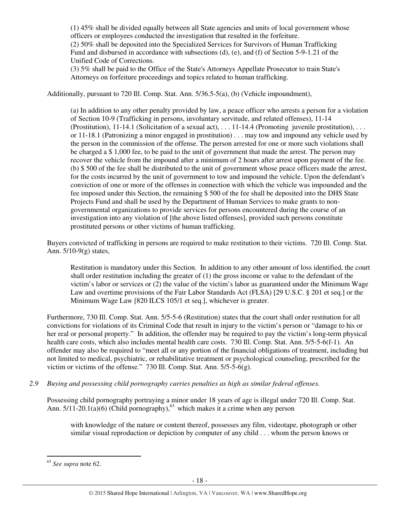(1) 45% shall be divided equally between all State agencies and units of local government whose officers or employees conducted the investigation that resulted in the forfeiture. (2) 50% shall be deposited into the Specialized Services for Survivors of Human Trafficking Fund and disbursed in accordance with subsections (d), (e), and (f) of Section 5-9-1.21 of the Unified Code of Corrections.

(3) 5% shall be paid to the Office of the State's Attorneys Appellate Prosecutor to train State's Attorneys on forfeiture proceedings and topics related to human trafficking.

Additionally, pursuant to 720 Ill. Comp. Stat. Ann. 5/36.5-5(a), (b) (Vehicle impoundment),

(a) In addition to any other penalty provided by law, a peace officer who arrests a person for a violation of Section 10-9 (Trafficking in persons, involuntary servitude, and related offenses), 11-14 (Prostitution),  $11-14.1$  (Solicitation of a sexual act), ...  $11-14.4$  (Promoting juvenile prostitution), ... or 11-18.1 (Patronizing a minor engaged in prostitution) . . . may tow and impound any vehicle used by the person in the commission of the offense. The person arrested for one or more such violations shall be charged a \$ 1,000 fee, to be paid to the unit of government that made the arrest. The person may recover the vehicle from the impound after a minimum of 2 hours after arrest upon payment of the fee. (b) \$ 500 of the fee shall be distributed to the unit of government whose peace officers made the arrest, for the costs incurred by the unit of government to tow and impound the vehicle. Upon the defendant's conviction of one or more of the offenses in connection with which the vehicle was impounded and the fee imposed under this Section, the remaining \$ 500 of the fee shall be deposited into the DHS State Projects Fund and shall be used by the Department of Human Services to make grants to nongovernmental organizations to provide services for persons encountered during the course of an investigation into any violation of [the above listed offenses], provided such persons constitute prostituted persons or other victims of human trafficking.

Buyers convicted of trafficking in persons are required to make restitution to their victims. 720 Ill. Comp. Stat. Ann. 5/10-9(g) states,

Restitution is mandatory under this Section. In addition to any other amount of loss identified, the court shall order restitution including the greater of (1) the gross income or value to the defendant of the victim's labor or services or (2) the value of the victim's labor as guaranteed under the Minimum Wage Law and overtime provisions of the Fair Labor Standards Act (FLSA) [29 U.S.C. § 201 et seq.] or the Minimum Wage Law [820 ILCS 105/1 et seq.], whichever is greater.

Furthermore, 730 Ill. Comp. Stat. Ann. 5/5-5-6 (Restitution) states that the court shall order restitution for all convictions for violations of its Criminal Code that result in injury to the victim's person or "damage to his or her real or personal property." In addition, the offender may be required to pay the victim's long-term physical health care costs, which also includes mental health care costs. 730 Ill. Comp. Stat. Ann. 5/5-5-6(f-1). An offender may also be required to "meet all or any portion of the financial obligations of treatment, including but not limited to medical, psychiatric, or rehabilitative treatment or psychological counseling, prescribed for the victim or victims of the offense." 730 Ill. Comp. Stat. Ann. 5/5-5-6(g).

*2.9 Buying and possessing child pornography carries penalties as high as similar federal offenses.* 

Possessing child pornography portraying a minor under 18 years of age is illegal under 720 Ill. Comp. Stat. Ann.  $5/11-20.1(a)(6)$  (Child pornography),<sup>63</sup> which makes it a crime when any person

with knowledge of the nature or content thereof, possesses any film, videotape, photograph or other similar visual reproduction or depiction by computer of any child . . . whom the person knows or

 $\overline{a}$ 

<sup>63</sup> *See supra* note 62.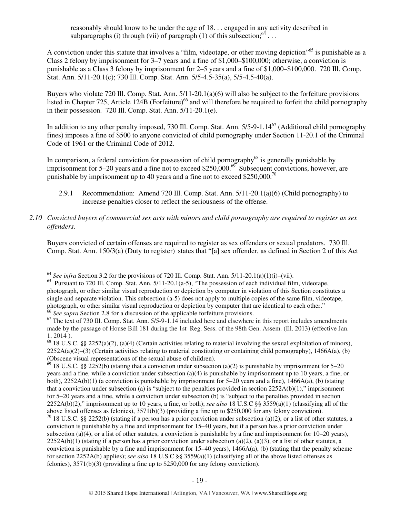reasonably should know to be under the age of 18. . . engaged in any activity described in subparagraphs (i) through (vii) of paragraph (1) of this subsection;  $^{64}$  ...

A conviction under this statute that involves a "film, videotape, or other moving depiction"<sup>65</sup> is punishable as a Class 2 felony by imprisonment for 3–7 years and a fine of \$1,000–\$100,000; otherwise, a conviction is punishable as a Class 3 felony by imprisonment for 2–5 years and a fine of \$1,000–\$100,000. 720 Ill. Comp. Stat. Ann. 5/11-20.1(c); 730 Ill. Comp. Stat. Ann. 5/5-4.5-35(a), 5/5-4.5-40(a).

Buyers who violate 720 Ill. Comp. Stat. Ann. 5/11-20.1(a)(6) will also be subject to the forfeiture provisions listed in Chapter 725, Article 124B (Forfeiture)<sup>66</sup> and will therefore be required to forfeit the child pornography in their possession. 720 Ill. Comp. Stat. Ann. 5/11-20.1(e).

In addition to any other penalty imposed, 730 Ill. Comp. Stat. Ann. 5/5-9-1.14<sup>67</sup> (Additional child pornography fines) imposes a fine of \$500 to anyone convicted of child pornography under Section 11-20.1 of the Criminal Code of 1961 or the Criminal Code of 2012.

In comparison, a federal conviction for possession of child pornography<sup>68</sup> is generally punishable by imprisonment for 5–20 years and a fine not to exceed \$250,000.<sup>69</sup> Subsequent convictions, however, are punishable by imprisonment up to 40 years and a fine not to exceed \$250,000.<sup>70</sup>

- 2.9.1 Recommendation: Amend 720 Ill. Comp. Stat. Ann.  $5/11-20.1(a)(6)$  (Child pornography) to increase penalties closer to reflect the seriousness of the offense.
- *2.10 Convicted buyers of commercial sex acts with minors and child pornography are required to register as sex offenders.*

Buyers convicted of certain offenses are required to register as sex offenders or sexual predators. 730 Ill. Comp. Stat. Ann. 150/3(a) (Duty to register) states that "[a] sex offender, as defined in Section 2 of this Act

 $\overline{a}$ 

 $69$  18 U.S.C. §§ 2252(b) (stating that a conviction under subsection (a)(2) is punishable by imprisonment for 5–20 years and a fine, while a conviction under subsection (a)(4) is punishable by imprisonment up to 10 years, a fine, or both), 2252A(b)(1) (a conviction is punishable by imprisonment for 5–20 years and a fine), 1466A(a), (b) (stating that a conviction under subsection (a) is "subject to the penalties provided in section  $2252A(b)(1)$ ," imprisonment for 5–20 years and a fine, while a conviction under subsection (b) is "subject to the penalties provided in section 2252A(b)(2)," imprisonment up to 10 years, a fine, or both); *see also* 18 U.S.C §§ 3559(a)(1) (classifying all of the above listed offenses as felonies), 3571(b)(3) (providing a fine up to \$250,000 for any felony conviction).

 $70$  18 U.S.C. §§ 2252(b) (stating if a person has a prior conviction under subsection (a)(2), or a list of other statutes, a conviction is punishable by a fine and imprisonment for 15–40 years, but if a person has a prior conviction under subsection (a)(4), or a list of other statutes, a conviction is punishable by a fine and imprisonment for  $10-20$  years),  $2252A(b)(1)$  (stating if a person has a prior conviction under subsection (a)(2), (a)(3), or a list of other statutes, a conviction is punishable by a fine and imprisonment for  $15-40$  years),  $1466A(a)$ , (b) (stating that the penalty scheme for section 2252A(b) applies); *see also* 18 U.S.C §§ 3559(a)(1) (classifying all of the above listed offenses as felonies), 3571(b)(3) (providing a fine up to \$250,000 for any felony conviction).

 $64$  *See infra* Section 3.2 for the provisions of 720 Ill. Comp. Stat. Ann. 5/11-20.1(a)(1)(i)–(vii).

<sup>&</sup>lt;sup>65</sup> Pursuant to 720 Ill. Comp. Stat. Ann. 5/11-20.1(a-5), "The possession of each individual film, videotape, photograph, or other similar visual reproduction or depiction by computer in violation of this Section constitutes a single and separate violation. This subsection (a-5) does not apply to multiple copies of the same film, videotape, photograph, or other similar visual reproduction or depiction by computer that are identical to each other." <sup>66</sup> See supra Section 2.8 for a discussion of the applicable forfeiture provisions.

<sup>&</sup>lt;sup>67</sup> The text of 730 Ill. Comp. Stat. Ann. 5/5-9-1.14 included here and elsewhere in this report includes amendments made by the passage of House Bill 181 during the 1st Reg. Sess. of the 98th Gen. Assem. (Ill. 2013) (effective Jan. 1, 2014 ).

 $68$  18 U.S.C. §§ 2252(a)(2), (a)(4) (Certain activities relating to material involving the sexual exploitation of minors),  $2252A(a)(2)$ –(3) (Certain activities relating to material constituting or containing child pornography), 1466A(a), (b) (Obscene visual representations of the sexual abuse of children).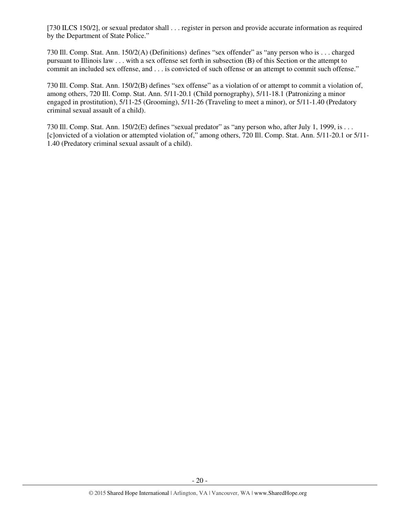[730 ILCS 150/2], or sexual predator shall . . . register in person and provide accurate information as required by the Department of State Police."

730 Ill. Comp. Stat. Ann. 150/2(A) (Definitions) defines "sex offender" as "any person who is . . . charged pursuant to Illinois law . . . with a sex offense set forth in subsection (B) of this Section or the attempt to commit an included sex offense, and . . . is convicted of such offense or an attempt to commit such offense."

730 Ill. Comp. Stat. Ann. 150/2(B) defines "sex offense" as a violation of or attempt to commit a violation of, among others, 720 Ill. Comp. Stat. Ann. 5/11-20.1 (Child pornography), 5/11-18.1 (Patronizing a minor engaged in prostitution), 5/11-25 (Grooming), 5/11-26 (Traveling to meet a minor), or 5/11-1.40 (Predatory criminal sexual assault of a child).

730 Ill. Comp. Stat. Ann. 150/2(E) defines "sexual predator" as "any person who, after July 1, 1999, is . . . [c]onvicted of a violation or attempted violation of," among others, 720 Ill. Comp. Stat. Ann. 5/11-20.1 or 5/11- 1.40 (Predatory criminal sexual assault of a child).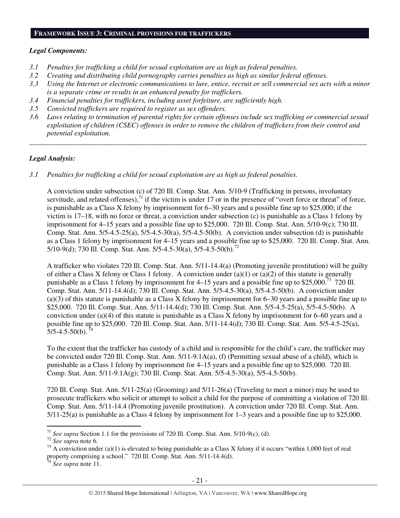#### **FRAMEWORK ISSUE 3: CRIMINAL PROVISIONS FOR TRAFFICKERS**

### *Legal Components:*

- *3.1 Penalties for trafficking a child for sexual exploitation are as high as federal penalties.*
- *3.2 Creating and distributing child pornography carries penalties as high as similar federal offenses.*
- *3.3 Using the Internet or electronic communications to lure, entice, recruit or sell commercial sex acts with a minor is a separate crime or results in an enhanced penalty for traffickers.*
- *3.4 Financial penalties for traffickers, including asset forfeiture, are sufficiently high.*
- *3.5 Convicted traffickers are required to register as sex offenders.*
- *3.6 Laws relating to termination of parental rights for certain offenses include sex trafficking or commercial sexual exploitation of children (CSEC) offenses in order to remove the children of traffickers from their control and potential exploitation.*

*\_\_\_\_\_\_\_\_\_\_\_\_\_\_\_\_\_\_\_\_\_\_\_\_\_\_\_\_\_\_\_\_\_\_\_\_\_\_\_\_\_\_\_\_\_\_\_\_\_\_\_\_\_\_\_\_\_\_\_\_\_\_\_\_\_\_\_\_\_\_\_\_\_\_\_\_\_\_\_\_\_\_\_\_\_\_\_\_\_\_\_\_\_\_* 

### *Legal Analysis:*

*3.1 Penalties for trafficking a child for sexual exploitation are as high as federal penalties.* 

A conviction under subsection (c) of 720 Ill. Comp. Stat. Ann. 5/10-9 (Trafficking in persons, involuntary servitude, and related offenses), $71$  if the victim is under 17 or in the presence of "overt force or threat" of force, is punishable as a Class X felony by imprisonment for 6–30 years and a possible fine up to \$25,000; if the victim is 17–18, with no force or threat, a conviction under subsection (c) is punishable as a Class 1 felony by imprisonment for 4–15 years and a possible fine up to \$25,000. 720 Ill. Comp. Stat. Ann. 5/10-9(c); 730 Ill. Comp. Stat. Ann.  $5/5-4.5-25(a)$ ,  $5/5-4.5-30(a)$ ,  $5/5-4.5-50(b)$ . A conviction under subsection (d) is punishable as a Class 1 felony by imprisonment for 4–15 years and a possible fine up to \$25,000. 720 Ill. Comp. Stat. Ann. 5/10-9(d); 730 Ill. Comp. Stat. Ann. 5/5-4.5-30(a), 5/5-4.5-50(b).<sup>72</sup>

A trafficker who violates 720 Ill. Comp. Stat. Ann. 5/11-14.4(a) (Promoting juvenile prostitution) will be guilty of either a Class X felony or Class 1 felony. A conviction under (a)(1) or (a)(2) of this statute is generally punishable as a Class 1 felony by imprisonment for  $4-15$  years and a possible fine up to \$25,000.<sup>73</sup> 720 Ill. Comp. Stat. Ann. 5/11-14.4(d); 730 Ill. Comp. Stat. Ann. 5/5-4.5-30(a), 5/5-4.5-50(b). A conviction under (a)(3) of this statute is punishable as a Class X felony by imprisonment for 6–30 years and a possible fine up to \$25,000. 720 Ill. Comp. Stat. Ann. 5/11-14.4(d); 730 Ill. Comp. Stat. Ann. 5/5-4.5-25(a), 5/5-4.5-50(b). A conviction under (a)(4) of this statute is punishable as a Class X felony by imprisonment for 6–60 years and a possible fine up to \$25,000. 720 Ill. Comp. Stat. Ann. 5/11-14.4(d); 730 Ill. Comp. Stat. Ann. 5/5-4.5-25(a),  $5/5-4.5-50(b)$ .<sup>7</sup>

To the extent that the trafficker has custody of a child and is responsible for the child's care, the trafficker may be convicted under 720 Ill. Comp. Stat. Ann. 5/11-9.1A(a), (f) (Permitting sexual abuse of a child), which is punishable as a Class 1 felony by imprisonment for 4–15 years and a possible fine up to \$25,000. 720 Ill. Comp. Stat. Ann. 5/11-9.1A(g); 730 Ill. Comp. Stat. Ann. 5/5-4.5-30(a), 5/5-4.5-50(b).

720 Ill. Comp. Stat. Ann. 5/11-25(a) (Grooming) and 5/11-26(a) (Traveling to meet a minor) may be used to prosecute traffickers who solicit or attempt to solicit a child for the purpose of committing a violation of 720 Ill. Comp. Stat. Ann. 5/11-14.4 (Promoting juvenile prostitution). A conviction under 720 Ill. Comp. Stat. Ann. 5/11-25(a) is punishable as a Class 4 felony by imprisonment for 1–3 years and a possible fine up to \$25,000.

 $\overline{a}$ 

<sup>71</sup> *See supra* Section 1.1 for the provisions of 720 Ill. Comp. Stat. Ann. 5/10-9(c), (d).

<sup>72</sup> *See supra* note 6.

<sup>&</sup>lt;sup>73</sup> A conviction under (a)(1) is elevated to being punishable as a Class X felony if it occurs "within 1,000 feet of real property comprising a school." 720 Ill. Comp. Stat. Ann. 5/11-14.4(d).

<sup>74</sup> *See supra* note 11.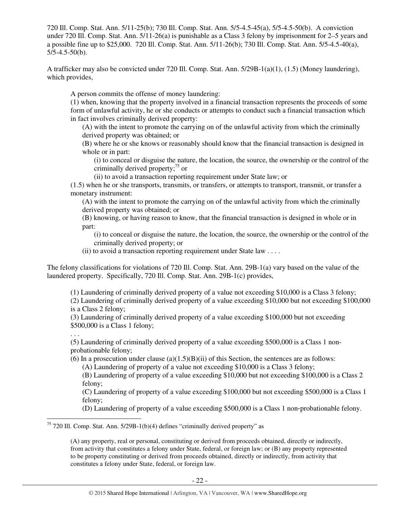720 Ill. Comp. Stat. Ann. 5/11-25(b); 730 Ill. Comp. Stat. Ann. 5/5-4.5-45(a), 5/5-4.5-50(b). A conviction under 720 Ill. Comp. Stat. Ann. 5/11-26(a) is punishable as a Class 3 felony by imprisonment for 2–5 years and a possible fine up to \$25,000. 720 Ill. Comp. Stat. Ann. 5/11-26(b); 730 Ill. Comp. Stat. Ann. 5/5-4.5-40(a),  $5/5-4.5-50(b)$ .

A trafficker may also be convicted under 720 Ill. Comp. Stat. Ann. 5/29B-1(a)(1), (1.5) (Money laundering), which provides,

A person commits the offense of money laundering:

(1) when, knowing that the property involved in a financial transaction represents the proceeds of some form of unlawful activity, he or she conducts or attempts to conduct such a financial transaction which in fact involves criminally derived property:

(A) with the intent to promote the carrying on of the unlawful activity from which the criminally derived property was obtained; or

(B) where he or she knows or reasonably should know that the financial transaction is designed in whole or in part:

(i) to conceal or disguise the nature, the location, the source, the ownership or the control of the criminally derived property; $^{75}$  or

(ii) to avoid a transaction reporting requirement under State law; or

(1.5) when he or she transports, transmits, or transfers, or attempts to transport, transmit, or transfer a monetary instrument:

(A) with the intent to promote the carrying on of the unlawful activity from which the criminally derived property was obtained; or

(B) knowing, or having reason to know, that the financial transaction is designed in whole or in part:

(i) to conceal or disguise the nature, the location, the source, the ownership or the control of the criminally derived property; or

(ii) to avoid a transaction reporting requirement under State law  $\dots$ .

The felony classifications for violations of 720 Ill. Comp. Stat. Ann. 29B-1(a) vary based on the value of the laundered property. Specifically, 720 Ill. Comp. Stat. Ann. 29B-1(c) provides,

(1) Laundering of criminally derived property of a value not exceeding \$10,000 is a Class 3 felony;

(2) Laundering of criminally derived property of a value exceeding \$10,000 but not exceeding \$100,000 is a Class 2 felony;

(3) Laundering of criminally derived property of a value exceeding \$100,000 but not exceeding \$500,000 is a Class 1 felony;

. . .

 $\overline{a}$ 

(5) Laundering of criminally derived property of a value exceeding \$500,000 is a Class 1 nonprobationable felony;

(6) In a prosecution under clause (a) $(1.5)(B)(ii)$  of this Section, the sentences are as follows:

(A) Laundering of property of a value not exceeding \$10,000 is a Class 3 felony;

(B) Laundering of property of a value exceeding \$10,000 but not exceeding \$100,000 is a Class 2 felony;

(C) Laundering of property of a value exceeding \$100,000 but not exceeding \$500,000 is a Class 1 felony;

(D) Laundering of property of a value exceeding \$500,000 is a Class 1 non‑probationable felony.

 $75$  720 Ill. Comp. Stat. Ann.  $5/29B-1(b)(4)$  defines "criminally derived property" as

(A) any property, real or personal, constituting or derived from proceeds obtained, directly or indirectly, from activity that constitutes a felony under State, federal, or foreign law; or (B) any property represented to be property constituting or derived from proceeds obtained, directly or indirectly, from activity that constitutes a felony under State, federal, or foreign law.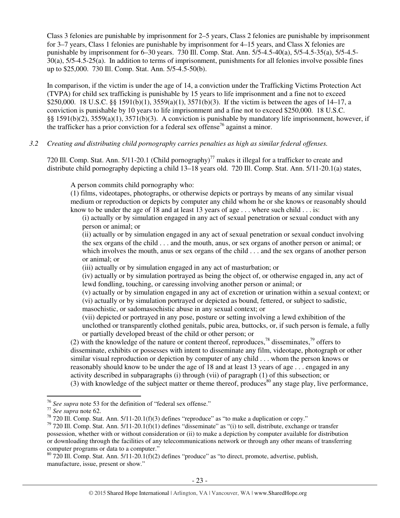Class 3 felonies are punishable by imprisonment for 2–5 years, Class 2 felonies are punishable by imprisonment for 3–7 years, Class 1 felonies are punishable by imprisonment for 4–15 years, and Class X felonies are punishable by imprisonment for 6–30 years. 730 Ill. Comp. Stat. Ann. 5/5-4.5-40(a), 5/5-4.5-35(a), 5/5-4.5- 30(a), 5/5-4.5-25(a). In addition to terms of imprisonment, punishments for all felonies involve possible fines up to \$25,000. 730 Ill. Comp. Stat. Ann. 5/5-4.5-50(b).

In comparison, if the victim is under the age of 14, a conviction under the Trafficking Victims Protection Act (TVPA) for child sex trafficking is punishable by 15 years to life imprisonment and a fine not to exceed \$250,000. 18 U.S.C. §§ 1591(b)(1), 3559(a)(1), 3571(b)(3). If the victim is between the ages of 14–17, a conviction is punishable by 10 years to life imprisonment and a fine not to exceed \$250,000. 18 U.S.C. §§ 1591(b)(2), 3559(a)(1), 3571(b)(3). A conviction is punishable by mandatory life imprisonment, however, if the trafficker has a prior conviction for a federal sex offense<sup>76</sup> against a minor.

### *3.2 Creating and distributing child pornography carries penalties as high as similar federal offenses.*

720 Ill. Comp. Stat. Ann. 5/11-20.1 (Child pornography)<sup>77</sup> makes it illegal for a trafficker to create and distribute child pornography depicting a child 13–18 years old. 720 Ill. Comp. Stat. Ann. 5/11-20.1(a) states,

A person commits child pornography who:

(1) films, videotapes, photographs, or otherwise depicts or portrays by means of any similar visual medium or reproduction or depicts by computer any child whom he or she knows or reasonably should know to be under the age of 18 and at least 13 years of age  $\dots$  where such child  $\dots$  is:

(i) actually or by simulation engaged in any act of sexual penetration or sexual conduct with any person or animal; or

(ii) actually or by simulation engaged in any act of sexual penetration or sexual conduct involving the sex organs of the child . . . and the mouth, anus, or sex organs of another person or animal; or which involves the mouth, anus or sex organs of the child . . . and the sex organs of another person or animal; or

(iii) actually or by simulation engaged in any act of masturbation; or

(iv) actually or by simulation portrayed as being the object of, or otherwise engaged in, any act of lewd fondling, touching, or caressing involving another person or animal; or

(v) actually or by simulation engaged in any act of excretion or urination within a sexual context; or (vi) actually or by simulation portrayed or depicted as bound, fettered, or subject to sadistic, masochistic, or sadomasochistic abuse in any sexual context; or

(vii) depicted or portrayed in any pose, posture or setting involving a lewd exhibition of the unclothed or transparently clothed genitals, pubic area, buttocks, or, if such person is female, a fully or partially developed breast of the child or other person; or

(2) with the knowledge of the nature or content thereof, reproduces,<sup>78</sup> disseminates,<sup>79</sup> offers to disseminate, exhibits or possesses with intent to disseminate any film, videotape, photograph or other similar visual reproduction or depiction by computer of any child . . . whom the person knows or reasonably should know to be under the age of 18 and at least 13 years of age . . . engaged in any activity described in subparagraphs (i) through (vii) of paragraph (1) of this subsection; or (3) with knowledge of the subject matter or theme thereof, produces<sup>80</sup> any stage play, live performance,

 $\overline{a}$ <sup>76</sup> *See supra* note 53 for the definition of "federal sex offense."

<sup>77</sup> *See supra* note 62.

 $78$  720 Ill. Comp. Stat. Ann. 5/11-20.1(f)(3) defines "reproduce" as "to make a duplication or copy."

 $79$  720 Ill. Comp. Stat. Ann. 5/11-20.1(f)(1) defines "disseminate" as "(i) to sell, distribute, exchange or transfer possession, whether with or without consideration or (ii) to make a depiction by computer available for distribution or downloading through the facilities of any telecommunications network or through any other means of transferring computer programs or data to a computer."

 $80\,720$  Ill. Comp. Stat. Ann. 5/11-20.1(f)(2) defines "produce" as "to direct, promote, advertise, publish, manufacture, issue, present or show."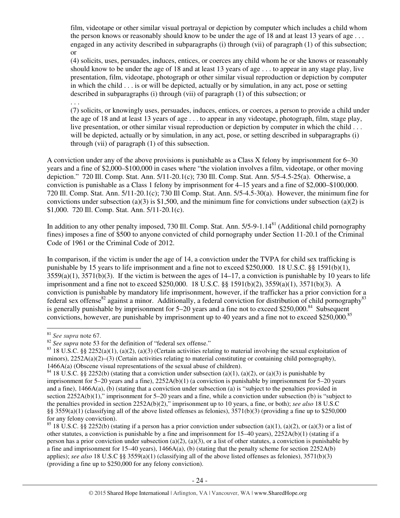film, videotape or other similar visual portrayal or depiction by computer which includes a child whom the person knows or reasonably should know to be under the age of 18 and at least 13 years of age . . . engaged in any activity described in subparagraphs (i) through (vii) of paragraph (1) of this subsection; or

(4) solicits, uses, persuades, induces, entices, or coerces any child whom he or she knows or reasonably should know to be under the age of 18 and at least 13 years of age . . . to appear in any stage play, live presentation, film, videotape, photograph or other similar visual reproduction or depiction by computer in which the child . . . is or will be depicted, actually or by simulation, in any act, pose or setting described in subparagraphs (i) through (vii) of paragraph (1) of this subsection; or

. . .

(7) solicits, or knowingly uses, persuades, induces, entices, or coerces, a person to provide a child under the age of 18 and at least 13 years of age . . . to appear in any videotape, photograph, film, stage play, live presentation, or other similar visual reproduction or depiction by computer in which the child . . . will be depicted, actually or by simulation, in any act, pose, or setting described in subparagraphs (i) through (vii) of paragraph (1) of this subsection.

A conviction under any of the above provisions is punishable as a Class X felony by imprisonment for 6–30 years and a fine of \$2,000–\$100,000 in cases where "the violation involves a film, videotape, or other moving depiction." 720 Ill. Comp. Stat. Ann. 5/11-20.1(c); 730 Ill. Comp. Stat. Ann. 5/5-4.5-25(a). Otherwise, a conviction is punishable as a Class 1 felony by imprisonment for 4–15 years and a fine of \$2,000–\$100,000. 720 Ill. Comp. Stat. Ann. 5/11-20.1(c); 730 Ill Comp. Stat. Ann. 5/5-4.5-30(a). However, the minimum fine for convictions under subsection (a)(3) is \$1,500, and the minimum fine for convictions under subsection (a)(2) is \$1,000. 720 Ill. Comp. Stat. Ann. 5/11-20.1(c).

In addition to any other penalty imposed, 730 Ill. Comp. Stat. Ann. 5/5-9-1.14<sup>81</sup> (Additional child pornography fines) imposes a fine of \$500 to anyone convicted of child pornography under Section 11-20.1 of the Criminal Code of 1961 or the Criminal Code of 2012.

In comparison, if the victim is under the age of 14, a conviction under the TVPA for child sex trafficking is punishable by 15 years to life imprisonment and a fine not to exceed \$250,000. 18 U.S.C. §§ 1591(b)(1),  $3559(a)(1)$ ,  $3571(b)(3)$ . If the victim is between the ages of  $14-17$ , a conviction is punishable by 10 years to life imprisonment and a fine not to exceed \$250,000. 18 U.S.C. §§ 1591(b)(2), 3559(a)(1), 3571(b)(3). A conviction is punishable by mandatory life imprisonment, however, if the trafficker has a prior conviction for a federal sex offense<sup>82</sup> against a minor. Additionally, a federal conviction for distribution of child pornography<sup>83</sup> is generally punishable by imprisonment for  $5-20$  years and a fine not to exceed \$250,000.<sup>84</sup> Subsequent convictions, however, are punishable by imprisonment up to 40 years and a fine not to exceed \$250,000.<sup>85</sup>

 $\overline{a}$ <sup>81</sup> *See supra* note 67.

<sup>&</sup>lt;sup>82</sup> See supra note 53 for the definition of "federal sex offense."

 $83$  18 U.S.C. §§ 2252(a)(1), (a)(2), (a)(3) (Certain activities relating to material involving the sexual exploitation of minors),  $2252A(a)(2)$ –(3) (Certain activities relating to material constituting or containing child pornography), 1466A(a) (Obscene visual representations of the sexual abuse of children).

<sup>&</sup>lt;sup>84</sup> 18 U.S.C. §§ 2252(b) (stating that a conviction under subsection (a)(1), (a)(2), or (a)(3) is punishable by imprisonment for 5–20 years and a fine), 2252A(b)(1) (a conviction is punishable by imprisonment for 5–20 years and a fine), 1466A(a), (b) (stating that a conviction under subsection (a) is "subject to the penalties provided in section 2252A(b)(1)," imprisonment for 5–20 years and a fine, while a conviction under subsection (b) is "subject to the penalties provided in section 2252A(b)(2)," imprisonment up to 10 years, a fine, or both); *see also* 18 U.S.C §§ 3559(a)(1) (classifying all of the above listed offenses as felonies),  $3571(b)(3)$  (providing a fine up to \$250,000 for any felony conviction).

<sup>&</sup>lt;sup>85</sup> 18 U.S.C. §§ 2252(b) (stating if a person has a prior conviction under subsection (a)(1), (a)(2), or (a)(3) or a list of other statutes, a conviction is punishable by a fine and imprisonment for 15–40 years), 2252A(b)(1) (stating if a person has a prior conviction under subsection (a)(2), (a)(3), or a list of other statutes, a conviction is punishable by a fine and imprisonment for 15–40 years),  $1466A(a)$ , (b) (stating that the penalty scheme for section 2252A(b) applies); *see also* 18 U.S.C §§ 3559(a)(1) (classifying all of the above listed offenses as felonies), 3571(b)(3) (providing a fine up to \$250,000 for any felony conviction).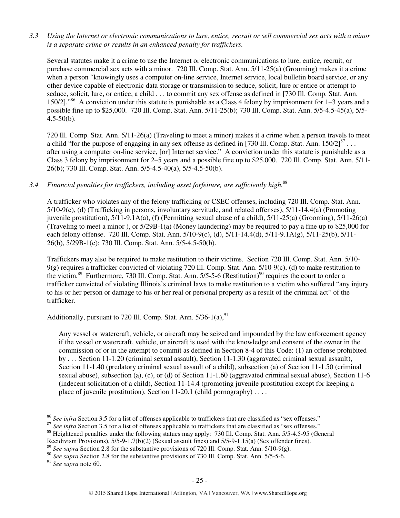*3.3 Using the Internet or electronic communications to lure, entice, recruit or sell commercial sex acts with a minor is a separate crime or results in an enhanced penalty for traffickers.* 

Several statutes make it a crime to use the Internet or electronic communications to lure, entice, recruit, or purchase commercial sex acts with a minor. 720 Ill. Comp. Stat. Ann. 5/11-25(a) (Grooming) makes it a crime when a person "knowingly uses a computer on-line service, Internet service, local bulletin board service, or any other device capable of electronic data storage or transmission to seduce, solicit, lure or entice or attempt to seduce, solicit, lure, or entice, a child . . . to commit any sex offense as defined in [730 Ill. Comp. Stat. Ann. 150/2]."<sup>86</sup> A conviction under this statute is punishable as a Class 4 felony by imprisonment for 1–3 years and a possible fine up to \$25,000. 720 Ill. Comp. Stat. Ann. 5/11-25(b); 730 Ill. Comp. Stat. Ann. 5/5-4.5-45(a), 5/5- 4.5-50(b).

720 Ill. Comp. Stat. Ann. 5/11-26(a) (Traveling to meet a minor) makes it a crime when a person travels to meet a child "for the purpose of engaging in any sex offense as defined in [730 Ill. Comp. Stat. Ann.  $150/2$ ]<sup>87</sup>... after using a computer on-line service, [or] Internet service." A conviction under this statute is punishable as a Class 3 felony by imprisonment for 2–5 years and a possible fine up to \$25,000. 720 Ill. Comp. Stat. Ann. 5/11- 26(b); 730 Ill. Comp. Stat. Ann. 5/5-4.5-40(a), 5/5-4.5-50(b).

# *3.4 Financial penalties for traffickers, including asset forfeiture, are sufficiently high.*<sup>88</sup>

A trafficker who violates any of the felony trafficking or CSEC offenses, including 720 Ill. Comp. Stat. Ann. 5/10-9(c), (d) (Trafficking in persons, involuntary servitude, and related offenses), 5/11-14.4(a) (Promoting juvenile prostitution), 5/11-9.1A(a), (f) (Permitting sexual abuse of a child), 5/11-25(a) (Grooming), 5/11-26(a) (Traveling to meet a minor ), or 5/29B-1(a) (Money laundering) may be required to pay a fine up to \$25,000 for each felony offense. 720 Ill. Comp. Stat. Ann. 5/10-9(c), (d), 5/11-14.4(d), 5/11-9.1A(g), 5/11-25(b), 5/11- 26(b), 5/29B-1(c); 730 Ill. Comp. Stat. Ann. 5/5-4.5-50(b).

Traffickers may also be required to make restitution to their victims. Section 720 Ill. Comp. Stat. Ann. 5/10-  $9$ (g) requires a trafficker convicted of violating 720 Ill. Comp. Stat. Ann.  $5/10-9$ (c), (d) to make restitution to the victim.<sup>89</sup> Furthermore, 730 Ill. Comp. Stat. Ann.  $5/5$ -5-6 (Restitution)<sup>90</sup> requires the court to order a trafficker convicted of violating Illinois's criminal laws to make restitution to a victim who suffered "any injury to his or her person or damage to his or her real or personal property as a result of the criminal act" of the trafficker.

Additionally, pursuant to 720 Ill. Comp. Stat. Ann.  $5/36-1(a)$ ,  $91$ 

Any vessel or watercraft, vehicle, or aircraft may be seized and impounded by the law enforcement agency if the vessel or watercraft, vehicle, or aircraft is used with the knowledge and consent of the owner in the commission of or in the attempt to commit as defined in Section 8-4 of this Code: (1) an offense prohibited by . . . Section 11-1.20 (criminal sexual assault), Section 11-1.30 (aggravated criminal sexual assault), Section 11-1.40 (predatory criminal sexual assault of a child), subsection (a) of Section 11-1.50 (criminal sexual abuse), subsection (a), (c), or (d) of Section 11-1.60 (aggravated criminal sexual abuse), Section 11-6 (indecent solicitation of a child), Section 11-14.4 (promoting juvenile prostitution except for keeping a place of juvenile prostitution), Section 11-20.1 (child pornography) . . . .

<sup>91</sup> *See supra* note 60.

 $\overline{a}$ 

<sup>&</sup>lt;sup>86</sup> See infra Section 3.5 for a list of offenses applicable to traffickers that are classified as "sex offenses."

<sup>&</sup>lt;sup>87</sup> See infra Section 3.5 for a list of offenses applicable to traffickers that are classified as "sex offenses."

<sup>&</sup>lt;sup>88</sup> Heightened penalties under the following statues may apply: 730 Ill. Comp. Stat. Ann. 5/5-4.5-95 (General

Recidivism Provisions), 5/5-9-1.7(b)(2) (Sexual assault fines) and 5/5-9-1.15(a) (Sex offender fines).

See supra Section 2.8 for the substantive provisions of 720 Ill. Comp. Stat. Ann. 5/10-9(g).

<sup>&</sup>lt;sup>90</sup> See supra Section 2.8 for the substantive provisions of 730 Ill. Comp. Stat. Ann. 5/5-5-6.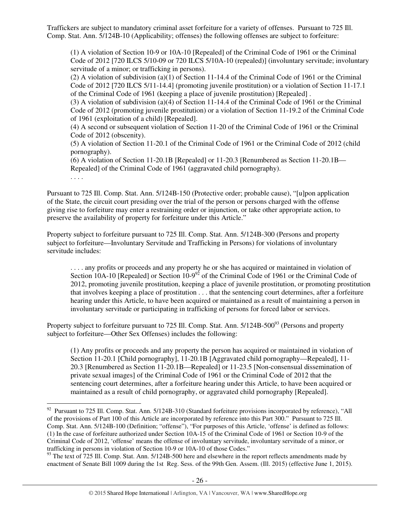Traffickers are subject to mandatory criminal asset forfeiture for a variety of offenses. Pursuant to 725 Ill. Comp. Stat. Ann. 5/124B-10 (Applicability; offenses) the following offenses are subject to forfeiture:

(1) A violation of Section 10-9 or 10A-10 [Repealed] of the Criminal Code of 1961 or the Criminal Code of 2012 [720 ILCS 5/10-09 or 720 ILCS 5/10A-10 (repealed)] (involuntary servitude; involuntary servitude of a minor; or trafficking in persons).

(2) A violation of subdivision (a)(1) of Section 11-14.4 of the Criminal Code of 1961 or the Criminal Code of 2012 [720 ILCS 5/11-14.4] (promoting juvenile prostitution) or a violation of Section 11-17.1 of the Criminal Code of 1961 (keeping a place of juvenile prostitution) [Repealed] .

(3) A violation of subdivision (a)(4) of Section 11-14.4 of the Criminal Code of 1961 or the Criminal Code of 2012 (promoting juvenile prostitution) or a violation of Section 11-19.2 of the Criminal Code of 1961 (exploitation of a child) [Repealed].

(4) A second or subsequent violation of Section 11-20 of the Criminal Code of 1961 or the Criminal Code of 2012 (obscenity).

(5) A violation of Section 11-20.1 of the Criminal Code of 1961 or the Criminal Code of 2012 (child pornography).

(6) A violation of Section 11-20.1B [Repealed] or 11-20.3 [Renumbered as Section 11-20.1B— Repealed] of the Criminal Code of 1961 (aggravated child pornography).

. . . .

 $\overline{a}$ 

Pursuant to 725 Ill. Comp. Stat. Ann. 5/124B-150 (Protective order; probable cause), "[u]pon application of the State, the circuit court presiding over the trial of the person or persons charged with the offense giving rise to forfeiture may enter a restraining order or injunction, or take other appropriate action, to preserve the availability of property for forfeiture under this Article."

Property subject to forfeiture pursuant to 725 Ill. Comp. Stat. Ann. 5/124B-300 (Persons and property subject to forfeiture—Involuntary Servitude and Trafficking in Persons) for violations of involuntary servitude includes:

. . . . any profits or proceeds and any property he or she has acquired or maintained in violation of Section 10A-10 [Repealed] or Section  $10-9^{92}$  of the Criminal Code of 1961 or the Criminal Code of 2012, promoting juvenile prostitution, keeping a place of juvenile prostitution, or promoting prostitution that involves keeping a place of prostitution . . . that the sentencing court determines, after a forfeiture hearing under this Article, to have been acquired or maintained as a result of maintaining a person in involuntary servitude or participating in trafficking of persons for forced labor or services.

Property subject to forfeiture pursuant to 725 Ill. Comp. Stat. Ann. 5/124B-500<sup>93</sup> (Persons and property subject to forfeiture—Other Sex Offenses) includes the following:

(1) Any profits or proceeds and any property the person has acquired or maintained in violation of Section 11-20.1 [Child pornography], 11-20.1B [Aggravated child pornography—Repealed], 11- 20.3 [Renumbered as Section 11-20.1B—Repealed] or 11-23.5 [Non-consensual dissemination of private sexual images] of the Criminal Code of 1961 or the Criminal Code of 2012 that the sentencing court determines, after a forfeiture hearing under this Article, to have been acquired or maintained as a result of child pornography, or aggravated child pornography [Repealed].

 $92$  Pursuant to 725 Ill. Comp. Stat. Ann. 5/124B-310 (Standard forfeiture provisions incorporated by reference), "All of the provisions of Part 100 of this Article are incorporated by reference into this Part 300." Pursuant to 725 Ill. Comp. Stat. Ann. 5/124B-100 (Definition; "offense"), "For purposes of this Article, 'offense' is defined as follows: (1) In the case of forfeiture authorized under Section 10A-15 of the Criminal Code of 1961 or Section 10-9 of the Criminal Code of 2012, 'offense' means the offense of involuntary servitude, involuntary servitude of a minor, or trafficking in persons in violation of Section 10-9 or 10A-10 of those Codes."

<sup>&</sup>lt;sup>93</sup> The text of 725 Ill. Comp. Stat. Ann. 5/124B-500 here and elsewhere in the report reflects amendments made by enactment of Senate Bill 1009 during the 1st Reg. Sess. of the 99th Gen. Assem. (Ill. 2015) (effective June 1, 2015).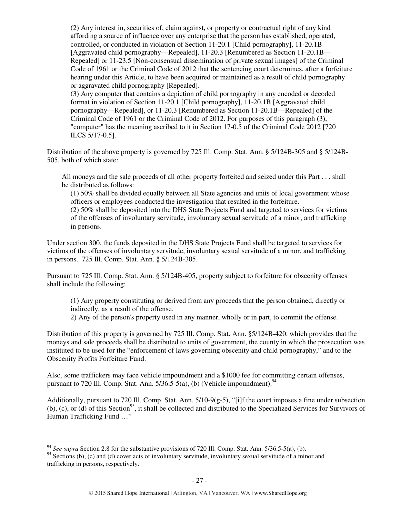(2) Any interest in, securities of, claim against, or property or contractual right of any kind affording a source of influence over any enterprise that the person has established, operated, controlled, or conducted in violation of Section 11-20.1 [Child pornography], 11-20.1B [Aggravated child pornography—Repealed], 11-20.3 [Renumbered as Section 11-20.1B— Repealed] or 11-23.5 [Non-consensual dissemination of private sexual images] of the Criminal Code of 1961 or the Criminal Code of 2012 that the sentencing court determines, after a forfeiture hearing under this Article, to have been acquired or maintained as a result of child pornography or aggravated child pornography [Repealed].

(3) Any computer that contains a depiction of child pornography in any encoded or decoded format in violation of Section 11-20.1 [Child pornography], 11-20.1B [Aggravated child pornography—Repealed], or 11-20.3 [Renumbered as Section 11-20.1B—Repealed] of the Criminal Code of 1961 or the Criminal Code of 2012. For purposes of this paragraph (3), "computer" has the meaning ascribed to it in Section 17-0.5 of the Criminal Code 2012 [720 ILCS 5/17-0.5].

Distribution of the above property is governed by 725 Ill. Comp. Stat. Ann. § 5/124B-305 and § 5/124B-505, both of which state:

All moneys and the sale proceeds of all other property forfeited and seized under this Part . . . shall be distributed as follows:

(1) 50% shall be divided equally between all State agencies and units of local government whose officers or employees conducted the investigation that resulted in the forfeiture.

(2) 50% shall be deposited into the DHS State Projects Fund and targeted to services for victims of the offenses of involuntary servitude, involuntary sexual servitude of a minor, and trafficking in persons.

Under section 300, the funds deposited in the DHS State Projects Fund shall be targeted to services for victims of the offenses of involuntary servitude, involuntary sexual servitude of a minor, and trafficking in persons. 725 Ill. Comp. Stat. Ann. § 5/124B-305.

Pursuant to 725 Ill. Comp. Stat. Ann. § 5/124B-405, property subject to forfeiture for obscenity offenses shall include the following:

(1) Any property constituting or derived from any proceeds that the person obtained, directly or indirectly, as a result of the offense.

2) Any of the person's property used in any manner, wholly or in part, to commit the offense.

Distribution of this property is governed by 725 Ill. Comp. Stat. Ann. §5/124B-420, which provides that the moneys and sale proceeds shall be distributed to units of government, the county in which the prosecution was instituted to be used for the "enforcement of laws governing obscenity and child pornography," and to the Obscenity Profits Forfeiture Fund.

Also, some traffickers may face vehicle impoundment and a \$1000 fee for committing certain offenses, pursuant to 720 Ill. Comp. Stat. Ann.  $5/36.5-5(a)$ , (b) (Vehicle impoundment).<sup>94</sup>

Additionally, pursuant to 720 Ill. Comp. Stat. Ann. 5/10-9(g-5), "[i]f the court imposes a fine under subsection (b), (c), or (d) of this Section<sup>95</sup>, it shall be collected and distributed to the Specialized Services for Survivors of Human Trafficking Fund …"

 $\overline{a}$ 

<sup>94</sup> *See supra* Section 2.8 for the substantive provisions of 720 Ill. Comp. Stat. Ann. 5/36.5-5(a), (b).

<sup>&</sup>lt;sup>95</sup> Sections (b), (c) and (d) cover acts of involuntary servitude, involuntary sexual servitude of a minor and trafficking in persons, respectively.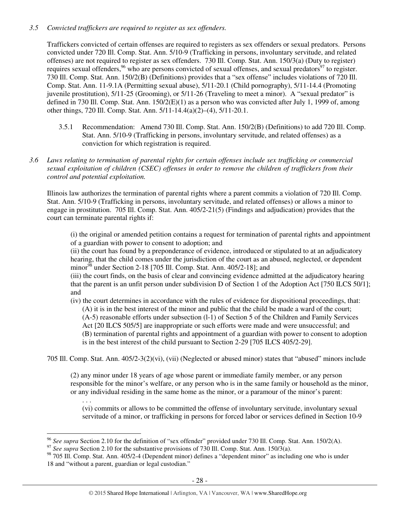# *3.5 Convicted traffickers are required to register as sex offenders.*

Traffickers convicted of certain offenses are required to registers as sex offenders or sexual predators. Persons convicted under 720 Ill. Comp. Stat. Ann. 5/10-9 (Trafficking in persons, involuntary servitude, and related offenses) are not required to register as sex offenders. 730 Ill. Comp. Stat. Ann. 150/3(a) (Duty to register) requires sexual offenders,<sup>96</sup> who are persons convicted of sexual offenses, and sexual predators<sup>97</sup> to register. 730 Ill. Comp. Stat. Ann. 150/2(B) (Definitions) provides that a "sex offense" includes violations of 720 Ill. Comp. Stat. Ann. 11-9.1A (Permitting sexual abuse), 5/11-20.1 (Child pornography), 5/11-14.4 (Promoting juvenile prostitution), 5/11-25 (Grooming), or 5/11-26 (Traveling to meet a minor). A "sexual predator" is defined in 730 Ill. Comp. Stat. Ann. 150/2(E)(1) as a person who was convicted after July 1, 1999 of, among other things, 720 Ill. Comp. Stat. Ann. 5/11-14.4(a)(2)–(4), 5/11-20.1.

- 3.5.1 Recommendation: Amend 730 Ill. Comp. Stat. Ann. 150/2(B) (Definitions) to add 720 Ill. Comp. Stat. Ann. 5/10-9 (Trafficking in persons, involuntary servitude, and related offenses) as a conviction for which registration is required.
- *3.6 Laws relating to termination of parental rights for certain offenses include sex trafficking or commercial sexual exploitation of children (CSEC) offenses in order to remove the children of traffickers from their control and potential exploitation.*

Illinois law authorizes the termination of parental rights where a parent commits a violation of 720 Ill. Comp. Stat. Ann. 5/10-9 (Trafficking in persons, involuntary servitude, and related offenses) or allows a minor to engage in prostitution. 705 Ill. Comp. Stat. Ann. 405/2-21(5) (Findings and adjudication) provides that the court can terminate parental rights if:

(i) the original or amended petition contains a request for termination of parental rights and appointment of a guardian with power to consent to adoption; and

(ii) the court has found by a preponderance of evidence, introduced or stipulated to at an adjudicatory hearing, that the child comes under the jurisdiction of the court as an abused, neglected, or dependent minor $^{98}$  under Section 2-18 [705 Ill. Comp. Stat. Ann. 405/2-18]; and

(iii) the court finds, on the basis of clear and convincing evidence admitted at the adjudicatory hearing that the parent is an unfit person under subdivision D of Section 1 of the Adoption Act [750 ILCS 50/1]; and

(iv) the court determines in accordance with the rules of evidence for dispositional proceedings, that: (A) it is in the best interest of the minor and public that the child be made a ward of the court; (A-5) reasonable efforts under subsection (l-1) of Section 5 of the Children and Family Services Act [20 ILCS 505/5] are inappropriate or such efforts were made and were unsuccessful; and (B) termination of parental rights and appointment of a guardian with power to consent to adoption is in the best interest of the child pursuant to Section 2-29 [705 ILCS 405/2-29].

705 Ill. Comp. Stat. Ann. 405/2-3(2)(vi), (vii) (Neglected or abused minor) states that "abused" minors include

(2) any minor under 18 years of age whose parent or immediate family member, or any person responsible for the minor's welfare, or any person who is in the same family or household as the minor, or any individual residing in the same home as the minor, or a paramour of the minor's parent:

(vi) commits or allows to be committed the offense of involuntary servitude, involuntary sexual servitude of a minor, or trafficking in persons for forced labor or services defined in Section 10-9

. . .

 $\overline{a}$ 

<sup>96</sup> *See supra* Section 2.10 for the definition of "sex offender" provided under 730 Ill. Comp. Stat. Ann. 150/2(A).

<sup>&</sup>lt;sup>97</sup> See supra Section 2.10 for the substantive provisions of 730 Ill. Comp. Stat. Ann. 150/3(a).

<sup>98 705</sup> Ill. Comp. Stat. Ann. 405/2-4 (Dependent minor) defines a "dependent minor" as including one who is under 18 and "without a parent, guardian or legal custodian."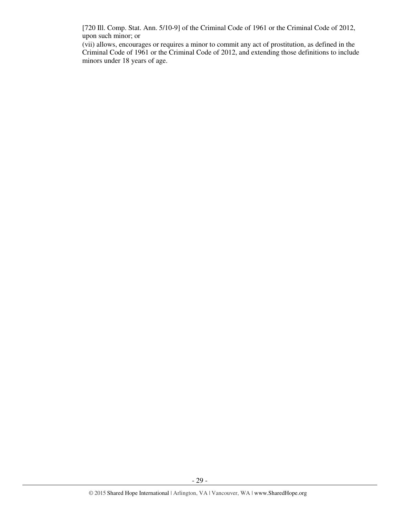[720 Ill. Comp. Stat. Ann. 5/10-9] of the Criminal Code of 1961 or the Criminal Code of 2012, upon such minor; or

(vii) allows, encourages or requires a minor to commit any act of prostitution, as defined in the Criminal Code of 1961 or the Criminal Code of 2012, and extending those definitions to include minors under 18 years of age.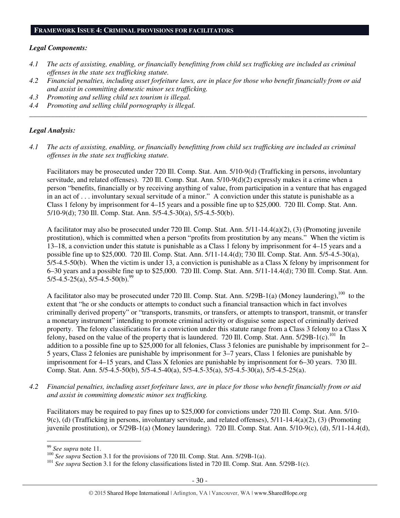#### **FRAMEWORK ISSUE 4: CRIMINAL PROVISIONS FOR FACILITATORS**

#### *Legal Components:*

- *4.1 The acts of assisting, enabling, or financially benefitting from child sex trafficking are included as criminal offenses in the state sex trafficking statute.*
- *4.2 Financial penalties, including asset forfeiture laws, are in place for those who benefit financially from or aid and assist in committing domestic minor sex trafficking.*

*\_\_\_\_\_\_\_\_\_\_\_\_\_\_\_\_\_\_\_\_\_\_\_\_\_\_\_\_\_\_\_\_\_\_\_\_\_\_\_\_\_\_\_\_\_\_\_\_\_\_\_\_\_\_\_\_\_\_\_\_\_\_\_\_\_\_\_\_\_\_\_\_\_\_\_\_\_\_\_\_\_\_\_\_\_\_\_\_\_\_\_\_\_\_* 

- *4.3 Promoting and selling child sex tourism is illegal.*
- *4.4 Promoting and selling child pornography is illegal.*

#### *Legal Analysis:*

*4.1 The acts of assisting, enabling, or financially benefitting from child sex trafficking are included as criminal offenses in the state sex trafficking statute.* 

Facilitators may be prosecuted under 720 Ill. Comp. Stat. Ann. 5/10-9(d) (Trafficking in persons, involuntary servitude, and related offenses). 720 Ill. Comp. Stat. Ann. 5/10-9(d)(2) expressly makes it a crime when a person "benefits, financially or by receiving anything of value, from participation in a venture that has engaged in an act of . . . involuntary sexual servitude of a minor." A conviction under this statute is punishable as a Class 1 felony by imprisonment for 4–15 years and a possible fine up to \$25,000. 720 Ill. Comp. Stat. Ann. 5/10-9(d); 730 Ill. Comp. Stat. Ann. 5/5-4.5-30(a), 5/5-4.5-50(b).

A facilitator may also be prosecuted under 720 Ill. Comp. Stat. Ann. 5/11-14.4(a)(2), (3) (Promoting juvenile prostitution), which is committed when a person "profits from prostitution by any means." When the victim is 13–18, a conviction under this statute is punishable as a Class 1 felony by imprisonment for 4–15 years and a possible fine up to \$25,000. 720 Ill. Comp. Stat. Ann. 5/11-14.4(d); 730 Ill. Comp. Stat. Ann. 5/5-4.5-30(a), 5/5-4.5-50(b). When the victim is under 13, a conviction is punishable as a Class X felony by imprisonment for 6–30 years and a possible fine up to \$25,000. 720 Ill. Comp. Stat. Ann. 5/11-14.4(d); 730 Ill. Comp. Stat. Ann.  $5/5-4.5-25(a)$ ,  $5/5-4.5-50(b)$ .<sup>99</sup>

A facilitator also may be prosecuted under 720 Ill. Comp. Stat. Ann. 5/29B-1(a) (Money laundering),<sup>100</sup> to the extent that "he or she conducts or attempts to conduct such a financial transaction which in fact involves criminally derived property" or "transports, transmits, or transfers, or attempts to transport, transmit, or transfer a monetary instrument" intending to promote criminal activity or disguise some aspect of criminally derived property. The felony classifications for a conviction under this statute range from a Class 3 felony to a Class X felony, based on the value of the property that is laundered. 720 Ill. Comp. Stat. Ann. 5/29B-1(c).<sup>101</sup> In addition to a possible fine up to \$25,000 for all felonies, Class 3 felonies are punishable by imprisonment for 2– 5 years, Class 2 felonies are punishable by imprisonment for 3–7 years, Class 1 felonies are punishable by imprisonment for 4–15 years, and Class X felonies are punishable by imprisonment for 6–30 years. 730 Ill. Comp. Stat. Ann. 5/5-4.5-50(b), 5/5-4.5-40(a), 5/5-4.5-35(a), 5/5-4.5-30(a), 5/5-4.5-25(a).

*4.2 Financial penalties, including asset forfeiture laws, are in place for those who benefit financially from or aid and assist in committing domestic minor sex trafficking.* 

Facilitators may be required to pay fines up to \$25,000 for convictions under 720 Ill. Comp. Stat. Ann. 5/10- 9(c), (d) (Trafficking in persons, involuntary servitude, and related offenses), 5/11-14.4(a)(2), (3) (Promoting juvenile prostitution), or 5/29B-1(a) (Money laundering). 720 Ill. Comp. Stat. Ann. 5/10-9(c), (d), 5/11-14.4(d),

 $\overline{a}$ <sup>99</sup> *See supra* note 11.

<sup>&</sup>lt;sup>100</sup> *See supra* Section 3.1 for the provisions of 720 Ill. Comp. Stat. Ann. 5/29B-1(a).

<sup>&</sup>lt;sup>101</sup> See supra Section 3.1 for the felony classifications listed in 720 Ill. Comp. Stat. Ann. 5/29B-1(c).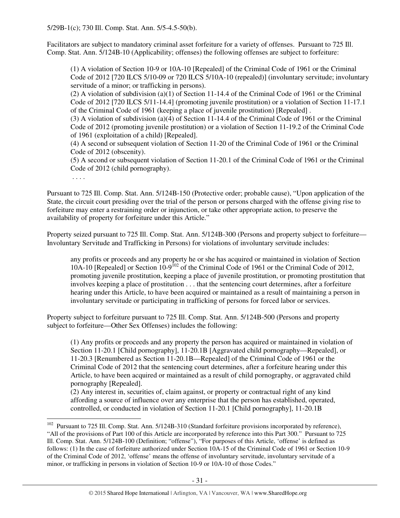Facilitators are subject to mandatory criminal asset forfeiture for a variety of offenses. Pursuant to 725 Ill. Comp. Stat. Ann. 5/124B-10 (Applicability; offenses) the following offenses are subject to forfeiture:

(1) A violation of Section 10-9 or 10A-10 [Repealed] of the Criminal Code of 1961 or the Criminal Code of 2012 [720 ILCS 5/10-09 or 720 ILCS 5/10A-10 (repealed)] (involuntary servitude; involuntary servitude of a minor; or trafficking in persons).

(2) A violation of subdivision (a)(1) of Section 11-14.4 of the Criminal Code of 1961 or the Criminal Code of 2012 [720 ILCS 5/11-14.4] (promoting juvenile prostitution) or a violation of Section 11-17.1 of the Criminal Code of 1961 (keeping a place of juvenile prostitution) [Repealed] .

(3) A violation of subdivision (a)(4) of Section 11-14.4 of the Criminal Code of 1961 or the Criminal Code of 2012 (promoting juvenile prostitution) or a violation of Section 11-19.2 of the Criminal Code of 1961 (exploitation of a child) [Repealed].

(4) A second or subsequent violation of Section 11-20 of the Criminal Code of 1961 or the Criminal Code of 2012 (obscenity).

(5) A second or subsequent violation of Section 11-20.1 of the Criminal Code of 1961 or the Criminal Code of 2012 (child pornography).

. . . .

 $\overline{a}$ 

Pursuant to 725 Ill. Comp. Stat. Ann. 5/124B-150 (Protective order; probable cause), "Upon application of the State, the circuit court presiding over the trial of the person or persons charged with the offense giving rise to forfeiture may enter a restraining order or injunction, or take other appropriate action, to preserve the availability of property for forfeiture under this Article."

Property seized pursuant to 725 Ill. Comp. Stat. Ann. 5/124B-300 (Persons and property subject to forfeiture— Involuntary Servitude and Trafficking in Persons) for violations of involuntary servitude includes:

any profits or proceeds and any property he or she has acquired or maintained in violation of Section  $10A-10$  [Repealed] or Section  $10-9^{102}$  of the Criminal Code of 1961 or the Criminal Code of 2012, promoting juvenile prostitution, keeping a place of juvenile prostitution, or promoting prostitution that involves keeping a place of prostitution . . . that the sentencing court determines, after a forfeiture hearing under this Article, to have been acquired or maintained as a result of maintaining a person in involuntary servitude or participating in trafficking of persons for forced labor or services.

Property subject to forfeiture pursuant to 725 Ill. Comp. Stat. Ann. 5/124B-500 (Persons and property subject to forfeiture—Other Sex Offenses) includes the following:

(1) Any profits or proceeds and any property the person has acquired or maintained in violation of Section 11-20.1 [Child pornography], 11-20.1B [Aggravated child pornography—Repealed], or 11-20.3 [Renumbered as Section 11-20.1B—Repealed] of the Criminal Code of 1961 or the Criminal Code of 2012 that the sentencing court determines, after a forfeiture hearing under this Article, to have been acquired or maintained as a result of child pornography, or aggravated child pornography [Repealed].

(2) Any interest in, securities of, claim against, or property or contractual right of any kind affording a source of influence over any enterprise that the person has established, operated, controlled, or conducted in violation of Section 11-20.1 [Child pornography], 11-20.1B

<sup>&</sup>lt;sup>102</sup> Pursuant to 725 Ill. Comp. Stat. Ann. 5/124B-310 (Standard forfeiture provisions incorporated by reference), "All of the provisions of Part 100 of this Article are incorporated by reference into this Part 300." Pursuant to 725 Ill. Comp. Stat. Ann. 5/124B-100 (Definition; "offense"), "For purposes of this Article, 'offense' is defined as follows: (1) In the case of forfeiture authorized under Section 10A-15 of the Criminal Code of 1961 or Section 10-9 of the Criminal Code of 2012, 'offense' means the offense of involuntary servitude, involuntary servitude of a minor, or trafficking in persons in violation of Section 10-9 or 10A-10 of those Codes."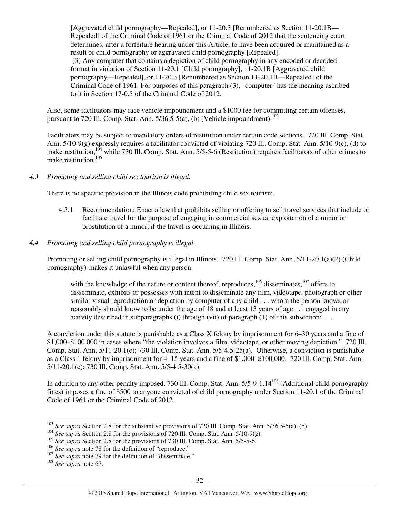[Aggravated child pornography—Repealed], or 11-20.3 [Renumbered as Section 11-20.1B— Repealed] of the Criminal Code of 1961 or the Criminal Code of 2012 that the sentencing court determines, after a forfeiture hearing under this Article, to have been acquired or maintained as a result of child pornography or aggravated child pornography [Repealed]. (3) Any computer that contains a depiction of child pornography in any encoded or decoded format in violation of Section 11-20.1 [Child pornography], 11-20.1B [Aggravated child pornography—Repealed], or 11-20.3 [Renumbered as Section 11-20.1B—Repealed] of the Criminal Code of 1961. For purposes of this paragraph (3), "computer" has the meaning ascribed to it in Section 17-0.5 of the Criminal Code of 2012.

Also, some facilitators may face vehicle impoundment and a \$1000 fee for committing certain offenses, pursuant to 720 Ill. Comp. Stat. Ann.  $5/36.5-5(a)$ , (b) (Vehicle impoundment).<sup>103</sup>

Facilitators may be subject to mandatory orders of restitution under certain code sections. 720 Ill. Comp. Stat. Ann. 5/10-9(g) expressly requires a facilitator convicted of violating 720 Ill. Comp. Stat. Ann. 5/10-9(c), (d) to make restitution,<sup>104</sup> while 730 Ill. Comp. Stat. Ann. 5/5-5-6 (Restitution) requires facilitators of other crimes to make restitution.<sup>105</sup>

### *4.3 Promoting and selling child sex tourism is illegal.*

There is no specific provision in the Illinois code prohibiting child sex tourism.

- 4.3.1 Recommendation: Enact a law that prohibits selling or offering to sell travel services that include or facilitate travel for the purpose of engaging in commercial sexual exploitation of a minor or prostitution of a minor, if the travel is occurring in Illinois.
- *4.4 Promoting and selling child pornography is illegal.*

Promoting or selling child pornography is illegal in Illinois. 720 Ill. Comp. Stat. Ann. 5/11-20.1(a)(2) (Child pornography) makes it unlawful when any person

with the knowledge of the nature or content thereof, reproduces,  $106$  disseminates,  $107$  offers to disseminate, exhibits or possesses with intent to disseminate any film, videotape, photograph or other similar visual reproduction or depiction by computer of any child . . . whom the person knows or reasonably should know to be under the age of 18 and at least 13 years of age . . . engaged in any activity described in subparagraphs (i) through (vii) of paragraph (1) of this subsection; ...

A conviction under this statute is punishable as a Class X felony by imprisonment for 6–30 years and a fine of \$1,000–\$100,000 in cases where "the violation involves a film, videotape, or other moving depiction." 720 Ill. Comp. Stat. Ann. 5/11-20.1(c); 730 Ill. Comp. Stat. Ann. 5/5-4.5-25(a). Otherwise, a conviction is punishable as a Class 1 felony by imprisonment for 4–15 years and a fine of \$1,000–\$100,000. 720 Ill. Comp. Stat. Ann. 5/11-20.1(c); 730 Ill. Comp. Stat. Ann. 5/5-4.5-30(a).

In addition to any other penalty imposed, 730 Ill. Comp. Stat. Ann. 5/5-9-1.14<sup>108</sup> (Additional child pornography fines) imposes a fine of \$500 to anyone convicted of child pornography under Section 11-20.1 of the Criminal Code of 1961 or the Criminal Code of 2012.

 $\overline{a}$ 

<sup>&</sup>lt;sup>103</sup> See supra Section 2.8 for the substantive provisions of 720 Ill. Comp. Stat. Ann. 5/36.5-5(a), (b).

<sup>&</sup>lt;sup>104</sup> *See supra* Section 2.8 for the provisions of 720 Ill. Comp. Stat. Ann. 5/10-9(g).

<sup>&</sup>lt;sup>105</sup> *See supra Section 2.8 for the provisions of 730 Ill. Comp. Stat. Ann. 5/5-5-6.* 

<sup>&</sup>lt;sup>106</sup> See supra note 78 for the definition of "reproduce."

<sup>&</sup>lt;sup>107</sup> See supra note 79 for the definition of "disseminate."

<sup>108</sup> *See supra* note 67.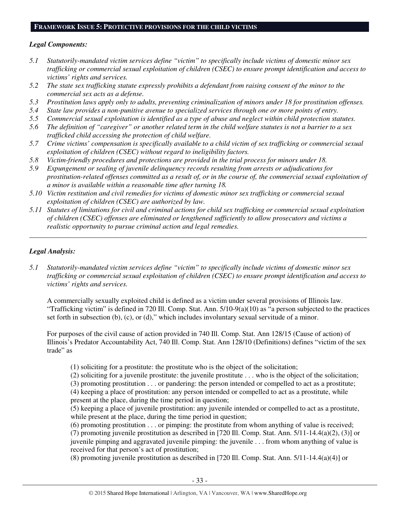#### **FRAMEWORK ISSUE 5: PROTECTIVE PROVISIONS FOR THE CHILD VICTIMS**

## *Legal Components:*

- *5.1 Statutorily-mandated victim services define "victim" to specifically include victims of domestic minor sex trafficking or commercial sexual exploitation of children (CSEC) to ensure prompt identification and access to victims' rights and services.*
- *5.2 The state sex trafficking statute expressly prohibits a defendant from raising consent of the minor to the commercial sex acts as a defense.*
- *5.3 Prostitution laws apply only to adults, preventing criminalization of minors under 18 for prostitution offenses.*
- *5.4 State law provides a non-punitive avenue to specialized services through one or more points of entry.*
- *5.5 Commercial sexual exploitation is identified as a type of abuse and neglect within child protection statutes.*
- *5.6 The definition of "caregiver" or another related term in the child welfare statutes is not a barrier to a sex trafficked child accessing the protection of child welfare.*
- *5.7 Crime victims' compensation is specifically available to a child victim of sex trafficking or commercial sexual exploitation of children (CSEC) without regard to ineligibility factors.*
- *5.8 Victim-friendly procedures and protections are provided in the trial process for minors under 18.*
- *5.9 Expungement or sealing of juvenile delinquency records resulting from arrests or adjudications for prostitution-related offenses committed as a result of, or in the course of, the commercial sexual exploitation of a minor is available within a reasonable time after turning 18.*
- *5.10 Victim restitution and civil remedies for victims of domestic minor sex trafficking or commercial sexual exploitation of children (CSEC) are authorized by law.*
- *5.11 Statutes of limitations for civil and criminal actions for child sex trafficking or commercial sexual exploitation of children (CSEC) offenses are eliminated or lengthened sufficiently to allow prosecutors and victims a realistic opportunity to pursue criminal action and legal remedies.*

*\_\_\_\_\_\_\_\_\_\_\_\_\_\_\_\_\_\_\_\_\_\_\_\_\_\_\_\_\_\_\_\_\_\_\_\_\_\_\_\_\_\_\_\_\_\_\_\_\_\_\_\_\_\_\_\_\_\_\_\_\_\_\_\_\_\_\_\_\_\_\_\_\_\_\_\_\_\_\_\_\_\_\_\_\_\_\_\_\_\_\_\_\_\_* 

# *Legal Analysis:*

*5.1 Statutorily-mandated victim services define "victim" to specifically include victims of domestic minor sex trafficking or commercial sexual exploitation of children (CSEC) to ensure prompt identification and access to victims' rights and services.* 

A commercially sexually exploited child is defined as a victim under several provisions of Illinois law. "Trafficking victim" is defined in 720 Ill. Comp. Stat. Ann. 5/10-9(a)(10) as "a person subjected to the practices set forth in subsection (b), (c), or (d)," which includes involuntary sexual servitude of a minor.

For purposes of the civil cause of action provided in 740 Ill. Comp. Stat. Ann 128/15 (Cause of action) of Illinois's Predator Accountability Act, 740 Ill. Comp. Stat. Ann 128/10 (Definitions) defines "victim of the sex trade" as

(1) soliciting for a prostitute: the prostitute who is the object of the solicitation;

(2) soliciting for a juvenile prostitute: the juvenile prostitute . . . who is the object of the solicitation;

(3) promoting prostitution . . . or pandering: the person intended or compelled to act as a prostitute;

(4) keeping a place of prostitution: any person intended or compelled to act as a prostitute, while present at the place, during the time period in question;

(5) keeping a place of juvenile prostitution: any juvenile intended or compelled to act as a prostitute, while present at the place, during the time period in question;

(6) promoting prostitution . . . or pimping: the prostitute from whom anything of value is received; (7) promoting juvenile prostitution as described in [720 Ill. Comp. Stat. Ann. 5/11-14.4(a)(2), (3)] or juvenile pimping and aggravated juvenile pimping: the juvenile . . . from whom anything of value is received for that person's act of prostitution;

(8) promoting juvenile prostitution as described in [720 Ill. Comp. Stat. Ann. 5/11-14.4(a)(4)] or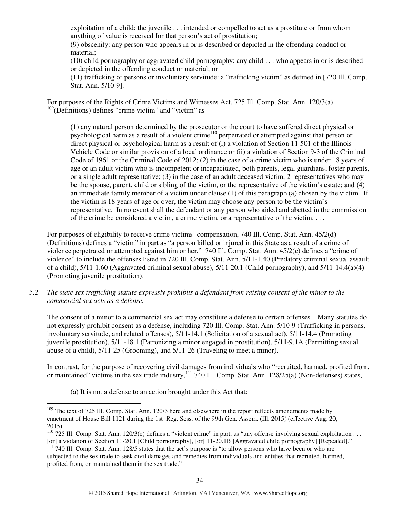exploitation of a child: the juvenile . . . intended or compelled to act as a prostitute or from whom anything of value is received for that person's act of prostitution;

(9) obscenity: any person who appears in or is described or depicted in the offending conduct or material;

(10) child pornography or aggravated child pornography: any child . . . who appears in or is described or depicted in the offending conduct or material; or

(11) trafficking of persons or involuntary servitude: a "trafficking victim" as defined in [720 Ill. Comp. Stat. Ann. 5/10-9].

For purposes of the Rights of Crime Victims and Witnesses Act, 725 Ill. Comp. Stat. Ann. 120/3(a)  $109$ (Definitions) defines "crime victim" and "victim" as

(1) any natural person determined by the prosecutor or the court to have suffered direct physical or psychological harm as a result of a violent crime<sup>110</sup> perpetrated or attempted against that person or direct physical or psychological harm as a result of (i) a violation of Section 11-501 of the Illinois Vehicle Code or similar provision of a local ordinance or (ii) a violation of Section 9-3 of the Criminal Code of 1961 or the Criminal Code of 2012; (2) in the case of a crime victim who is under 18 years of age or an adult victim who is incompetent or incapacitated, both parents, legal guardians, foster parents, or a single adult representative; (3) in the case of an adult deceased victim, 2 representatives who may be the spouse, parent, child or sibling of the victim, or the representative of the victim's estate; and (4) an immediate family member of a victim under clause (1) of this paragraph (a) chosen by the victim. If the victim is 18 years of age or over, the victim may choose any person to be the victim's representative. In no event shall the defendant or any person who aided and abetted in the commission of the crime be considered a victim, a crime victim, or a representative of the victim. . . .

For purposes of eligibility to receive crime victims' compensation, 740 Ill. Comp. Stat. Ann. 45/2(d) (Definitions) defines a "victim" in part as "a person killed or injured in this State as a result of a crime of violence perpetrated or attempted against him or her." 740 Ill. Comp. Stat. Ann. 45/2(c) defines a "crime of violence" to include the offenses listed in 720 Ill. Comp. Stat. Ann. 5/11-1.40 (Predatory criminal sexual assault of a child), 5/11-1.60 (Aggravated criminal sexual abuse), 5/11-20.1 (Child pornography), and 5/11-14.4(a)(4) (Promoting juvenile prostitution).

*5.2 The state sex trafficking statute expressly prohibits a defendant from raising consent of the minor to the commercial sex acts as a defense.* 

The consent of a minor to a commercial sex act may constitute a defense to certain offenses. Many statutes do not expressly prohibit consent as a defense, including 720 Ill. Comp. Stat. Ann. 5/10-9 (Trafficking in persons, involuntary servitude, and related offenses), 5/11-14.1 (Solicitation of a sexual act), 5/11-14.4 (Promoting juvenile prostitution), 5/11-18.1 (Patronizing a minor engaged in prostitution), 5/11-9.1A (Permitting sexual abuse of a child), 5/11-25 (Grooming), and 5/11-26 (Traveling to meet a minor).

In contrast, for the purpose of recovering civil damages from individuals who "recruited, harmed, profited from, or maintained" victims in the sex trade industry,<sup>111</sup> 740 Ill. Comp. Stat. Ann. 128/25(a) (Non-defenses) states,

(a) It is not a defense to an action brought under this Act that:

 $\overline{a}$ <sup>109</sup> The text of 725 Ill. Comp. Stat. Ann. 120/3 here and elsewhere in the report reflects amendments made by enactment of House Bill 1121 during the 1st Reg. Sess. of the 99th Gen. Assem. (Ill. 2015) (effective Aug. 20, 2015).

<sup>&</sup>lt;sup>110</sup> 725 Ill. Comp. Stat. Ann. 120/3(c) defines a "violent crime" in part, as "any offense involving sexual exploitation . . . [or] a violation of Section 11-20.1 [Child pornography], [or] 11-20.1B [Aggravated child pornography] [Repealed]."

<sup>&</sup>lt;sup>111</sup> 740 Ill. Comp. Stat. Ann. 128/5 states that the act's purpose is "to allow persons who have been or who are subjected to the sex trade to seek civil damages and remedies from individuals and entities that recruited, harmed, profited from, or maintained them in the sex trade."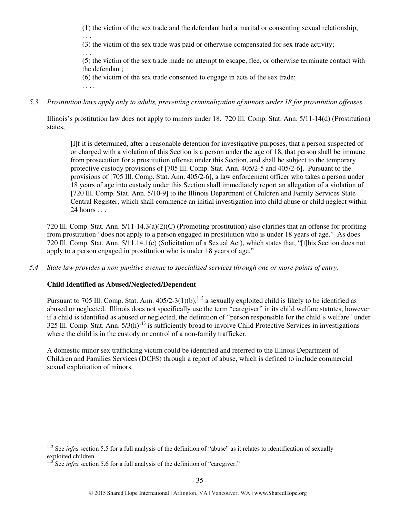(1) the victim of the sex trade and the defendant had a marital or consenting sexual relationship;

(3) the victim of the sex trade was paid or otherwise compensated for sex trade activity;

(5) the victim of the sex trade made no attempt to escape, flee, or otherwise terminate contact with the defendant;

(6) the victim of the sex trade consented to engage in acts of the sex trade;

. . . .

. . .

. . .

*5.3 Prostitution laws apply only to adults, preventing criminalization of minors under 18 for prostitution offenses.* 

Illinois's prostitution law does not apply to minors under 18. 720 Ill. Comp. Stat. Ann. 5/11-14(d) (Prostitution) states,

[I]f it is determined, after a reasonable detention for investigative purposes, that a person suspected of or charged with a violation of this Section is a person under the age of 18, that person shall be immune from prosecution for a prostitution offense under this Section, and shall be subject to the temporary protective custody provisions of [705 Ill. Comp. Stat. Ann. 405/2-5 and 405/2-6]. Pursuant to the provisions of [705 Ill. Comp. Stat. Ann. 405/2-6], a law enforcement officer who takes a person under 18 years of age into custody under this Section shall immediately report an allegation of a violation of [720 Ill. Comp. Stat. Ann. 5/10-9] to the Illinois Department of Children and Family Services State Central Register, which shall commence an initial investigation into child abuse or child neglect within 24 hours . . . .

720 Ill. Comp. Stat. Ann. 5/11-14.3(a)(2)(C) (Promoting prostitution) also clarifies that an offense for profiting from prostitution "does not apply to a person engaged in prostitution who is under 18 years of age." As does 720 Ill. Comp. Stat. Ann. 5/11.14.1(c) (Solicitation of a Sexual Act), which states that, "[t]his Section does not apply to a person engaged in prostitution who is under 18 years of age."

*5.4 State law provides a non-punitive avenue to specialized services through one or more points of entry.* 

# **Child Identified as Abused/Neglected/Dependent**

Pursuant to 705 Ill. Comp. Stat. Ann.  $405/2-3(1)(b)$ ,  $^{112}$  a sexually exploited child is likely to be identified as abused or neglected. Illinois does not specifically use the term "caregiver" in its child welfare statutes, however if a child is identified as abused or neglected, the definition of "person responsible for the child's welfare" under 325 Ill. Comp. Stat. Ann.  $5/3(h)^{113}$  is sufficiently broad to involve Child Protective Services in investigations where the child is in the custody or control of a non-family trafficker.

A domestic minor sex trafficking victim could be identified and referred to the Illinois Department of Children and Families Services (DCFS) through a report of abuse, which is defined to include commercial sexual exploitation of minors.

 $\overline{a}$ <sup>112</sup> See *infra* section 5.5 for a full analysis of the definition of "abuse" as it relates to identification of sexually exploited children.

 $113$  See *infra* section 5.6 for a full analysis of the definition of "caregiver."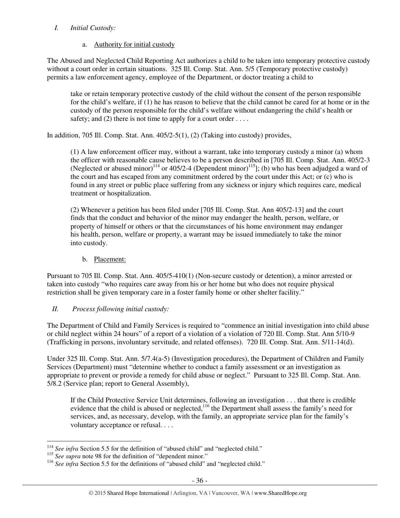# *I. Initial Custody:*

# a. Authority for initial custody

The Abused and Neglected Child Reporting Act authorizes a child to be taken into temporary protective custody without a court order in certain situations. 325 Ill. Comp. Stat. Ann. 5/5 (Temporary protective custody) permits a law enforcement agency, employee of the Department, or doctor treating a child to

take or retain temporary protective custody of the child without the consent of the person responsible for the child's welfare, if (1) he has reason to believe that the child cannot be cared for at home or in the custody of the person responsible for the child's welfare without endangering the child's health or safety; and (2) there is not time to apply for a court order  $\dots$ .

In addition, 705 Ill. Comp. Stat. Ann. 405/2-5(1), (2) (Taking into custody) provides,

(1) A law enforcement officer may, without a warrant, take into temporary custody a minor (a) whom the officer with reasonable cause believes to be a person described in [705 Ill. Comp. Stat. Ann. 405/2-3 (Neglected or abused minor)<sup>114</sup> or 405/2-4 (Dependent minor)<sup>115</sup>]; (b) who has been adjudged a ward of the court and has escaped from any commitment ordered by the court under this Act; or (c) who is found in any street or public place suffering from any sickness or injury which requires care, medical treatment or hospitalization.

(2) Whenever a petition has been filed under [705 Ill. Comp. Stat. Ann 405/2-13] and the court finds that the conduct and behavior of the minor may endanger the health, person, welfare, or property of himself or others or that the circumstances of his home environment may endanger his health, person, welfare or property, a warrant may be issued immediately to take the minor into custody.

# b. Placement:

Pursuant to 705 Ill. Comp. Stat. Ann. 405/5-410(1) (Non-secure custody or detention), a minor arrested or taken into custody "who requires care away from his or her home but who does not require physical restriction shall be given temporary care in a foster family home or other shelter facility."

# *II. Process following initial custody:*

The Department of Child and Family Services is required to "commence an initial investigation into child abuse or child neglect within 24 hours" of a report of a violation of a violation of 720 Ill. Comp. Stat. Ann 5/10-9 (Trafficking in persons, involuntary servitude, and related offenses). 720 Ill. Comp. Stat. Ann. 5/11-14(d).

Under 325 Ill. Comp. Stat. Ann. 5/7.4(a-5) (Investigation procedures), the Department of Children and Family Services (Department) must "determine whether to conduct a family assessment or an investigation as appropriate to prevent or provide a remedy for child abuse or neglect." Pursuant to 325 Ill. Comp. Stat. Ann. 5/8.2 (Service plan; report to General Assembly),

If the Child Protective Service Unit determines, following an investigation . . . that there is credible evidence that the child is abused or neglected,<sup>116</sup> the Department shall assess the family's need for services, and, as necessary, develop, with the family, an appropriate service plan for the family's voluntary acceptance or refusal. . . .

 $\overline{a}$ <sup>114</sup> See infra Section 5.5 for the definition of "abused child" and "neglected child."

<sup>&</sup>lt;sup>115</sup> *See supra* note 98 for the definition of "dependent minor."

<sup>&</sup>lt;sup>116</sup> See infra Section 5.5 for the definitions of "abused child" and "neglected child."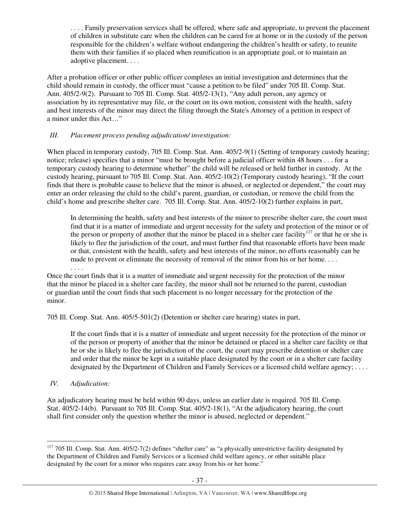. . . . Family preservation services shall be offered, where safe and appropriate, to prevent the placement of children in substitute care when the children can be cared for at home or in the custody of the person responsible for the children's welfare without endangering the children's health or safety, to reunite them with their families if so placed when reunification is an appropriate goal, or to maintain an adoptive placement. . . .

After a probation officer or other public officer completes an initial investigation and determines that the child should remain in custody, the officer must "cause a petition to be filed" under 705 Ill. Comp. Stat. Ann. 405/2-9(2). Pursuant to 705 Ill. Comp. Stat. 405/2-13(1), "Any adult person, any agency or association by its representative may file, or the court on its own motion, consistent with the health, safety and best interests of the minor may direct the filing through the State's Attorney of a petition in respect of a minor under this Act…"

# *III. Placement process pending adjudication/ investigation:*

When placed in temporary custody, 705 Ill. Comp. Stat. Ann. 405/2-9(1) (Setting of temporary custody hearing; notice; release) specifies that a minor "must be brought before a judicial officer within 48 hours . . . for a temporary custody hearing to determine whether" the child will be released or held further in custody. At the custody hearing, pursuant to 705 Ill. Comp. Stat. Ann. 405/2-10(2) (Temporary custody hearing), "If the court finds that there is probable cause to believe that the minor is abused, or neglected or dependent," the court may enter an order releasing the child to the child's parent, guardian, or custodian, or remove the child from the child's home and prescribe shelter care. 705 Ill. Comp. Stat. Ann. 405/2-10(2) further explains in part,

In determining the health, safety and best interests of the minor to prescribe shelter care, the court must find that it is a matter of immediate and urgent necessity for the safety and protection of the minor or of the person or property of another that the minor be placed in a shelter care facility<sup>117</sup> or that he or she is likely to flee the jurisdiction of the court, and must further find that reasonable efforts have been made or that, consistent with the health, safety and best interests of the minor, no efforts reasonably can be made to prevent or eliminate the necessity of removal of the minor from his or her home....

Once the court finds that it is a matter of immediate and urgent necessity for the protection of the minor that the minor be placed in a shelter care facility, the minor shall not be returned to the parent, custodian or guardian until the court finds that such placement is no longer necessary for the protection of the minor.

705 Ill. Comp. Stat. Ann. 405/5-501(2) (Detention or shelter care hearing) states in part,

If the court finds that it is a matter of immediate and urgent necessity for the protection of the minor or of the person or property of another that the minor be detained or placed in a shelter care facility or that he or she is likely to flee the jurisdiction of the court, the court may prescribe detention or shelter care and order that the minor be kept in a suitable place designated by the court or in a shelter care facility designated by the Department of Children and Family Services or a licensed child welfare agency; ....

*IV. Adjudication:* 

 $\overline{a}$ 

. . . .

An adjudicatory hearing must be held within 90 days, unless an earlier date is required. 705 Ill. Comp. Stat. 405/2-14(b). Pursuant to 705 Ill. Comp. Stat. 405/2-18(1), "At the adjudicatory hearing, the court shall first consider only the question whether the minor is abused, neglected or dependent."

 $117$  705 Ill. Comp. Stat. Ann. 405/2-7(2) defines "shelter care" as "a physically unrestrictive facility designated by the Department of Children and Family Services or a licensed child welfare agency, or other suitable place designated by the court for a minor who requires care away from his or her home."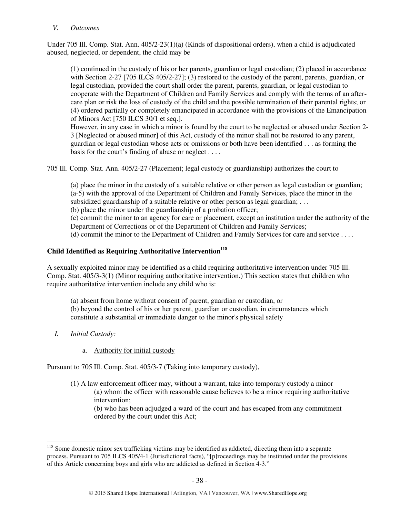#### *V. Outcomes*

Under 705 Ill. Comp. Stat. Ann. 405/2-23(1)(a) (Kinds of dispositional orders), when a child is adjudicated abused, neglected, or dependent, the child may be

(1) continued in the custody of his or her parents, guardian or legal custodian; (2) placed in accordance with Section 2-27 [705 ILCS 405/2-27]; (3) restored to the custody of the parent, parents, guardian, or legal custodian, provided the court shall order the parent, parents, guardian, or legal custodian to cooperate with the Department of Children and Family Services and comply with the terms of an aftercare plan or risk the loss of custody of the child and the possible termination of their parental rights; or (4) ordered partially or completely emancipated in accordance with the provisions of the Emancipation of Minors Act [750 ILCS 30/1 et seq.].

However, in any case in which a minor is found by the court to be neglected or abused under Section 2- 3 [Neglected or abused minor] of this Act, custody of the minor shall not be restored to any parent, guardian or legal custodian whose acts or omissions or both have been identified . . . as forming the basis for the court's finding of abuse or neglect . . . .

705 Ill. Comp. Stat. Ann. 405/2-27 (Placement; legal custody or guardianship) authorizes the court to

(a) place the minor in the custody of a suitable relative or other person as legal custodian or guardian; (a-5) with the approval of the Department of Children and Family Services, place the minor in the subsidized guardianship of a suitable relative or other person as legal guardian; ...

(b) place the minor under the guardianship of a probation officer;

(c) commit the minor to an agency for care or placement, except an institution under the authority of the Department of Corrections or of the Department of Children and Family Services;

(d) commit the minor to the Department of Children and Family Services for care and service . . . .

# **Child Identified as Requiring Authoritative Intervention<sup>118</sup>**

A sexually exploited minor may be identified as a child requiring authoritative intervention under 705 Ill. Comp. Stat. 405/3-3(1) (Minor requiring authoritative intervention.) This section states that children who require authoritative intervention include any child who is:

(a) absent from home without consent of parent, guardian or custodian, or (b) beyond the control of his or her parent, guardian or custodian, in circumstances which constitute a substantial or immediate danger to the minor's physical safety

*I. Initial Custody:* 

 $\overline{a}$ 

a. Authority for initial custody

Pursuant to 705 Ill. Comp. Stat. 405/3-7 (Taking into temporary custody),

(1) A law enforcement officer may, without a warrant, take into temporary custody a minor (a) whom the officer with reasonable cause believes to be a minor requiring authoritative intervention;

(b) who has been adjudged a ward of the court and has escaped from any commitment ordered by the court under this Act;

<sup>&</sup>lt;sup>118</sup> Some domestic minor sex trafficking victims may be identified as addicted, directing them into a separate process. Pursuant to 705 ILCS 405/4-1 (Jurisdictional facts), "[p]roceedings may be instituted under the provisions of this Article concerning boys and girls who are addicted as defined in Section 4-3."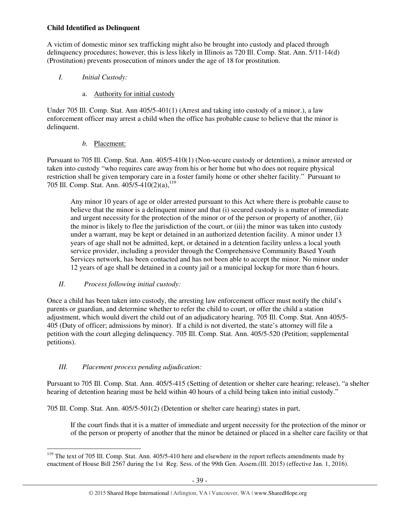# **Child Identified as Delinquent**

A victim of domestic minor sex trafficking might also be brought into custody and placed through delinquency procedures; however, this is less likely in Illinois as 720 Ill. Comp. Stat. Ann. 5/11-14(d) (Prostitution) prevents prosecution of minors under the age of 18 for prostitution.

- *I. Initial Custody:* 
	- a. Authority for initial custody

Under 705 Ill. Comp. Stat. Ann 405/5-401(1) (Arrest and taking into custody of a minor.), a law enforcement officer may arrest a child when the office has probable cause to believe that the minor is delinquent.

# *b.* Placement:

Pursuant to 705 Ill. Comp. Stat. Ann. 405/5-410(1) (Non-secure custody or detention), a minor arrested or taken into custody "who requires care away from his or her home but who does not require physical restriction shall be given temporary care in a foster family home or other shelter facility." Pursuant to 705 Ill. Comp. Stat. Ann. 405/5-410(2)(a),<sup>119</sup>

Any minor 10 years of age or older arrested pursuant to this Act where there is probable cause to believe that the minor is a delinquent minor and that (i) secured custody is a matter of immediate and urgent necessity for the protection of the minor or of the person or property of another, (ii) the minor is likely to flee the jurisdiction of the court, or (iii) the minor was taken into custody under a warrant, may be kept or detained in an authorized detention facility. A minor under 13 years of age shall not be admitted, kept, or detained in a detention facility unless a local youth service provider, including a provider through the Comprehensive Community Based Youth Services network, has been contacted and has not been able to accept the minor. No minor under 12 years of age shall be detained in a county jail or a municipal lockup for more than 6 hours.

# *II. Process following initial custody:*

Once a child has been taken into custody, the arresting law enforcement officer must notify the child's parents or guardian, and determine whether to refer the child to court, or offer the child a station adjustment, which would divert the child out of an adjudicatory hearing. 705 Ill. Comp. Stat. Ann 405/5- 405 (Duty of officer; admissions by minor). If a child is not diverted, the state's attorney will file a petition with the court alleging delinquency. 705 Ill. Comp. Stat. Ann. 405/5-520 (Petition; supplemental petitions).

# *III. Placement process pending adjudication:*

Pursuant to 705 Ill. Comp. Stat. Ann. 405/5-415 (Setting of detention or shelter care hearing; release), "a shelter hearing of detention hearing must be held within 40 hours of a child being taken into initial custody."

705 Ill. Comp. Stat. Ann. 405/5-501(2) (Detention or shelter care hearing) states in part,

If the court finds that it is a matter of immediate and urgent necessity for the protection of the minor or of the person or property of another that the minor be detained or placed in a shelter care facility or that

 $\overline{a}$  $119$  The text of 705 Ill. Comp. Stat. Ann. 405/5-410 here and elsewhere in the report reflects amendments made by enactment of House Bill 2567 during the 1st Reg. Sess. of the 99th Gen. Assem.(Ill. 2015) (effective Jan. 1, 2016).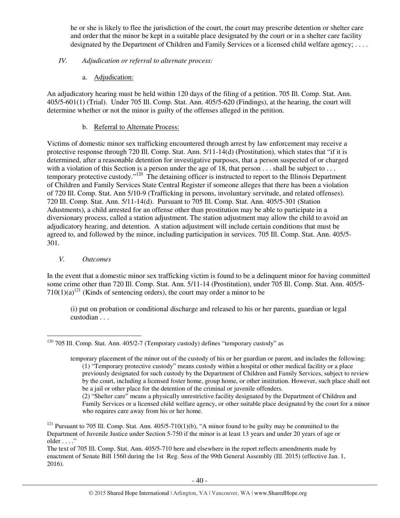he or she is likely to flee the jurisdiction of the court, the court may prescribe detention or shelter care and order that the minor be kept in a suitable place designated by the court or in a shelter care facility designated by the Department of Children and Family Services or a licensed child welfare agency; ....

# *IV. Adjudication or referral to alternate process:*

a. Adjudication:

An adjudicatory hearing must be held within 120 days of the filing of a petition. 705 Ill. Comp. Stat. Ann. 405/5-601(1) (Trial). Under 705 Ill. Comp. Stat. Ann. 405/5-620 (Findings), at the hearing, the court will determine whether or not the minor is guilty of the offenses alleged in the petition.

# b. Referral to Alternate Process:

Victims of domestic minor sex trafficking encountered through arrest by law enforcement may receive a protective response through 720 Ill. Comp. Stat. Ann. 5/11-14(d) (Prostitution), which states that "if it is determined, after a reasonable detention for investigative purposes, that a person suspected of or charged with a violation of this Section is a person under the age of 18, that person . . . shall be subject to . . . temporary protective custody."<sup>120</sup> The detaining officer is instructed to report to the Illinois Department of Children and Family Services State Central Register if someone alleges that there has been a violation of 720 Ill. Comp. Stat. Ann 5/10-9 (Trafficking in persons, involuntary servitude, and related offenses). 720 Ill. Comp. Stat. Ann. 5/11-14(d). Pursuant to 705 Ill. Comp. Stat. Ann. 405/5-301 (Station Adustments), a child arrested for an offense other than prostitution may be able to participate in a diversionary process, called a station adjustment. The station adjustment may allow the child to avoid an adjudicatory hearing, and detention. A station adjustment will include certain conditions that must be agreed to, and followed by the minor, including participation in services. 705 Ill. Comp. Stat. Ann. 405/5- 301.

*V. Outcomes* 

In the event that a domestic minor sex trafficking victim is found to be a delinquent minor for having committed some crime other than 720 Ill. Comp. Stat. Ann. 5/11-14 (Prostitution), under 705 Ill. Comp. Stat. Ann. 405/5-  $710(1)(a)^{121}$  (Kinds of sentencing orders), the court may order a minor to be

(i) put on probation or conditional discharge and released to his or her parents, guardian or legal custodian . . .

 $\overline{a}$  $120$  705 Ill. Comp. Stat. Ann. 405/2-7 (Temporary custody) defines "temporary custody" as

temporary placement of the minor out of the custody of his or her guardian or parent, and includes the following: (1) "Temporary protective custody" means custody within a hospital or other medical facility or a place previously designated for such custody by the Department of Children and Family Services, subject to review by the court, including a licensed foster home, group home, or other institution. However, such place shall not be a jail or other place for the detention of the criminal or juvenile offenders.

<sup>(2) &</sup>quot;Shelter care" means a physically unrestrictive facility designated by the Department of Children and Family Services or a licensed child welfare agency, or other suitable place designated by the court for a minor who requires care away from his or her home.

<sup>&</sup>lt;sup>121</sup> Pursuant to 705 Ill. Comp. Stat. Ann.  $405/5-710(1)(b)$ , "A minor found to be guilty may be committed to the Department of Juvenile Justice under Section 5-750 if the minor is at least 13 years and under 20 years of age or older . . . ."

The text of 705 Ill. Comp. Stat. Ann. 405/5-710 here and elsewhere in the report reflects amendments made by enactment of Senate Bill 1560 during the 1st Reg. Sess of the 99th General Assembly (Ill. 2015) (effective Jan. 1, 2016).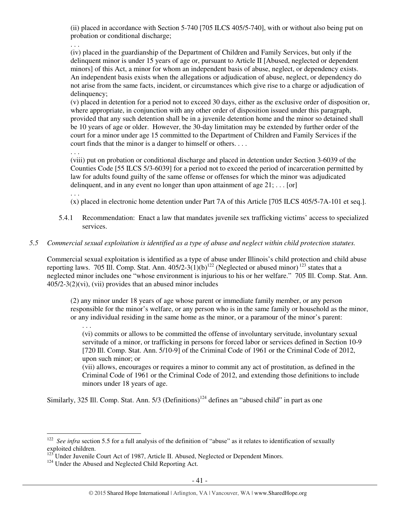(ii) placed in accordance with Section 5-740 [705 ILCS 405/5-740], with or without also being put on probation or conditional discharge;

. . .

(iv) placed in the guardianship of the Department of Children and Family Services, but only if the delinquent minor is under 15 years of age or, pursuant to Article II [Abused, neglected or dependent minors] of this Act, a minor for whom an independent basis of abuse, neglect, or dependency exists. An independent basis exists when the allegations or adjudication of abuse, neglect, or dependency do not arise from the same facts, incident, or circumstances which give rise to a charge or adjudication of delinquency;

(v) placed in detention for a period not to exceed 30 days, either as the exclusive order of disposition or, where appropriate, in conjunction with any other order of disposition issued under this paragraph, provided that any such detention shall be in a juvenile detention home and the minor so detained shall be 10 years of age or older. However, the 30-day limitation may be extended by further order of the court for a minor under age 15 committed to the Department of Children and Family Services if the court finds that the minor is a danger to himself or others. . . .

. . .

(viii) put on probation or conditional discharge and placed in detention under Section 3-6039 of the Counties Code [55 ILCS 5/3-6039] for a period not to exceed the period of incarceration permitted by law for adults found guilty of the same offense or offenses for which the minor was adjudicated delinquent, and in any event no longer than upon attainment of age  $21: \ldots$  [or]

. . .

. . .

(x) placed in electronic home detention under Part 7A of this Article [705 ILCS 405/5-7A-101 et seq.].

5.4.1 Recommendation: Enact a law that mandates juvenile sex trafficking victims' access to specialized services.

# *5.5 Commercial sexual exploitation is identified as a type of abuse and neglect within child protection statutes.*

Commercial sexual exploitation is identified as a type of abuse under Illinois's child protection and child abuse reporting laws. 705 Ill. Comp. Stat. Ann.  $405/2-3(1)(b)^{122}$  (Neglected or abused minor)<sup>123</sup> states that a neglected minor includes one "whose environment is injurious to his or her welfare." 705 Ill. Comp. Stat. Ann.  $405/2-3(2)$ (vi), (vii) provides that an abused minor includes

(2) any minor under 18 years of age whose parent or immediate family member, or any person responsible for the minor's welfare, or any person who is in the same family or household as the minor, or any individual residing in the same home as the minor, or a paramour of the minor's parent:

(vi) commits or allows to be committed the offense of involuntary servitude, involuntary sexual servitude of a minor, or trafficking in persons for forced labor or services defined in Section 10-9 [720 Ill. Comp. Stat. Ann. 5/10-9] of the Criminal Code of 1961 or the Criminal Code of 2012, upon such minor; or

(vii) allows, encourages or requires a minor to commit any act of prostitution, as defined in the Criminal Code of 1961 or the Criminal Code of 2012, and extending those definitions to include minors under 18 years of age.

Similarly, 325 Ill. Comp. Stat. Ann.  $5/3$  (Definitions)<sup>124</sup> defines an "abused child" in part as one

 $\overline{a}$ <sup>122</sup> See infra section 5.5 for a full analysis of the definition of "abuse" as it relates to identification of sexually exploited children.

 $123$  Under Juvenile Court Act of 1987, Article II. Abused, Neglected or Dependent Minors.

 $124$  Under the Abused and Neglected Child Reporting Act.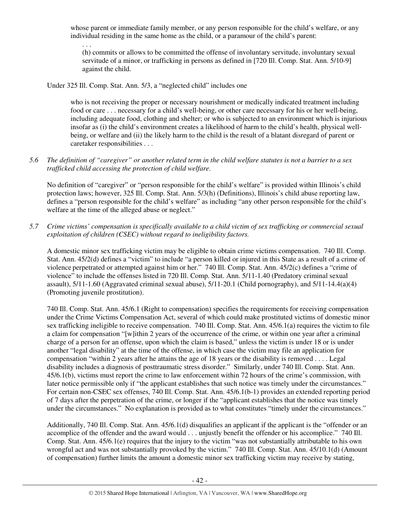whose parent or immediate family member, or any person responsible for the child's welfare, or any individual residing in the same home as the child, or a paramour of the child's parent:

(h) commits or allows to be committed the offense of involuntary servitude, involuntary sexual servitude of a minor, or trafficking in persons as defined in [720 Ill. Comp. Stat. Ann. 5/10-9] against the child.

Under 325 Ill. Comp. Stat. Ann. 5/3, a "neglected child" includes one

. . .

who is not receiving the proper or necessary nourishment or medically indicated treatment including food or care . . . necessary for a child's well-being, or other care necessary for his or her well-being, including adequate food, clothing and shelter; or who is subjected to an environment which is injurious insofar as (i) the child's environment creates a likelihood of harm to the child's health, physical wellbeing, or welfare and (ii) the likely harm to the child is the result of a blatant disregard of parent or caretaker responsibilities . . .

# *5.6 The definition of "caregiver" or another related term in the child welfare statutes is not a barrier to a sex trafficked child accessing the protection of child welfare.*

No definition of "caregiver" or "person responsible for the child's welfare" is provided within Illinois's child protection laws; however, 325 Ill. Comp. Stat. Ann. 5/3(h) (Definitions), Illinois's child abuse reporting law, defines a "person responsible for the child's welfare" as including "any other person responsible for the child's welfare at the time of the alleged abuse or neglect."

*5.7 Crime victims' compensation is specifically available to a child victim of sex trafficking or commercial sexual exploitation of children (CSEC) without regard to ineligibility factors.* 

A domestic minor sex trafficking victim may be eligible to obtain crime victims compensation. 740 Ill. Comp. Stat. Ann. 45/2(d) defines a "victim" to include "a person killed or injured in this State as a result of a crime of violence perpetrated or attempted against him or her." 740 Ill. Comp. Stat. Ann. 45/2(c) defines a "crime of violence" to include the offenses listed in 720 Ill. Comp. Stat. Ann. 5/11-1.40 (Predatory criminal sexual assault), 5/11-1.60 (Aggravated criminal sexual abuse), 5/11-20.1 (Child pornography), and 5/11-14.4(a)(4) (Promoting juvenile prostitution).

740 Ill. Comp. Stat. Ann. 45/6.1 (Right to compensation) specifies the requirements for receiving compensation under the Crime Victims Compensation Act, several of which could make prostituted victims of domestic minor sex trafficking ineligible to receive compensation. 740 Ill. Comp. Stat. Ann. 45/6.1(a) requires the victim to file a claim for compensation "[w]ithin 2 years of the occurrence of the crime, or within one year after a criminal charge of a person for an offense, upon which the claim is based," unless the victim is under 18 or is under another "legal disability" at the time of the offense, in which case the victim may file an application for compensation "within 2 years after he attains the age of 18 years or the disability is removed . . . . Legal disability includes a diagnosis of posttraumatic stress disorder." Similarly, under 740 Ill. Comp. Stat. Ann. 45/6.1(b), victims must report the crime to law enforcement within 72 hours of the crime's commission, with later notice permissible only if "the applicant establishes that such notice was timely under the circumstances." For certain non-CSEC sex offenses, 740 Ill. Comp. Stat. Ann. 45/6.1(b-1) provides an extended reporting period of 7 days after the perpetration of the crime, or longer if the "applicant establishes that the notice was timely under the circumstances." No explanation is provided as to what constitutes "timely under the circumstances."

Additionally, 740 Ill. Comp. Stat. Ann. 45/6.1(d) disqualifies an applicant if the applicant is the "offender or an accomplice of the offender and the award would . . . unjustly benefit the offender or his accomplice." 740 Ill. Comp. Stat. Ann. 45/6.1(e) requires that the injury to the victim "was not substantially attributable to his own wrongful act and was not substantially provoked by the victim." 740 Ill. Comp. Stat. Ann. 45/10.1(d) (Amount of compensation) further limits the amount a domestic minor sex trafficking victim may receive by stating,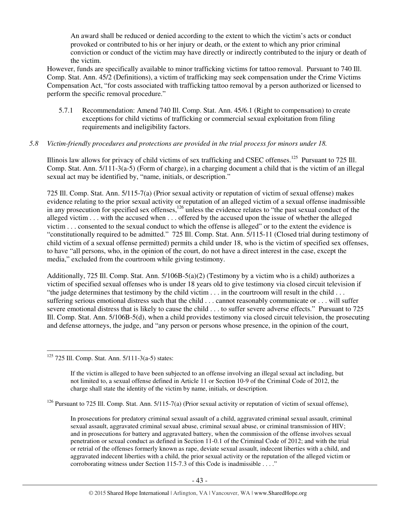An award shall be reduced or denied according to the extent to which the victim's acts or conduct provoked or contributed to his or her injury or death, or the extent to which any prior criminal conviction or conduct of the victim may have directly or indirectly contributed to the injury or death of the victim.

However, funds are specifically available to minor trafficking victims for tattoo removal. Pursuant to 740 Ill. Comp. Stat. Ann. 45/2 (Definitions), a victim of trafficking may seek compensation under the Crime Victims Compensation Act, "for costs associated with trafficking tattoo removal by a person authorized or licensed to perform the specific removal procedure."

5.7.1 Recommendation: Amend 740 Ill. Comp. Stat. Ann. 45/6.1 (Right to compensation) to create exceptions for child victims of trafficking or commercial sexual exploitation from filing requirements and ineligibility factors.

# *5.8 Victim-friendly procedures and protections are provided in the trial process for minors under 18.*

Illinois law allows for privacy of child victims of sex trafficking and CSEC offenses.<sup>125</sup> Pursuant to 725 Ill. Comp. Stat. Ann. 5/111-3(a-5) (Form of charge), in a charging document a child that is the victim of an illegal sexual act may be identified by, "name, initials, or description."

725 Ill. Comp. Stat. Ann. 5/115-7(a) (Prior sexual activity or reputation of victim of sexual offense) makes evidence relating to the prior sexual activity or reputation of an alleged victim of a sexual offense inadmissible in any prosecution for specified sex offenses,<sup>126</sup> unless the evidence relates to "the past sexual conduct of the alleged victim . . . with the accused when . . . offered by the accused upon the issue of whether the alleged victim . . . consented to the sexual conduct to which the offense is alleged" or to the extent the evidence is "constitutionally required to be admitted." 725 Ill. Comp. Stat. Ann. 5/115-11 (Closed trial during testimony of child victim of a sexual offense permitted) permits a child under 18, who is the victim of specified sex offenses, to have "all persons, who, in the opinion of the court, do not have a direct interest in the case, except the media," excluded from the courtroom while giving testimony.

Additionally, 725 Ill. Comp. Stat. Ann. 5/106B-5(a)(2) (Testimony by a victim who is a child) authorizes a victim of specified sexual offenses who is under 18 years old to give testimony via closed circuit television if "the judge determines that testimony by the child victim . . . in the courtroom will result in the child . . . suffering serious emotional distress such that the child . . . cannot reasonably communicate or . . . will suffer severe emotional distress that is likely to cause the child . . . to suffer severe adverse effects." Pursuant to 725 Ill. Comp. Stat. Ann. 5/106B-5(d), when a child provides testimony via closed circuit television, the prosecuting and defense attorneys, the judge, and "any person or persons whose presence, in the opinion of the court,

 $\overline{a}$ <sup>125</sup> 725 Ill. Comp. Stat. Ann. 5/111-3(a-5) states:

If the victim is alleged to have been subjected to an offense involving an illegal sexual act including, but not limited to, a sexual offense defined in Article 11 or Section 10-9 of the Criminal Code of 2012, the charge shall state the identity of the victim by name, initials, or description.

<sup>&</sup>lt;sup>126</sup> Pursuant to 725 Ill. Comp. Stat. Ann. 5/115-7(a) (Prior sexual activity or reputation of victim of sexual offense),

In prosecutions for predatory criminal sexual assault of a child, aggravated criminal sexual assault, criminal sexual assault, aggravated criminal sexual abuse, criminal sexual abuse, or criminal transmission of HIV; and in prosecutions for battery and aggravated battery, when the commission of the offense involves sexual penetration or sexual conduct as defined in Section 11-0.1 of the Criminal Code of 2012; and with the trial or retrial of the offenses formerly known as rape, deviate sexual assault, indecent liberties with a child, and aggravated indecent liberties with a child, the prior sexual activity or the reputation of the alleged victim or corroborating witness under Section 115-7.3 of this Code is inadmissible . . . ."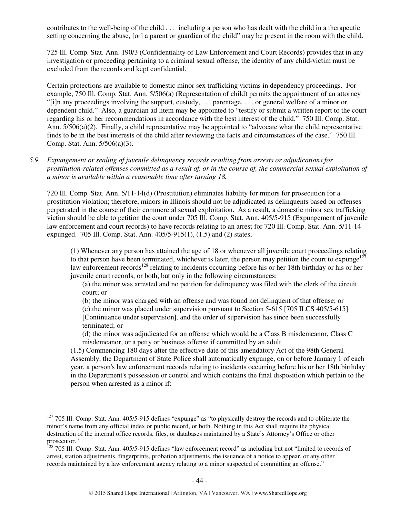contributes to the well-being of the child . . . including a person who has dealt with the child in a therapeutic setting concerning the abuse, [or] a parent or guardian of the child" may be present in the room with the child.

725 Ill. Comp. Stat. Ann. 190/3 (Confidentiality of Law Enforcement and Court Records) provides that in any investigation or proceeding pertaining to a criminal sexual offense, the identity of any child-victim must be excluded from the records and kept confidential.

Certain protections are available to domestic minor sex trafficking victims in dependency proceedings. For example, 750 Ill. Comp. Stat. Ann. 5/506(a) (Representation of child) permits the appointment of an attorney "[i]n any proceedings involving the support, custody, . . . parentage, . . . or general welfare of a minor or dependent child." Also, a guardian ad litem may be appointed to "testify or submit a written report to the court regarding his or her recommendations in accordance with the best interest of the child." 750 Ill. Comp. Stat. Ann. 5/506(a)(2). Finally, a child representative may be appointed to "advocate what the child representative finds to be in the best interests of the child after reviewing the facts and circumstances of the case." 750 Ill. Comp. Stat. Ann. 5/506(a)(3).

# *5.9 Expungement or sealing of juvenile delinquency records resulting from arrests or adjudications for prostitution-related offenses committed as a result of, or in the course of, the commercial sexual exploitation of a minor is available within a reasonable time after turning 18.*

720 Ill. Comp. Stat. Ann. 5/11-14(d) (Prostitution) eliminates liability for minors for prosecution for a prostitution violation; therefore, minors in Illinois should not be adjudicated as delinquents based on offenses perpetrated in the course of their commercial sexual exploitation. As a result, a domestic minor sex trafficking victim should be able to petition the court under 705 Ill. Comp. Stat. Ann. 405/5-915 (Expungement of juvenile law enforcement and court records) to have records relating to an arrest for 720 Ill. Comp. Stat. Ann. 5/11-14 expunged. 705 Ill. Comp. Stat. Ann. 405/5-915(1), (1.5) and (2) states,

(1) Whenever any person has attained the age of 18 or whenever all juvenile court proceedings relating to that person have been terminated, whichever is later, the person may petition the court to expunge<sup>127</sup> law enforcement records<sup>128</sup> relating to incidents occurring before his or her 18th birthday or his or her juvenile court records, or both, but only in the following circumstances:

(a) the minor was arrested and no petition for delinquency was filed with the clerk of the circuit court; or

(b) the minor was charged with an offense and was found not delinquent of that offense; or (c) the minor was placed under supervision pursuant to Section 5-615 [705 ILCS 405/5-615] [Continuance under supervision], and the order of supervision has since been successfully terminated; or

(d) the minor was adjudicated for an offense which would be a Class B misdemeanor, Class C misdemeanor, or a petty or business offense if committed by an adult.

(1.5) Commencing 180 days after the effective date of this amendatory Act of the 98th General Assembly, the Department of State Police shall automatically expunge, on or before January 1 of each year, a person's law enforcement records relating to incidents occurring before his or her 18th birthday in the Department's possession or control and which contains the final disposition which pertain to the person when arrested as a minor if:

 $\overline{a}$ 

 $127$  705 Ill. Comp. Stat. Ann. 405/5-915 defines "expunge" as "to physically destroy the records and to obliterate the minor's name from any official index or public record, or both. Nothing in this Act shall require the physical destruction of the internal office records, files, or databases maintained by a State's Attorney's Office or other prosecutor."

<sup>&</sup>lt;sup>128</sup> 705 Ill. Comp. Stat. Ann. 405/5-915 defines "law enforcement record" as including but not "limited to records of arrest, station adjustments, fingerprints, probation adjustments, the issuance of a notice to appear, or any other records maintained by a law enforcement agency relating to a minor suspected of committing an offense."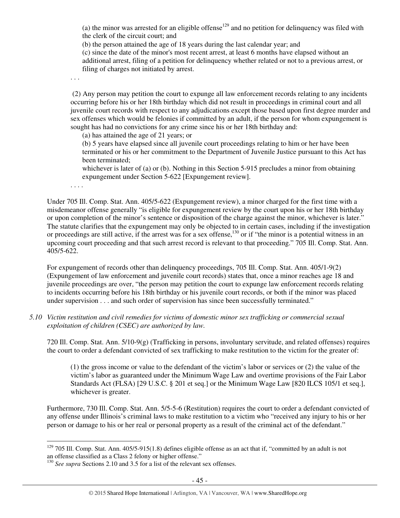(a) the minor was arrested for an eligible offense<sup>129</sup> and no petition for delinquency was filed with the clerk of the circuit court; and

(b) the person attained the age of 18 years during the last calendar year; and

(c) since the date of the minor's most recent arrest, at least 6 months have elapsed without an additional arrest, filing of a petition for delinquency whether related or not to a previous arrest, or filing of charges not initiated by arrest.

. . .

 (2) Any person may petition the court to expunge all law enforcement records relating to any incidents occurring before his or her 18th birthday which did not result in proceedings in criminal court and all juvenile court records with respect to any adjudications except those based upon first degree murder and sex offenses which would be felonies if committed by an adult, if the person for whom expungement is sought has had no convictions for any crime since his or her 18th birthday and:

(a) has attained the age of 21 years; or

(b) 5 years have elapsed since all juvenile court proceedings relating to him or her have been terminated or his or her commitment to the Department of Juvenile Justice pursuant to this Act has been terminated;

whichever is later of (a) or (b). Nothing in this Section 5-915 precludes a minor from obtaining expungement under Section 5-622 [Expungement review].

. . . .

Under 705 Ill. Comp. Stat. Ann. 405/5-622 (Expungement review), a minor charged for the first time with a misdemeanor offense generally "is eligible for expungement review by the court upon his or her 18th birthday or upon completion of the minor's sentence or disposition of the charge against the minor, whichever is later." The statute clarifies that the expungement may only be objected to in certain cases, including if the investigation or proceedings are still active, if the arrest was for a sex offense,<sup>130</sup> or if "the minor is a potential witness in an upcoming court proceeding and that such arrest record is relevant to that proceeding." 705 Ill. Comp. Stat. Ann. 405/5-622.

For expungement of records other than delinquency proceedings, 705 Ill. Comp. Stat. Ann. 405/1-9(2) (Expungement of law enforcement and juvenile court records) states that, once a minor reaches age 18 and juvenile proceedings are over, "the person may petition the court to expunge law enforcement records relating to incidents occurring before his 18th birthday or his juvenile court records, or both if the minor was placed under supervision . . . and such order of supervision has since been successfully terminated."

*5.10 Victim restitution and civil remedies for victims of domestic minor sex trafficking or commercial sexual exploitation of children (CSEC) are authorized by law.* 

720 Ill. Comp. Stat. Ann. 5/10-9(g) (Trafficking in persons, involuntary servitude, and related offenses) requires the court to order a defendant convicted of sex trafficking to make restitution to the victim for the greater of:

(1) the gross income or value to the defendant of the victim's labor or services or (2) the value of the victim's labor as guaranteed under the Minimum Wage Law and overtime provisions of the Fair Labor Standards Act (FLSA) [29 U.S.C. § 201 et seq.] or the Minimum Wage Law [820 ILCS 105/1 et seq.], whichever is greater.

Furthermore, 730 Ill. Comp. Stat. Ann. 5/5-5-6 (Restitution) requires the court to order a defendant convicted of any offense under Illinois's criminal laws to make restitution to a victim who "received any injury to his or her person or damage to his or her real or personal property as a result of the criminal act of the defendant."

 $\overline{a}$  $129$  705 Ill. Comp. Stat. Ann. 405/5-915(1.8) defines eligible offense as an act that if, "committed by an adult is not an offense classified as a Class 2 felony or higher offense."

<sup>&</sup>lt;sup>130</sup> *See supra* Sections 2.10 and 3.5 for a list of the relevant sex offenses.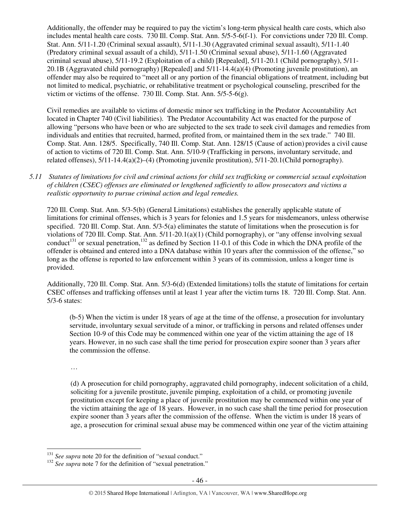Additionally, the offender may be required to pay the victim's long-term physical health care costs, which also includes mental health care costs. 730 Ill. Comp. Stat. Ann. 5/5-5-6(f-1). For convictions under 720 Ill. Comp. Stat. Ann. 5/11-1.20 (Criminal sexual assault), 5/11-1.30 (Aggravated criminal sexual assault), 5/11-1.40 (Predatory criminal sexual assault of a child), 5/11-1.50 (Criminal sexual abuse), 5/11-1.60 (Aggravated criminal sexual abuse), 5/11-19.2 (Exploitation of a child) [Repealed], 5/11-20.1 (Child pornography), 5/11- 20.1B (Aggravated child pornography) [Repealed] and 5/11-14.4(a)(4) (Promoting juvenile prostitution), an offender may also be required to "meet all or any portion of the financial obligations of treatment, including but not limited to medical, psychiatric, or rehabilitative treatment or psychological counseling, prescribed for the victim or victims of the offense. 730 Ill. Comp. Stat. Ann. 5/5-5-6(g).

Civil remedies are available to victims of domestic minor sex trafficking in the Predator Accountability Act located in Chapter 740 (Civil liabilities). The Predator Accountability Act was enacted for the purpose of allowing "persons who have been or who are subjected to the sex trade to seek civil damages and remedies from individuals and entities that recruited, harmed, profited from, or maintained them in the sex trade." 740 Ill. Comp. Stat. Ann. 128/5. Specifically, 740 Ill. Comp. Stat. Ann. 128/15 (Cause of action) provides a civil cause of action to victims of 720 Ill. Comp. Stat. Ann. 5/10-9 (Trafficking in persons, involuntary servitude, and related offenses), 5/11-14.4(a)(2)–(4) (Promoting juvenile prostitution), 5/11-20.1(Child pornography).

*5.11 Statutes of limitations for civil and criminal actions for child sex trafficking or commercial sexual exploitation of children (CSEC) offenses are eliminated or lengthened sufficiently to allow prosecutors and victims a realistic opportunity to pursue criminal action and legal remedies.* 

720 Ill. Comp. Stat. Ann. 5/3-5(b) (General Limitations) establishes the generally applicable statute of limitations for criminal offenses, which is 3 years for felonies and 1.5 years for misdemeanors, unless otherwise specified. 720 Ill. Comp. Stat. Ann. 5/3-5(a) eliminates the statute of limitations when the prosecution is for violations of 720 Ill. Comp. Stat. Ann. 5/11-20.1(a)(1) (Child pornography), or "any offense involving sexual conduct<sup>131</sup> or sexual penetration,<sup>132</sup> as defined by Section 11-0.1 of this Code in which the DNA profile of the offender is obtained and entered into a DNA database within 10 years after the commission of the offense," so long as the offense is reported to law enforcement within 3 years of its commission, unless a longer time is provided.

Additionally, 720 Ill. Comp. Stat. Ann. 5/3-6(d) (Extended limitations) tolls the statute of limitations for certain CSEC offenses and trafficking offenses until at least 1 year after the victim turns 18. 720 Ill. Comp. Stat. Ann. 5/3-6 states:

 (b-5) When the victim is under 18 years of age at the time of the offense, a prosecution for involuntary servitude, involuntary sexual servitude of a minor, or trafficking in persons and related offenses under Section 10-9 of this Code may be commenced within one year of the victim attaining the age of 18 years. However, in no such case shall the time period for prosecution expire sooner than 3 years after the commission the offense.

…

(d) A prosecution for child pornography, aggravated child pornography, indecent solicitation of a child, soliciting for a juvenile prostitute, juvenile pimping, exploitation of a child, or promoting juvenile prostitution except for keeping a place of juvenile prostitution may be commenced within one year of the victim attaining the age of 18 years. However, in no such case shall the time period for prosecution expire sooner than 3 years after the commission of the offense. When the victim is under 18 years of age, a prosecution for criminal sexual abuse may be commenced within one year of the victim attaining

 $\overline{a}$ <sup>131</sup> See supra note 20 for the definition of "sexual conduct."

<sup>&</sup>lt;sup>132</sup> See supra note 7 for the definition of "sexual penetration."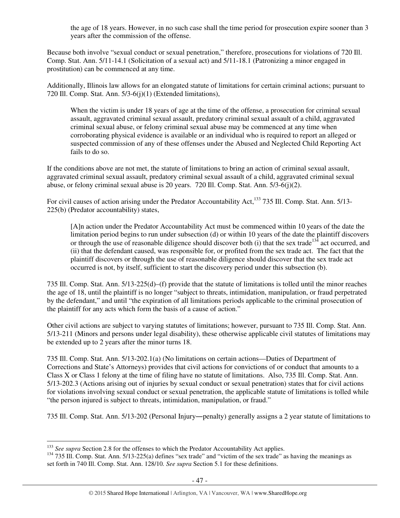the age of 18 years. However, in no such case shall the time period for prosecution expire sooner than 3 years after the commission of the offense.

Because both involve "sexual conduct or sexual penetration," therefore, prosecutions for violations of 720 Ill. Comp. Stat. Ann. 5/11-14.1 (Solicitation of a sexual act) and 5/11-18.1 (Patronizing a minor engaged in prostitution) can be commenced at any time.

Additionally, Illinois law allows for an elongated statute of limitations for certain criminal actions; pursuant to 720 Ill. Comp. Stat. Ann. 5/3-6(j)(1) (Extended limitations),

When the victim is under 18 years of age at the time of the offense, a prosecution for criminal sexual assault, aggravated criminal sexual assault, predatory criminal sexual assault of a child, aggravated criminal sexual abuse, or felony criminal sexual abuse may be commenced at any time when corroborating physical evidence is available or an individual who is required to report an alleged or suspected commission of any of these offenses under the Abused and Neglected Child Reporting Act fails to do so.

If the conditions above are not met, the statute of limitations to bring an action of criminal sexual assault, aggravated criminal sexual assault, predatory criminal sexual assault of a child, aggravated criminal sexual abuse, or felony criminal sexual abuse is 20 years. 720 Ill. Comp. Stat. Ann. 5/3-6(j)(2).

For civil causes of action arising under the Predator Accountability Act,<sup>133</sup> 735 Ill. Comp. Stat. Ann. 5/13-225(b) (Predator accountability) states,

[A]n action under the Predator Accountability Act must be commenced within 10 years of the date the limitation period begins to run under subsection (d) or within 10 years of the date the plaintiff discovers or through the use of reasonable diligence should discover both (i) that the sex trade<sup>134</sup> act occurred, and (ii) that the defendant caused, was responsible for, or profited from the sex trade act. The fact that the plaintiff discovers or through the use of reasonable diligence should discover that the sex trade act occurred is not, by itself, sufficient to start the discovery period under this subsection (b).

735 Ill. Comp. Stat. Ann. 5/13-225(d)–(f) provide that the statute of limitations is tolled until the minor reaches the age of 18, until the plaintiff is no longer "subject to threats, intimidation, manipulation, or fraud perpetrated by the defendant," and until "the expiration of all limitations periods applicable to the criminal prosecution of the plaintiff for any acts which form the basis of a cause of action."

Other civil actions are subject to varying statutes of limitations; however, pursuant to 735 Ill. Comp. Stat. Ann. 5/13-211 (Minors and persons under legal disability), these otherwise applicable civil statutes of limitations may be extended up to 2 years after the minor turns 18.

735 Ill. Comp. Stat. Ann. 5/13-202.1(a) (No limitations on certain actions—Duties of Department of Corrections and State's Attorneys) provides that civil actions for convictions of or conduct that amounts to a Class X or Class 1 felony at the time of filing have no statute of limitations. Also, 735 Ill. Comp. Stat. Ann. 5/13-202.3 (Actions arising out of injuries by sexual conduct or sexual penetration) states that for civil actions for violations involving sexual conduct or sexual penetration, the applicable statute of limitations is tolled while "the person injured is subject to threats, intimidation, manipulation, or fraud."

735 Ill. Comp. Stat. Ann. 5/13-202 (Personal Injury―penalty) generally assigns a 2 year statute of limitations to

 $\overline{a}$ <sup>133</sup> See supra Section 2.8 for the offenses to which the Predator Accountability Act applies.

 $134$  735 Ill. Comp. Stat. Ann. 5/13-225(a) defines "sex trade" and "victim of the sex trade" as having the meanings as set forth in 740 Ill. Comp. Stat. Ann. 128/10*. See supra* Section 5.1 for these definitions.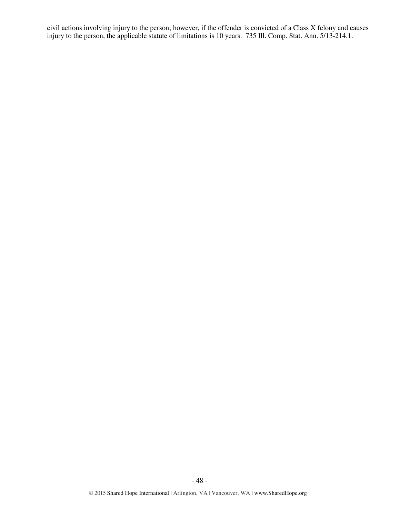civil actions involving injury to the person; however, if the offender is convicted of a Class X felony and causes injury to the person, the applicable statute of limitations is 10 years. 735 Ill. Comp. Stat. Ann. 5/13-214.1.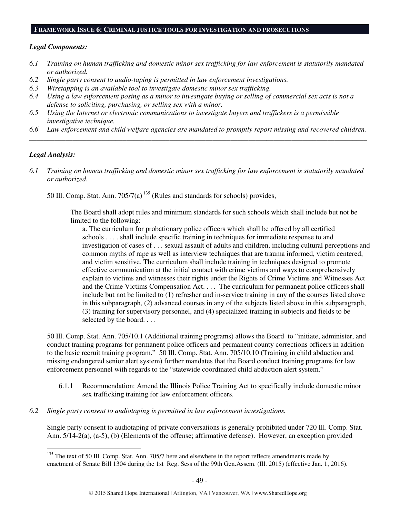#### **FRAMEWORK ISSUE 6: CRIMINAL JUSTICE TOOLS FOR INVESTIGATION AND PROSECUTIONS**

#### *Legal Components:*

- *6.1 Training on human trafficking and domestic minor sex trafficking for law enforcement is statutorily mandated or authorized.*
- *6.2 Single party consent to audio-taping is permitted in law enforcement investigations.*
- *6.3 Wiretapping is an available tool to investigate domestic minor sex trafficking.*
- *6.4 Using a law enforcement posing as a minor to investigate buying or selling of commercial sex acts is not a defense to soliciting, purchasing, or selling sex with a minor.*
- *6.5 Using the Internet or electronic communications to investigate buyers and traffickers is a permissible investigative technique.*
- *6.6 Law enforcement and child welfare agencies are mandated to promptly report missing and recovered children. \_\_\_\_\_\_\_\_\_\_\_\_\_\_\_\_\_\_\_\_\_\_\_\_\_\_\_\_\_\_\_\_\_\_\_\_\_\_\_\_\_\_\_\_\_\_\_\_\_\_\_\_\_\_\_\_\_\_\_\_\_\_\_\_\_\_\_\_\_\_\_\_\_\_\_\_\_\_\_\_\_\_\_\_\_\_\_\_\_\_\_\_\_\_*

# *Legal Analysis:*

*6.1 Training on human trafficking and domestic minor sex trafficking for law enforcement is statutorily mandated or authorized.* 

50 Ill. Comp. Stat. Ann. 705/7(a)<sup>135</sup> (Rules and standards for schools) provides,

The Board shall adopt rules and minimum standards for such schools which shall include but not be limited to the following:

a. The curriculum for probationary police officers which shall be offered by all certified schools . . . . shall include specific training in techniques for immediate response to and investigation of cases of . . . sexual assault of adults and children, including cultural perceptions and common myths of rape as well as interview techniques that are trauma informed, victim centered, and victim sensitive. The curriculum shall include training in techniques designed to promote effective communication at the initial contact with crime victims and ways to comprehensively explain to victims and witnesses their rights under the Rights of Crime Victims and Witnesses Act and the Crime Victims Compensation Act. . . . The curriculum for permanent police officers shall include but not be limited to (1) refresher and in-service training in any of the courses listed above in this subparagraph, (2) advanced courses in any of the subjects listed above in this subparagraph, (3) training for supervisory personnel, and (4) specialized training in subjects and fields to be selected by the board. . . .

50 Ill. Comp. Stat. Ann. 705/10.1 (Additional training programs) allows the Board to "initiate, administer, and conduct training programs for permanent police officers and permanent county corrections officers in addition to the basic recruit training program." 50 Ill. Comp. Stat. Ann. 705/10.10 (Training in child abduction and missing endangered senior alert system) further mandates that the Board conduct training programs for law enforcement personnel with regards to the "statewide coordinated child abduction alert system."

- 6.1.1 Recommendation: Amend the Illinois Police Training Act to specifically include domestic minor sex trafficking training for law enforcement officers.
- *6.2 Single party consent to audiotaping is permitted in law enforcement investigations.*

Single party consent to audiotaping of private conversations is generally prohibited under 720 Ill. Comp. Stat. Ann. 5/14-2(a), (a-5), (b) (Elements of the offense; affirmative defense). However, an exception provided

 $\overline{a}$ <sup>135</sup> The text of 50 Ill. Comp. Stat. Ann. 705/7 here and elsewhere in the report reflects amendments made by enactment of Senate Bill 1304 during the 1st Reg. Sess of the 99th Gen.Assem. (Ill. 2015) (effective Jan. 1, 2016).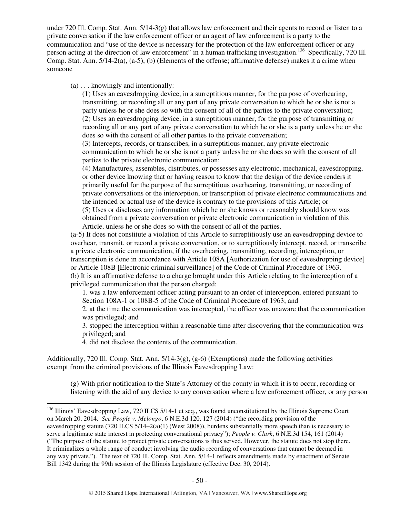under 720 Ill. Comp. Stat. Ann. 5/14-3(g) that allows law enforcement and their agents to record or listen to a private conversation if the law enforcement officer or an agent of law enforcement is a party to the communication and "use of the device is necessary for the protection of the law enforcement officer or any person acting at the direction of law enforcement" in a human trafficking investigation.<sup>136</sup> Specifically, 720 Ill. Comp. Stat. Ann. 5/14-2(a), (a-5), (b) (Elements of the offense; affirmative defense) makes it a crime when someone

(a) . . . knowingly and intentionally:

(1) Uses an eavesdropping device, in a surreptitious manner, for the purpose of overhearing, transmitting, or recording all or any part of any private conversation to which he or she is not a party unless he or she does so with the consent of all of the parties to the private conversation; (2) Uses an eavesdropping device, in a surreptitious manner, for the purpose of transmitting or recording all or any part of any private conversation to which he or she is a party unless he or she does so with the consent of all other parties to the private conversation;

(3) Intercepts, records, or transcribes, in a surreptitious manner, any private electronic communication to which he or she is not a party unless he or she does so with the consent of all parties to the private electronic communication;

(4) Manufactures, assembles, distributes, or possesses any electronic, mechanical, eavesdropping, or other device knowing that or having reason to know that the design of the device renders it primarily useful for the purpose of the surreptitious overhearing, transmitting, or recording of private conversations or the interception, or transcription of private electronic communications and the intended or actual use of the device is contrary to the provisions of this Article; or (5) Uses or discloses any information which he or she knows or reasonably should know was

obtained from a private conversation or private electronic communication in violation of this Article, unless he or she does so with the consent of all of the parties.

(a-5) It does not constitute a violation of this Article to surreptitiously use an eavesdropping device to overhear, transmit, or record a private conversation, or to surreptitiously intercept, record, or transcribe a private electronic communication, if the overhearing, transmitting, recording, interception, or transcription is done in accordance with Article 108A [Authorization for use of eavesdropping device] or Article 108B [Electronic criminal surveillance] of the Code of Criminal Procedure of 1963. (b) It is an affirmative defense to a charge brought under this Article relating to the interception of a privileged communication that the person charged:

1. was a law enforcement officer acting pursuant to an order of interception, entered pursuant to Section 108A-1 or 108B-5 of the Code of Criminal Procedure of 1963; and

2. at the time the communication was intercepted, the officer was unaware that the communication was privileged; and

3. stopped the interception within a reasonable time after discovering that the communication was privileged; and

4. did not disclose the contents of the communication.

Additionally, 720 Ill. Comp. Stat. Ann.  $5/14-3(g)$ , (g-6) (Exemptions) made the following activities exempt from the criminal provisions of the Illinois Eavesdropping Law:

(g) With prior notification to the State's Attorney of the county in which it is to occur, recording or listening with the aid of any device to any conversation where a law enforcement officer, or any person

 $\overline{a}$ <sup>136</sup> Illinois' Eavesdropping Law, 720 ILCS 5/14-1 et seq., was found unconstitutional by the Illinois Supreme Court on March 20, 2014. *See People v. Melongo*, 6 N.E.3d 120, 127 (2014) ("the recording provision of the eavesdropping statute (720 ILCS 5/14–2(a)(1) (West 2008)), burdens substantially more speech than is necessary to serve a legitimate state interest in protecting conversational privacy"); *People v. Clark*, 6 N.E.3d 154, 161 (2014) ("The purpose of the statute to protect private conversations is thus served. However, the statute does not stop there. It criminalizes a whole range of conduct involving the audio recording of conversations that cannot be deemed in any way private."). The text of 720 Ill. Comp. Stat. Ann. 5/14-1 reflects amendments made by enactment of Senate Bill 1342 during the 99th session of the Illinois Legislature (effective Dec. 30, 2014).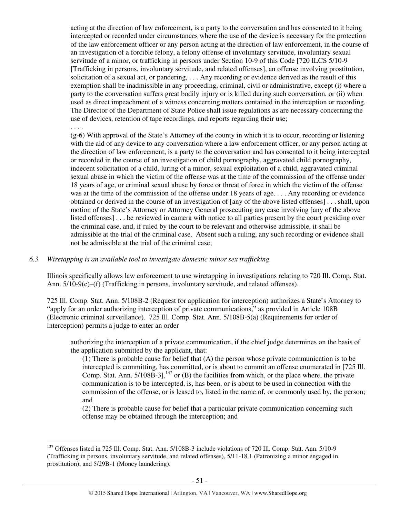acting at the direction of law enforcement, is a party to the conversation and has consented to it being intercepted or recorded under circumstances where the use of the device is necessary for the protection of the law enforcement officer or any person acting at the direction of law enforcement, in the course of an investigation of a forcible felony, a felony offense of involuntary servitude, involuntary sexual servitude of a minor, or trafficking in persons under Section 10-9 of this Code [720 ILCS 5/10-9 [Trafficking in persons, involuntary servitude, and related offenses], an offense involving prostitution, solicitation of a sexual act, or pandering, . . . Any recording or evidence derived as the result of this exemption shall be inadmissible in any proceeding, criminal, civil or administrative, except (i) where a party to the conversation suffers great bodily injury or is killed during such conversation, or (ii) when used as direct impeachment of a witness concerning matters contained in the interception or recording. The Director of the Department of State Police shall issue regulations as are necessary concerning the use of devices, retention of tape recordings, and reports regarding their use;

(g-6) With approval of the State's Attorney of the county in which it is to occur, recording or listening with the aid of any device to any conversation where a law enforcement officer, or any person acting at the direction of law enforcement, is a party to the conversation and has consented to it being intercepted or recorded in the course of an investigation of child pornography, aggravated child pornography, indecent solicitation of a child, luring of a minor, sexual exploitation of a child, aggravated criminal sexual abuse in which the victim of the offense was at the time of the commission of the offense under 18 years of age, or criminal sexual abuse by force or threat of force in which the victim of the offense was at the time of the commission of the offense under 18 years of age. . . . Any recording or evidence obtained or derived in the course of an investigation of [any of the above listed offenses] . . . shall, upon motion of the State's Attorney or Attorney General prosecuting any case involving [any of the above listed offenses] . . . be reviewed in camera with notice to all parties present by the court presiding over the criminal case, and, if ruled by the court to be relevant and otherwise admissible, it shall be admissible at the trial of the criminal case. Absent such a ruling, any such recording or evidence shall not be admissible at the trial of the criminal case;

## *6.3 Wiretapping is an available tool to investigate domestic minor sex trafficking.*

. . . .

 $\overline{a}$ 

Illinois specifically allows law enforcement to use wiretapping in investigations relating to 720 Ill. Comp. Stat. Ann. 5/10-9(c)–(f) (Trafficking in persons, involuntary servitude, and related offenses).

725 Ill. Comp. Stat. Ann. 5/108B-2 (Request for application for interception) authorizes a State's Attorney to "apply for an order authorizing interception of private communications," as provided in Article 108B (Electronic criminal surveillance). 725 Ill. Comp. Stat. Ann. 5/108B-5(a) (Requirements for order of interception) permits a judge to enter an order

authorizing the interception of a private communication, if the chief judge determines on the basis of the application submitted by the applicant, that:

(1) There is probable cause for belief that (A) the person whose private communication is to be intercepted is committing, has committed, or is about to commit an offense enumerated in [725 Ill. Comp. Stat. Ann. 5/108B-3],<sup>137</sup> or (B) the facilities from which, or the place where, the private communication is to be intercepted, is, has been, or is about to be used in connection with the commission of the offense, or is leased to, listed in the name of, or commonly used by, the person; and

(2) There is probable cause for belief that a particular private communication concerning such offense may be obtained through the interception; and

<sup>&</sup>lt;sup>137</sup> Offenses listed in 725 Ill. Comp. Stat. Ann. 5/108B-3 include violations of 720 Ill. Comp. Stat. Ann. 5/10-9 (Trafficking in persons, involuntary servitude, and related offenses), 5/11-18.1 (Patronizing a minor engaged in prostitution), and 5/29B-1 (Money laundering).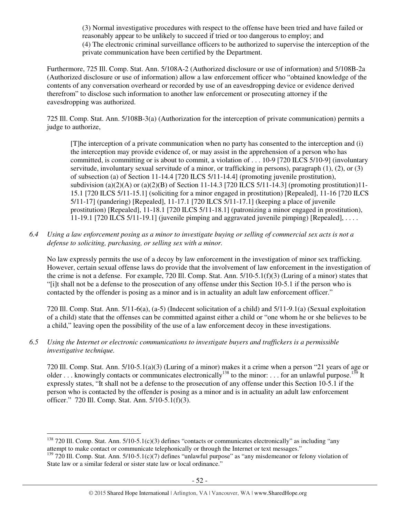(3) Normal investigative procedures with respect to the offense have been tried and have failed or reasonably appear to be unlikely to succeed if tried or too dangerous to employ; and (4) The electronic criminal surveillance officers to be authorized to supervise the interception of the private communication have been certified by the Department.

Furthermore, 725 Ill. Comp. Stat. Ann. 5/108A-2 (Authorized disclosure or use of information) and 5/108B-2a (Authorized disclosure or use of information) allow a law enforcement officer who "obtained knowledge of the contents of any conversation overheard or recorded by use of an eavesdropping device or evidence derived therefrom" to disclose such information to another law enforcement or prosecuting attorney if the eavesdropping was authorized.

725 Ill. Comp. Stat. Ann. 5/108B-3(a) (Authorization for the interception of private communication) permits a judge to authorize,

[T]he interception of a private communication when no party has consented to the interception and (i) the interception may provide evidence of, or may assist in the apprehension of a person who has committed, is committing or is about to commit, a violation of . . . 10-9 [720 ILCS 5/10-9] (involuntary servitude, involuntary sexual servitude of a minor, or trafficking in persons), paragraph (1), (2), or (3) of subsection (a) of Section 11-14.4 [720 ILCS 5/11-14.4] (promoting juvenile prostitution), subdivision (a)(2)(A) or (a)(2)(B) of Section 11-14.3 [720 ILCS 5/11-14.3] (promoting prostitution)11-15.1 [720 ILCS 5/11-15.1] (soliciting for a minor engaged in prostitution) [Repealed], 11-16 [720 ILCS 5/11-17] (pandering) [Repealed], 11-17.1 [720 ILCS 5/11-17.1] (keeping a place of juvenile prostitution) [Repealed], 11-18.1 [720 ILCS 5/11-18.1] (patronizing a minor engaged in prostitution), 11-19.1 [720 ILCS 5/11-19.1] (juvenile pimping and aggravated juvenile pimping) [Repealed], . . . .

*6.4 Using a law enforcement posing as a minor to investigate buying or selling of commercial sex acts is not a defense to soliciting, purchasing, or selling sex with a minor.* 

No law expressly permits the use of a decoy by law enforcement in the investigation of minor sex trafficking. However, certain sexual offense laws do provide that the involvement of law enforcement in the investigation of the crime is not a defense. For example, 720 Ill. Comp. Stat. Ann. 5/10-5.1(f)(3) (Luring of a minor) states that "[i]t shall not be a defense to the prosecution of any offense under this Section 10-5.1 if the person who is contacted by the offender is posing as a minor and is in actuality an adult law enforcement officer."

720 Ill. Comp. Stat. Ann. 5/11-6(a), (a-5) (Indecent solicitation of a child) and 5/11-9.1(a) (Sexual exploitation of a child) state that the offenses can be committed against either a child or "one whom he or she believes to be a child," leaving open the possibility of the use of a law enforcement decoy in these investigations.

*6.5 Using the Internet or electronic communications to investigate buyers and traffickers is a permissible investigative technique.* 

720 Ill. Comp. Stat. Ann. 5/10-5.1(a)(3) (Luring of a minor) makes it a crime when a person "21 years of age or older . . . knowingly contacts or communicates electronically<sup>138</sup> to the minor: . . . for an unlawful purpose.<sup>139</sup> It expressly states, "It shall not be a defense to the prosecution of any offense under this Section 10-5.1 if the person who is contacted by the offender is posing as a minor and is in actuality an adult law enforcement officer." 720 Ill. Comp. Stat. Ann. 5/10-5.1(f)(3).

 $\overline{a}$  $138$  720 Ill. Comp. Stat. Ann.  $5/10-5.1(c)(3)$  defines "contacts or communicates electronically" as including "any attempt to make contact or communicate telephonically or through the Internet or text messages."

<sup>&</sup>lt;sup>139</sup> 720 Ill. Comp. Stat. Ann. 5/10-5.1(c)(7) defines "unlawful purpose" as "any misdemeanor or felony violation of State law or a similar federal or sister state law or local ordinance."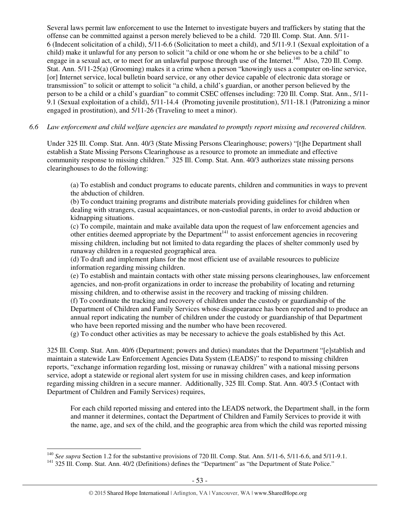Several laws permit law enforcement to use the Internet to investigate buyers and traffickers by stating that the offense can be committed against a person merely believed to be a child. 720 Ill. Comp. Stat. Ann. 5/11- 6 (Indecent solicitation of a child), 5/11-6.6 (Solicitation to meet a child), and 5/11-9.1 (Sexual exploitation of a child) make it unlawful for any person to solicit "a child or one whom he or she believes to be a child" to engage in a sexual act, or to meet for an unlawful purpose through use of the Internet.<sup>140</sup> Also, 720 Ill. Comp. Stat. Ann. 5/11-25(a) (Grooming) makes it a crime when a person "knowingly uses a computer on-line service, [or] Internet service, local bulletin board service, or any other device capable of electronic data storage or transmission" to solicit or attempt to solicit "a child, a child's guardian, or another person believed by the person to be a child or a child's guardian" to commit CSEC offenses including: 720 Ill. Comp. Stat. Ann., 5/11- 9.1 (Sexual exploitation of a child), 5/11-14.4 (Promoting juvenile prostitution), 5/11-18.1 (Patronizing a minor engaged in prostitution), and 5/11-26 (Traveling to meet a minor).

# *6.6 Law enforcement and child welfare agencies are mandated to promptly report missing and recovered children.*

Under 325 Ill. Comp. Stat. Ann. 40/3 (State Missing Persons Clearinghouse; powers) "[t]he Department shall establish a State Missing Persons Clearinghouse as a resource to promote an immediate and effective community response to missing children." 325 Ill. Comp. Stat. Ann. 40/3 authorizes state missing persons clearinghouses to do the following:

(a) To establish and conduct programs to educate parents, children and communities in ways to prevent the abduction of children.

(b) To conduct training programs and distribute materials providing guidelines for children when dealing with strangers, casual acquaintances, or non-custodial parents, in order to avoid abduction or kidnapping situations.

(c) To compile, maintain and make available data upon the request of law enforcement agencies and other entities deemed appropriate by the Department<sup>141</sup> to assist enforcement agencies in recovering missing children, including but not limited to data regarding the places of shelter commonly used by runaway children in a requested geographical area.

(d) To draft and implement plans for the most efficient use of available resources to publicize information regarding missing children.

(e) To establish and maintain contacts with other state missing persons clearinghouses, law enforcement agencies, and non-profit organizations in order to increase the probability of locating and returning missing children, and to otherwise assist in the recovery and tracking of missing children.

(f) To coordinate the tracking and recovery of children under the custody or guardianship of the Department of Children and Family Services whose disappearance has been reported and to produce an annual report indicating the number of children under the custody or guardianship of that Department who have been reported missing and the number who have been recovered.

(g) To conduct other activities as may be necessary to achieve the goals established by this Act.

325 Ill. Comp. Stat. Ann. 40/6 (Department; powers and duties) mandates that the Department "[e]stablish and maintain a statewide Law Enforcement Agencies Data System (LEADS)" to respond to missing children reports, "exchange information regarding lost, missing or runaway children" with a national missing persons service, adopt a statewide or regional alert system for use in missing children cases, and keep information regarding missing children in a secure manner. Additionally, 325 Ill. Comp. Stat. Ann. 40/3.5 (Contact with Department of Children and Family Services) requires,

For each child reported missing and entered into the LEADS network, the Department shall, in the form and manner it determines, contact the Department of Children and Family Services to provide it with the name, age, and sex of the child, and the geographic area from which the child was reported missing

 $\overline{a}$ <sup>140</sup> *See supra* Section 1.2 for the substantive provisions of 720 Ill. Comp. Stat. Ann. 5/11-6, 5/11-6.6, and 5/11-9.1.

<sup>&</sup>lt;sup>141</sup> 325 Ill. Comp. Stat. Ann. 40/2 (Definitions) defines the "Department" as "the Department of State Police."